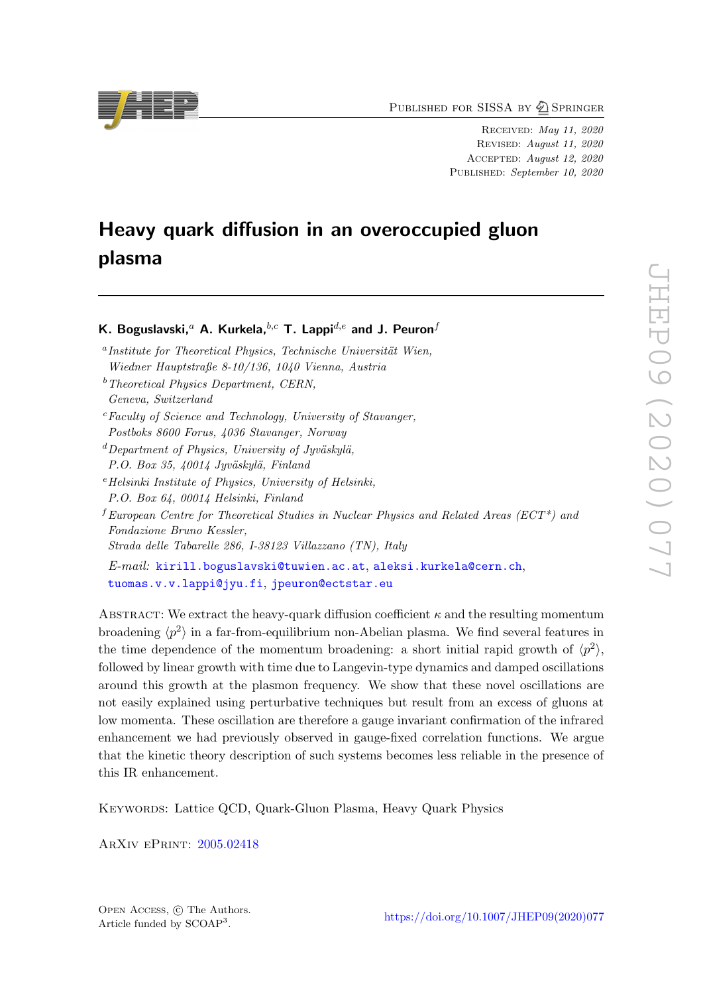PUBLISHED FOR SISSA BY 2 SPRINGER

Received: May 11, 2020 Revised: August 11, 2020 Accepted: August 12, 2020 Published: September 10, 2020

# Heavy quark diffusion in an overoccupied gluon plasma

| K. Boguslavski, <sup>a</sup> A. Kurkela, <sup>b,c</sup> T. Lappi <sup>d,e</sup> and J. Peuron <sup>f</sup>        |
|-------------------------------------------------------------------------------------------------------------------|
| <sup>a</sup> Institute for Theoretical Physics, Technische Universität Wien,                                      |
| Wiedner Hauptstraße 8-10/136, 1040 Vienna, Austria                                                                |
| $^b$ Theoretical Physics Department, CERN,                                                                        |
| Geneva, Switzerland                                                                                               |
| <sup>c</sup> Faculty of Science and Technology, University of Stavanger,                                          |
| Postboks 8600 Forus, 4036 Stavanger, Norway                                                                       |
| ${}^d$ Department of Physics, University of Jyväskylä,                                                            |
| P.O. Box 35, 40014 Jyväskylä, Finland                                                                             |
| <sup>e</sup> Helsinki Institute of Physics, University of Helsinki,                                               |
| $P.O.$ Box 64, 00014 Helsinki, Finland                                                                            |
| <sup>f</sup> European Centre for Theoretical Studies in Nuclear Physics and Related Areas (ECT <sup>*</sup> ) and |
| Fondazione Bruno Kessler,                                                                                         |
| Strada delle Tabarelle 286, I-38123 Villazzano (TN), Italy                                                        |
| E-mail: kirill.boguslavski@tuwien.ac.at, aleksi.kurkela@cern.ch,                                                  |
| tuomas.v.v.lappi@jyu.fi, jpeuron@ectstar.eu                                                                       |
|                                                                                                                   |

ABSTRACT: We extract the heavy-quark diffusion coefficient  $\kappa$  and the resulting momentum broadening  $\langle p^2 \rangle$  in a far-from-equilibrium non-Abelian plasma. We find several features in the time dependence of the momentum broadening: a short initial rapid growth of  $\langle p^2 \rangle$ , followed by linear growth with time due to Langevin-type dynamics and damped oscillations around this growth at the plasmon frequency. We show that these novel oscillations are not easily explained using perturbative techniques but result from an excess of gluons at low momenta. These oscillation are therefore a gauge invariant confirmation of the infrared enhancement we had previously observed in gauge-fixed correlation functions. We argue that the kinetic theory description of such systems becomes less reliable in the presence of this IR enhancement.

KEYWORDS: Lattice OCD, Quark-Gluon Plasma, Heavy Quark Physics

ArXiv ePrint: [2005.02418](https://arxiv.org/abs/2005.02418)

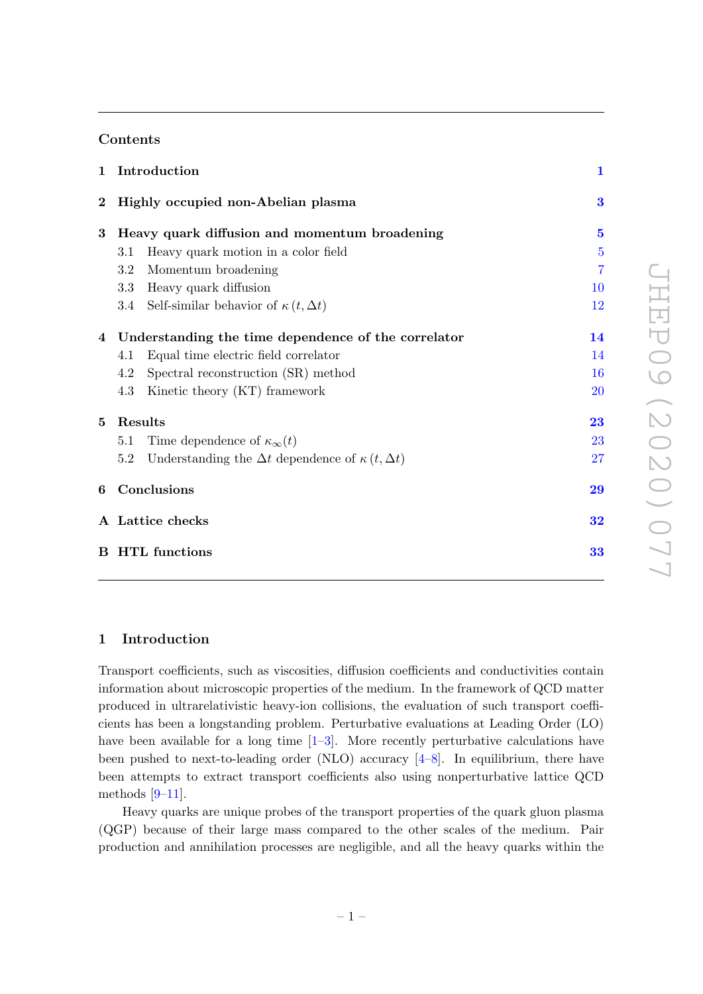# Contents

| $\mathbf{1}$     |                                                     | Introduction                                                     | $\mathbf{1}$   |
|------------------|-----------------------------------------------------|------------------------------------------------------------------|----------------|
| $\boldsymbol{2}$ |                                                     | Highly occupied non-Abelian plasma                               | 3              |
| 3                |                                                     | Heavy quark diffusion and momentum broadening                    | $\bf{5}$       |
|                  | 3.1                                                 | Heavy quark motion in a color field                              | $\overline{5}$ |
|                  | $3.2\,$                                             | Momentum broadening                                              | $\overline{7}$ |
|                  | 3.3                                                 | Heavy quark diffusion                                            | 10             |
|                  |                                                     | 3.4 Self-similar behavior of $\kappa(t, \Delta t)$               | <sup>12</sup>  |
| 4                | Understanding the time dependence of the correlator |                                                                  | 14             |
|                  | 4.1                                                 | Equal time electric field correlator                             | 14             |
|                  | 4.2                                                 | Spectral reconstruction (SR) method                              | 16             |
|                  | 4.3                                                 | Kinetic theory (KT) framework                                    | 20             |
| $\bf{5}$         | Results                                             |                                                                  | 23             |
|                  | 5.1                                                 | Time dependence of $\kappa_{\infty}(t)$                          | 23             |
|                  | 5.2                                                 | Understanding the $\Delta t$ dependence of $\kappa(t, \Delta t)$ | 27             |
| 6                | Conclusions                                         |                                                                  |                |
|                  | A Lattice checks                                    |                                                                  |                |
|                  | <b>B</b> HTL functions                              |                                                                  |                |

# <span id="page-1-0"></span>1 Introduction

Transport coefficients, such as viscosities, diffusion coefficients and conductivities contain information about microscopic properties of the medium. In the framework of QCD matter produced in ultrarelativistic heavy-ion collisions, the evaluation of such transport coefficients has been a longstanding problem. Perturbative evaluations at Leading Order (LO) have been available for a long time  $[1-3]$ . More recently perturbative calculations have been pushed to next-to-leading order (NLO) accuracy [\[4](#page-35-2)[–8\]](#page-35-3). In equilibrium, there have been attempts to extract transport coefficients also using nonperturbative lattice QCD methods  $[9-11]$ .

Heavy quarks are unique probes of the transport properties of the quark gluon plasma (QGP) because of their large mass compared to the other scales of the medium. Pair production and annihilation processes are negligible, and all the heavy quarks within the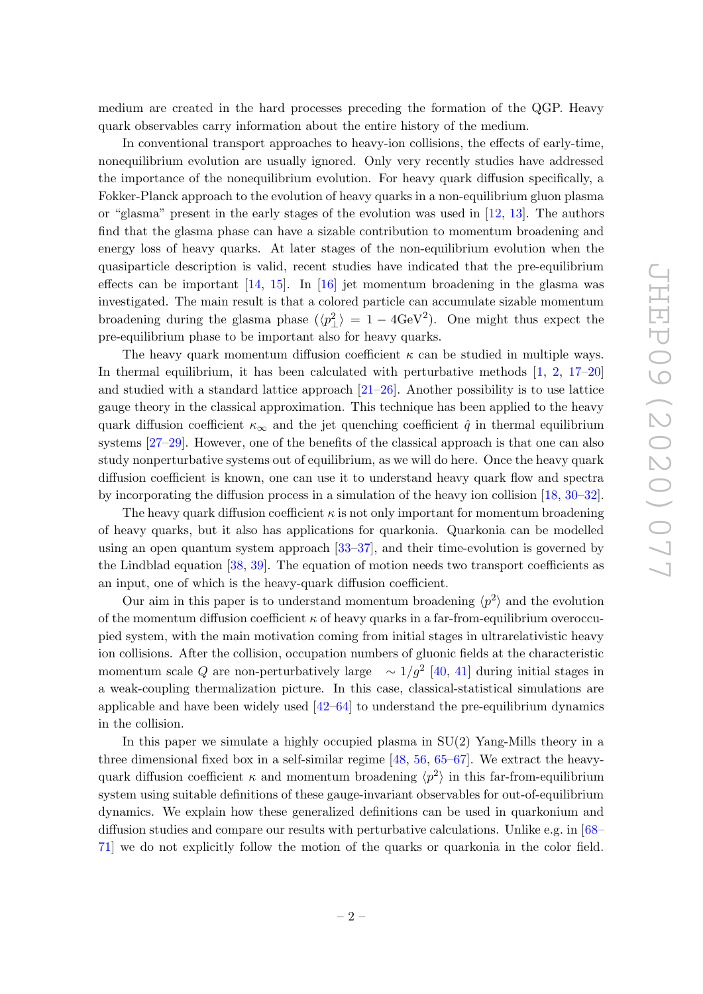medium are created in the hard processes preceding the formation of the QGP. Heavy quark observables carry information about the entire history of the medium.

In conventional transport approaches to heavy-ion collisions, the effects of early-time, nonequilibrium evolution are usually ignored. Only very recently studies have addressed the importance of the nonequilibrium evolution. For heavy quark diffusion specifically, a Fokker-Planck approach to the evolution of heavy quarks in a non-equilibrium gluon plasma or "glasma" present in the early stages of the evolution was used in [\[12,](#page-36-0) [13\]](#page-36-1). The authors find that the glasma phase can have a sizable contribution to momentum broadening and energy loss of heavy quarks. At later stages of the non-equilibrium evolution when the quasiparticle description is valid, recent studies have indicated that the pre-equilibrium effects can be important  $[14, 15]$  $[14, 15]$ . In  $[16]$  jet momentum broadening in the glasma was investigated. The main result is that a colored particle can accumulate sizable momentum broadening during the glasma phase  $(\langle p_{\perp}^2 \rangle = 1 - 4 \text{GeV}^2)$ . One might thus expect the pre-equilibrium phase to be important also for heavy quarks.

The heavy quark momentum diffusion coefficient  $\kappa$  can be studied in multiple ways. In thermal equilibrium, it has been calculated with perturbative methods [\[1,](#page-35-0) [2,](#page-35-6) [17–](#page-36-5)[20\]](#page-36-6) and studied with a standard lattice approach [\[21](#page-36-7)[–26\]](#page-36-8). Another possibility is to use lattice gauge theory in the classical approximation. This technique has been applied to the heavy quark diffusion coefficient  $\kappa_{\infty}$  and the jet quenching coefficient  $\hat{q}$  in thermal equilibrium systems [\[27](#page-36-9)[–29\]](#page-36-10). However, one of the benefits of the classical approach is that one can also study nonperturbative systems out of equilibrium, as we will do here. Once the heavy quark diffusion coefficient is known, one can use it to understand heavy quark flow and spectra by incorporating the diffusion process in a simulation of the heavy ion collision [\[18,](#page-36-11) [30–](#page-37-0)[32\]](#page-37-1).

The heavy quark diffusion coefficient  $\kappa$  is not only important for momentum broadening of heavy quarks, but it also has applications for quarkonia. Quarkonia can be modelled using an open quantum system approach  $[33-37]$ , and their time-evolution is governed by the Lindblad equation [\[38,](#page-37-4) [39\]](#page-37-5). The equation of motion needs two transport coefficients as an input, one of which is the heavy-quark diffusion coefficient.

Our aim in this paper is to understand momentum broadening  $\langle p^2 \rangle$  and the evolution of the momentum diffusion coefficient  $\kappa$  of heavy quarks in a far-from-equilibrium overoccupied system, with the main motivation coming from initial stages in ultrarelativistic heavy ion collisions. After the collision, occupation numbers of gluonic fields at the characteristic momentum scale Q are non-perturbatively large  $\sim 1/g^2$  [\[40,](#page-37-6) [41\]](#page-37-7) during initial stages in a weak-coupling thermalization picture. In this case, classical-statistical simulations are applicable and have been widely used [\[42–](#page-37-8)[64\]](#page-38-0) to understand the pre-equilibrium dynamics in the collision.

In this paper we simulate a highly occupied plasma in SU(2) Yang-Mills theory in a three dimensional fixed box in a self-similar regime [\[48,](#page-38-1) [56,](#page-38-2) [65](#page-38-3)[–67\]](#page-39-0). We extract the heavyquark diffusion coefficient  $\kappa$  and momentum broadening  $\langle p^2 \rangle$  in this far-from-equilibrium system using suitable definitions of these gauge-invariant observables for out-of-equilibrium dynamics. We explain how these generalized definitions can be used in quarkonium and diffusion studies and compare our results with perturbative calculations. Unlike e.g. in [\[68–](#page-39-1) [71\]](#page-39-2) we do not explicitly follow the motion of the quarks or quarkonia in the color field.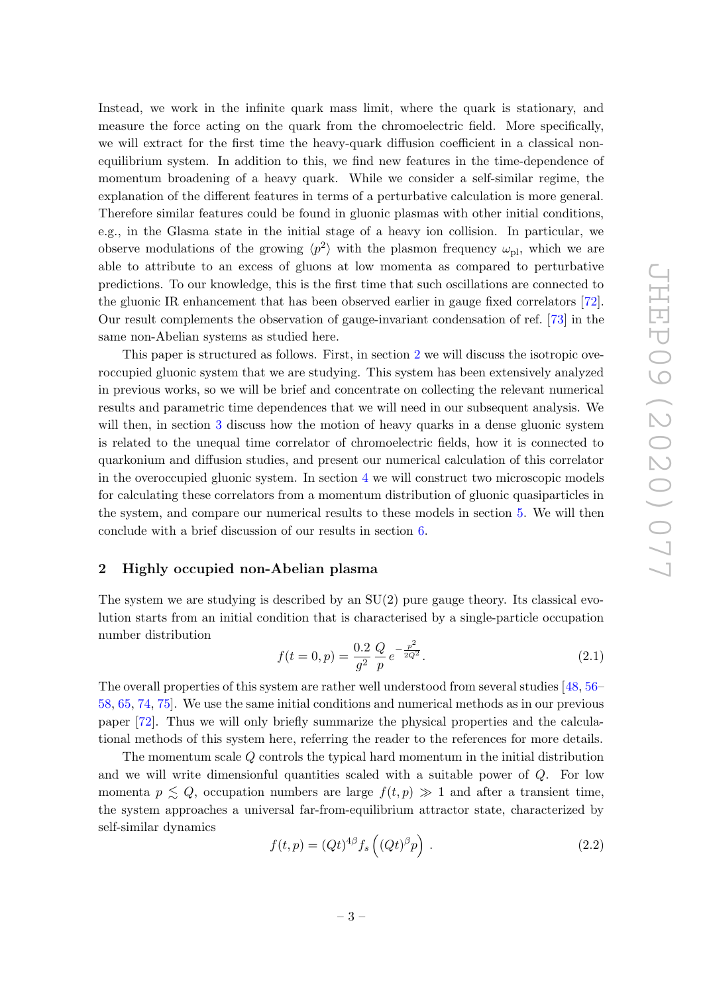Instead, we work in the infinite quark mass limit, where the quark is stationary, and measure the force acting on the quark from the chromoelectric field. More specifically, we will extract for the first time the heavy-quark diffusion coefficient in a classical nonequilibrium system. In addition to this, we find new features in the time-dependence of momentum broadening of a heavy quark. While we consider a self-similar regime, the explanation of the different features in terms of a perturbative calculation is more general. Therefore similar features could be found in gluonic plasmas with other initial conditions, e.g., in the Glasma state in the initial stage of a heavy ion collision. In particular, we observe modulations of the growing  $\langle p^2 \rangle$  with the plasmon frequency  $\omega_{\text{pl}}$ , which we are able to attribute to an excess of gluons at low momenta as compared to perturbative predictions. To our knowledge, this is the first time that such oscillations are connected to the gluonic IR enhancement that has been observed earlier in gauge fixed correlators [\[72\]](#page-39-3). Our result complements the observation of gauge-invariant condensation of ref. [\[73\]](#page-39-4) in the same non-Abelian systems as studied here.

This paper is structured as follows. First, in section [2](#page-3-0) we will discuss the isotropic overoccupied gluonic system that we are studying. This system has been extensively analyzed in previous works, so we will be brief and concentrate on collecting the relevant numerical results and parametric time dependences that we will need in our subsequent analysis. We will then, in section [3](#page-5-0) discuss how the motion of heavy quarks in a dense gluonic system is related to the unequal time correlator of chromoelectric fields, how it is connected to quarkonium and diffusion studies, and present our numerical calculation of this correlator in the overoccupied gluonic system. In section [4](#page-14-0) we will construct two microscopic models for calculating these correlators from a momentum distribution of gluonic quasiparticles in the system, and compare our numerical results to these models in section [5.](#page-23-0) We will then conclude with a brief discussion of our results in section [6.](#page-29-0)

#### <span id="page-3-0"></span>2 Highly occupied non-Abelian plasma

The system we are studying is described by an  $SU(2)$  pure gauge theory. Its classical evolution starts from an initial condition that is characterised by a single-particle occupation number distribution

$$
f(t = 0, p) = \frac{0.2}{g^2} \frac{Q}{p} e^{-\frac{p^2}{2Q^2}}.
$$
\n(2.1)

The overall properties of this system are rather well understood from several studies [\[48,](#page-38-1) [56–](#page-38-2) [58,](#page-38-4) [65,](#page-38-3) [74,](#page-39-5) [75\]](#page-39-6). We use the same initial conditions and numerical methods as in our previous paper [\[72\]](#page-39-3). Thus we will only briefly summarize the physical properties and the calculational methods of this system here, referring the reader to the references for more details.

The momentum scale Q controls the typical hard momentum in the initial distribution and we will write dimensionful quantities scaled with a suitable power of Q. For low momenta  $p \leq Q$ , occupation numbers are large  $f(t, p) \gg 1$  and after a transient time, the system approaches a universal far-from-equilibrium attractor state, characterized by self-similar dynamics

$$
f(t,p) = (Qt)^{4\beta} f_s \left( (Qt)^{\beta} p \right).
$$
 (2.2)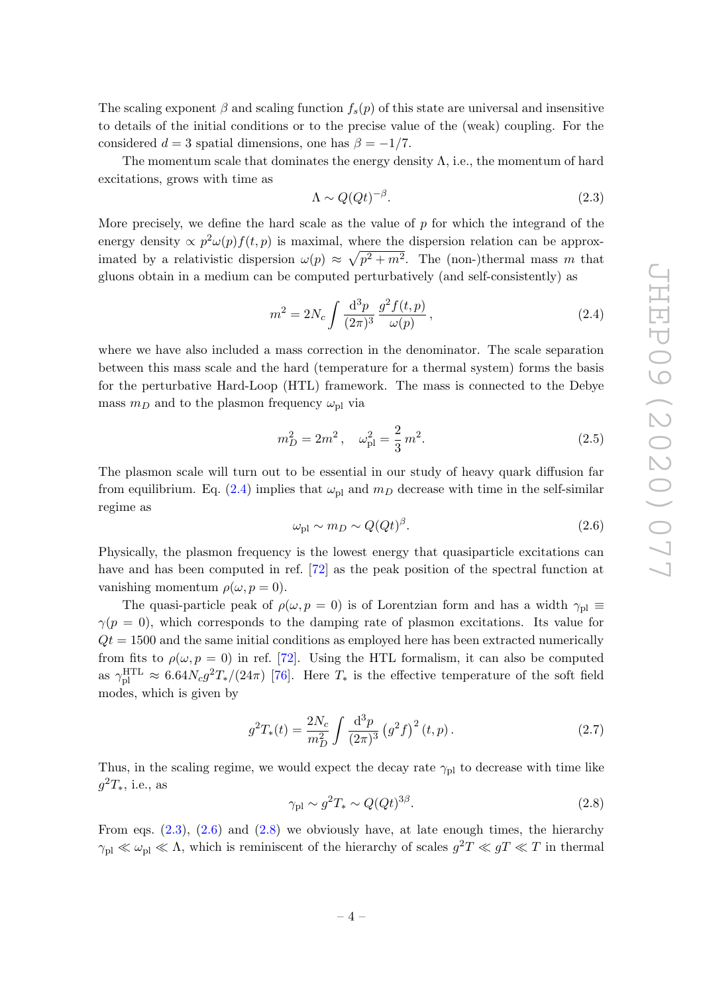The scaling exponent  $\beta$  and scaling function  $f_s(p)$  of this state are universal and insensitive to details of the initial conditions or to the precise value of the (weak) coupling. For the considered  $d = 3$  spatial dimensions, one has  $\beta = -1/7$ .

The momentum scale that dominates the energy density  $\Lambda$ , i.e., the momentum of hard excitations, grows with time as

<span id="page-4-1"></span>
$$
\Lambda \sim Q(Qt)^{-\beta}.\tag{2.3}
$$

More precisely, we define the hard scale as the value of  $p$  for which the integrand of the energy density  $\propto p^2\omega(p)f(t,p)$  is maximal, where the dispersion relation can be approximated by a relativistic dispersion  $\omega(p) \approx \sqrt{p^2 + m^2}$ . The (non-)thermal mass m that gluons obtain in a medium can be computed perturbatively (and self-consistently) as

<span id="page-4-0"></span>
$$
m^{2} = 2N_{c} \int \frac{\mathrm{d}^{3} p}{(2\pi)^{3}} \frac{g^{2} f(t, p)}{\omega(p)}, \qquad (2.4)
$$

where we have also included a mass correction in the denominator. The scale separation between this mass scale and the hard (temperature for a thermal system) forms the basis for the perturbative Hard-Loop (HTL) framework. The mass is connected to the Debye mass  $m_D$  and to the plasmon frequency  $\omega_{\text{pl}}$  via

<span id="page-4-4"></span>
$$
m_D^2 = 2m^2, \quad \omega_{\rm pl}^2 = \frac{2}{3}m^2. \tag{2.5}
$$

The plasmon scale will turn out to be essential in our study of heavy quark diffusion far from equilibrium. Eq. [\(2.4\)](#page-4-0) implies that  $\omega_{\text{pl}}$  and  $m_D$  decrease with time in the self-similar regime as

<span id="page-4-2"></span>
$$
\omega_{\rm pl} \sim m_D \sim Q(Qt)^{\beta}.\tag{2.6}
$$

Physically, the plasmon frequency is the lowest energy that quasiparticle excitations can have and has been computed in ref. [\[72\]](#page-39-3) as the peak position of the spectral function at vanishing momentum  $\rho(\omega, p = 0)$ .

The quasi-particle peak of  $\rho(\omega, p = 0)$  is of Lorentzian form and has a width  $\gamma_{\text{pl}} \equiv$  $\gamma(p = 0)$ , which corresponds to the damping rate of plasmon excitations. Its value for  $Qt = 1500$  and the same initial conditions as employed here has been extracted numerically from fits to  $\rho(\omega, p = 0)$  in ref. [\[72\]](#page-39-3). Using the HTL formalism, it can also be computed as  $\gamma_{\rm pl}^{\rm HTL} \approx 6.64 N_c g^2 T_*/(24\pi)$  [\[76\]](#page-39-7). Here  $T_*$  is the effective temperature of the soft field modes, which is given by

<span id="page-4-5"></span>
$$
g^{2}T_{*}(t) = \frac{2N_{c}}{m_{D}^{2}} \int \frac{\mathrm{d}^{3}p}{(2\pi)^{3}} \left(g^{2}f\right)^{2}(t,p). \tag{2.7}
$$

Thus, in the scaling regime, we would expect the decay rate  $\gamma_{\text{pl}}$  to decrease with time like  $g^2T_*$ , i.e., as

<span id="page-4-3"></span>
$$
\gamma_{\rm pl} \sim g^2 T_* \sim Q(Qt)^{3\beta}.
$$
\n(2.8)

From eqs.  $(2.3)$ ,  $(2.6)$  and  $(2.8)$  we obviously have, at late enough times, the hierarchy  $\gamma_{\rm pl} \ll \omega_{\rm pl} \ll \Lambda$ , which is reminiscent of the hierarchy of scales  $g^2T \ll gT \ll T$  in thermal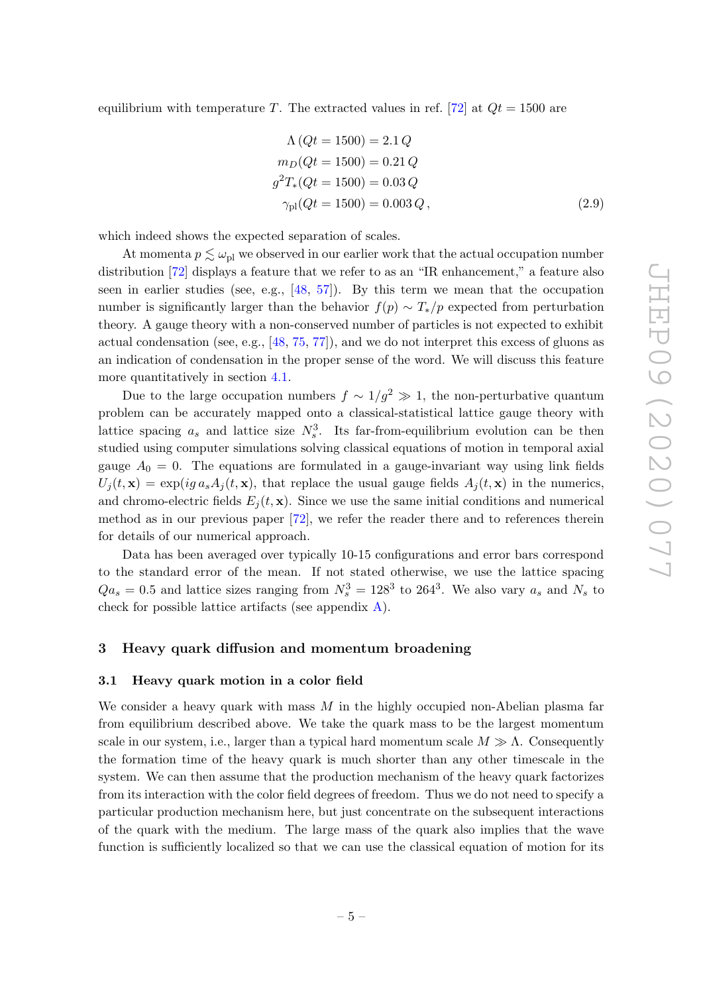equilibrium with temperature T. The extracted values in ref. [\[72\]](#page-39-3) at  $Qt = 1500$  are

<span id="page-5-2"></span>
$$
\Lambda (Qt = 1500) = 2.1 Q
$$
  
\n
$$
m_D (Qt = 1500) = 0.21 Q
$$
  
\n
$$
g^2 T_*(Qt = 1500) = 0.03 Q
$$
  
\n
$$
\gamma_{\text{pl}} (Qt = 1500) = 0.003 Q,
$$
\n(2.9)

which indeed shows the expected separation of scales.

At momenta  $p \leq \omega_{\text{pl}}$  we observed in our earlier work that the actual occupation number distribution [\[72\]](#page-39-3) displays a feature that we refer to as an "IR enhancement," a feature also seen in earlier studies (see, e.g., [\[48,](#page-38-1) [57\]](#page-38-5)). By this term we mean that the occupation number is significantly larger than the behavior  $f(p) \sim T_*/p$  expected from perturbation theory. A gauge theory with a non-conserved number of particles is not expected to exhibit actual condensation (see, e.g., [\[48,](#page-38-1) [75,](#page-39-6) [77\]](#page-39-8)), and we do not interpret this excess of gluons as an indication of condensation in the proper sense of the word. We will discuss this feature more quantitatively in section [4.1.](#page-14-1)

Due to the large occupation numbers  $f \sim 1/g^2 \gg 1$ , the non-perturbative quantum problem can be accurately mapped onto a classical-statistical lattice gauge theory with lattice spacing  $a_s$  and lattice size  $N_s^3$ . Its far-from-equilibrium evolution can be then studied using computer simulations solving classical equations of motion in temporal axial gauge  $A_0 = 0$ . The equations are formulated in a gauge-invariant way using link fields  $U_i(t, \mathbf{x}) = \exp(i g a_s A_i(t, \mathbf{x}))$ , that replace the usual gauge fields  $A_i(t, \mathbf{x})$  in the numerics, and chromo-electric fields  $E_i(t, \mathbf{x})$ . Since we use the same initial conditions and numerical method as in our previous paper [\[72\]](#page-39-3), we refer the reader there and to references therein for details of our numerical approach.

Data has been averaged over typically 10-15 configurations and error bars correspond to the standard error of the mean. If not stated otherwise, we use the lattice spacing  $Qa_s = 0.5$  and lattice sizes ranging from  $N_s^3 = 128^3$  to  $264^3$ . We also vary  $a_s$  and  $N_s$  to check for possible lattice artifacts (see appendix [A\)](#page-32-0).

#### <span id="page-5-0"></span>3 Heavy quark diffusion and momentum broadening

#### <span id="page-5-1"></span>3.1 Heavy quark motion in a color field

We consider a heavy quark with mass  $M$  in the highly occupied non-Abelian plasma far from equilibrium described above. We take the quark mass to be the largest momentum scale in our system, i.e., larger than a typical hard momentum scale  $M \gg \Lambda$ . Consequently the formation time of the heavy quark is much shorter than any other timescale in the system. We can then assume that the production mechanism of the heavy quark factorizes from its interaction with the color field degrees of freedom. Thus we do not need to specify a particular production mechanism here, but just concentrate on the subsequent interactions of the quark with the medium. The large mass of the quark also implies that the wave function is sufficiently localized so that we can use the classical equation of motion for its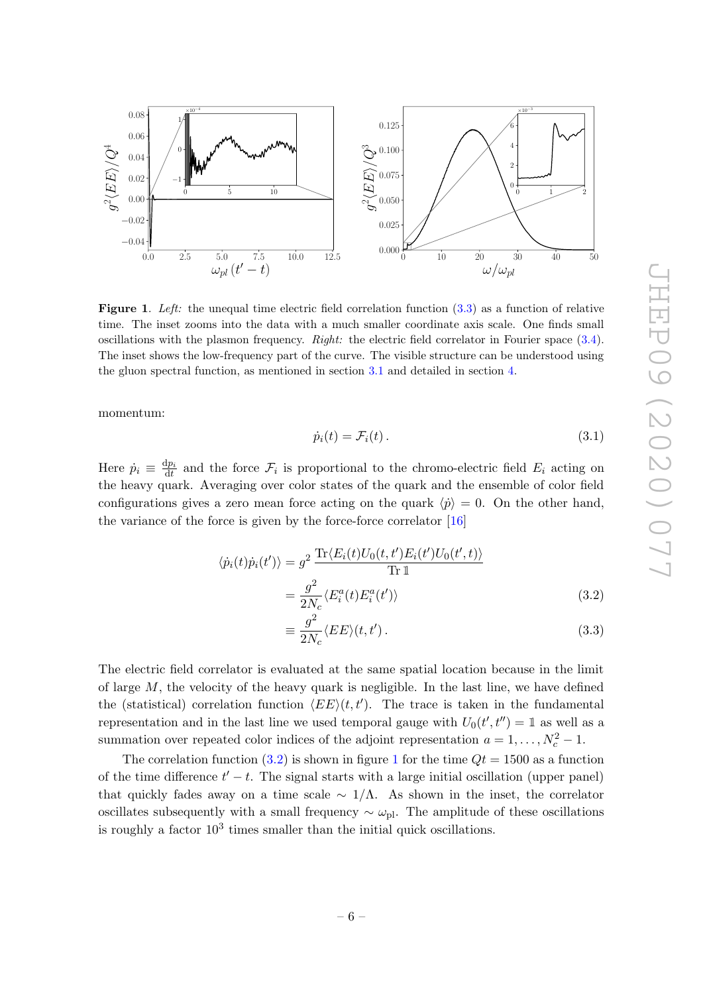

<span id="page-6-2"></span>Figure 1. Left: the unequal time electric field correlation function [\(3.3\)](#page-6-0) as a function of relative time. The inset zooms into the data with a much smaller coordinate axis scale. One finds small oscillations with the plasmon frequency. Right: the electric field correlator in Fourier space [\(3.4\)](#page-7-1). The inset shows the low-frequency part of the curve. The visible structure can be understood using the gluon spectral function, as mentioned in section [3.1](#page-5-1) and detailed in section [4.](#page-14-0)

momentum:

$$
\dot{p}_i(t) = \mathcal{F}_i(t). \tag{3.1}
$$

Here  $\dot{p}_i \equiv \frac{dp_i}{dt}$  $\frac{dp_i}{dt}$  and the force  $\mathcal{F}_i$  is proportional to the chromo-electric field  $E_i$  acting on the heavy quark. Averaging over color states of the quark and the ensemble of color field configurations gives a zero mean force acting on the quark  $\langle \dot{p} \rangle = 0$ . On the other hand, the variance of the force is given by the force-force correlator [\[16\]](#page-36-4)

$$
\langle \dot{p}_i(t)\dot{p}_i(t')\rangle = g^2 \frac{\text{Tr}\langle E_i(t)U_0(t,t')E_i(t')U_0(t',t)\rangle}{\text{Tr}\,\mathbb{1}}
$$

$$
= \frac{g^2}{2N_c}\langle E_i^a(t)E_i^a(t')\rangle
$$
(3.2)

<span id="page-6-1"></span><span id="page-6-0"></span>
$$
\equiv \frac{g^2}{2N_c} \langle EE \rangle (t, t'). \tag{3.3}
$$

The electric field correlator is evaluated at the same spatial location because in the limit of large  $M$ , the velocity of the heavy quark is negligible. In the last line, we have defined the (statistical) correlation function  $\langle EE \rangle(t, t')$ . The trace is taken in the fundamental representation and in the last line we used temporal gauge with  $U_0(t', t'') = \mathbb{1}$  as well as a summation over repeated color indices of the adjoint representation  $a = 1, \ldots, N_c^2 - 1$ .

The correlation function [\(3.2\)](#page-6-1) is shown in figure [1](#page-6-2) for the time  $Qt = 1500$  as a function of the time difference  $t' - t$ . The signal starts with a large initial oscillation (upper panel) that quickly fades away on a time scale  $\sim 1/\Lambda$ . As shown in the inset, the correlator oscillates subsequently with a small frequency  $\sim \omega_{\rm pl}$ . The amplitude of these oscillations is roughly a factor  $10^3$  times smaller than the initial quick oscillations.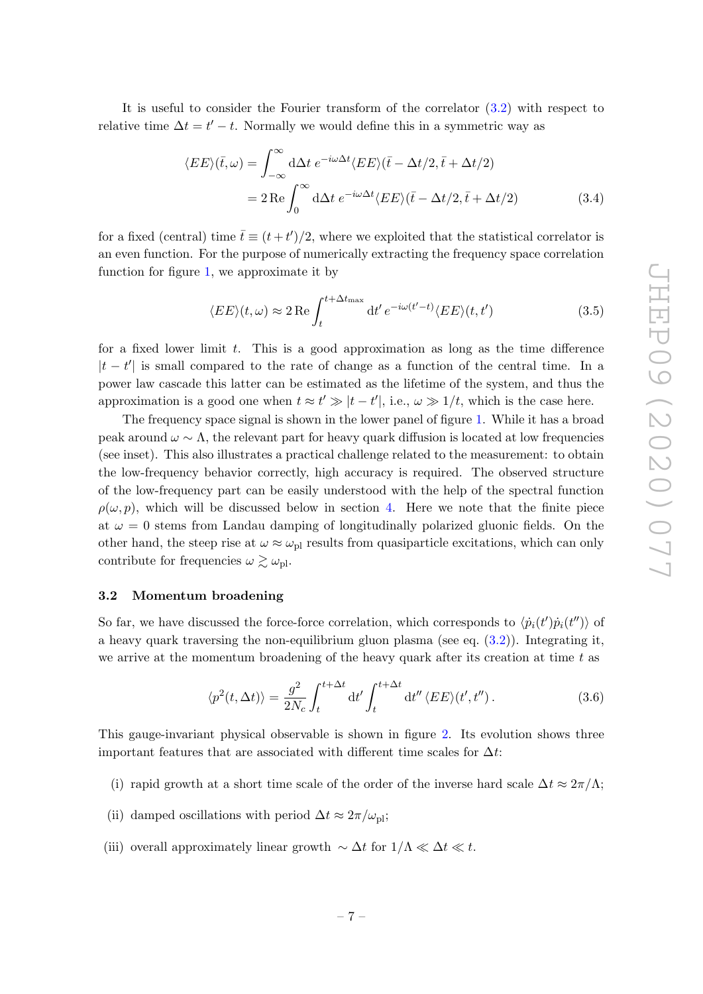It is useful to consider the Fourier transform of the correlator [\(3.2\)](#page-6-1) with respect to relative time  $\Delta t = t' - t$ . Normally we would define this in a symmetric way as

$$
\langle EE \rangle(\bar{t}, \omega) = \int_{-\infty}^{\infty} d\Delta t \ e^{-i\omega \Delta t} \langle EE \rangle(\bar{t} - \Delta t/2, \bar{t} + \Delta t/2)
$$

$$
= 2 \operatorname{Re} \int_{0}^{\infty} d\Delta t \ e^{-i\omega \Delta t} \langle EE \rangle(\bar{t} - \Delta t/2, \bar{t} + \Delta t/2) \tag{3.4}
$$

for a fixed (central) time  $\bar{t} \equiv (t + t')/2$ , where we exploited that the statistical correlator is an even function. For the purpose of numerically extracting the frequency space correlation function for figure [1,](#page-6-2) we approximate it by

<span id="page-7-1"></span>
$$
\langle EE \rangle(t,\omega) \approx 2 \operatorname{Re} \int_{t}^{t + \Delta t_{\text{max}}} dt' e^{-i\omega(t'-t)} \langle EE \rangle(t,t')
$$
 (3.5)

for a fixed lower limit  $t$ . This is a good approximation as long as the time difference  $|t - t'|$  is small compared to the rate of change as a function of the central time. In a power law cascade this latter can be estimated as the lifetime of the system, and thus the approximation is a good one when  $t \approx t' \gg |t - t'|$ , i.e.,  $\omega \gg 1/t$ , which is the case here.

The frequency space signal is shown in the lower panel of figure [1.](#page-6-2) While it has a broad peak around  $\omega \sim \Lambda$ , the relevant part for heavy quark diffusion is located at low frequencies (see inset). This also illustrates a practical challenge related to the measurement: to obtain the low-frequency behavior correctly, high accuracy is required. The observed structure of the low-frequency part can be easily understood with the help of the spectral function  $\rho(\omega, p)$ , which will be discussed below in section [4.](#page-14-0) Here we note that the finite piece at  $\omega = 0$  stems from Landau damping of longitudinally polarized gluonic fields. On the other hand, the steep rise at  $\omega \approx \omega_{\text{pl}}$  results from quasiparticle excitations, which can only contribute for frequencies  $\omega \gtrsim \omega_{\text{pl}}$ .

#### <span id="page-7-0"></span>3.2 Momentum broadening

So far, we have discussed the force-force correlation, which corresponds to  $\langle \dot{p}_i(t') \dot{p}_i(t'') \rangle$  of a heavy quark traversing the non-equilibrium gluon plasma (see eq.  $(3.2)$ ). Integrating it, we arrive at the momentum broadening of the heavy quark after its creation at time  $t$  as

<span id="page-7-5"></span>
$$
\langle p^2(t,\Delta t)\rangle = \frac{g^2}{2N_c} \int_t^{t+\Delta t} dt' \int_t^{t+\Delta t} dt'' \langle EE \rangle(t',t'').
$$
 (3.6)

This gauge-invariant physical observable is shown in figure [2.](#page-8-0) Its evolution shows three important features that are associated with different time scales for  $\Delta t$ :

- <span id="page-7-3"></span>(i) rapid growth at a short time scale of the order of the inverse hard scale  $\Delta t \approx 2\pi/\Lambda$ ;
- <span id="page-7-2"></span>(ii) damped oscillations with period  $\Delta t \approx 2\pi/\omega_{\text{pl}}$ ;
- <span id="page-7-4"></span>(iii) overall approximately linear growth  $\sim \Delta t$  for  $1/\Lambda \ll \Delta t \ll t$ .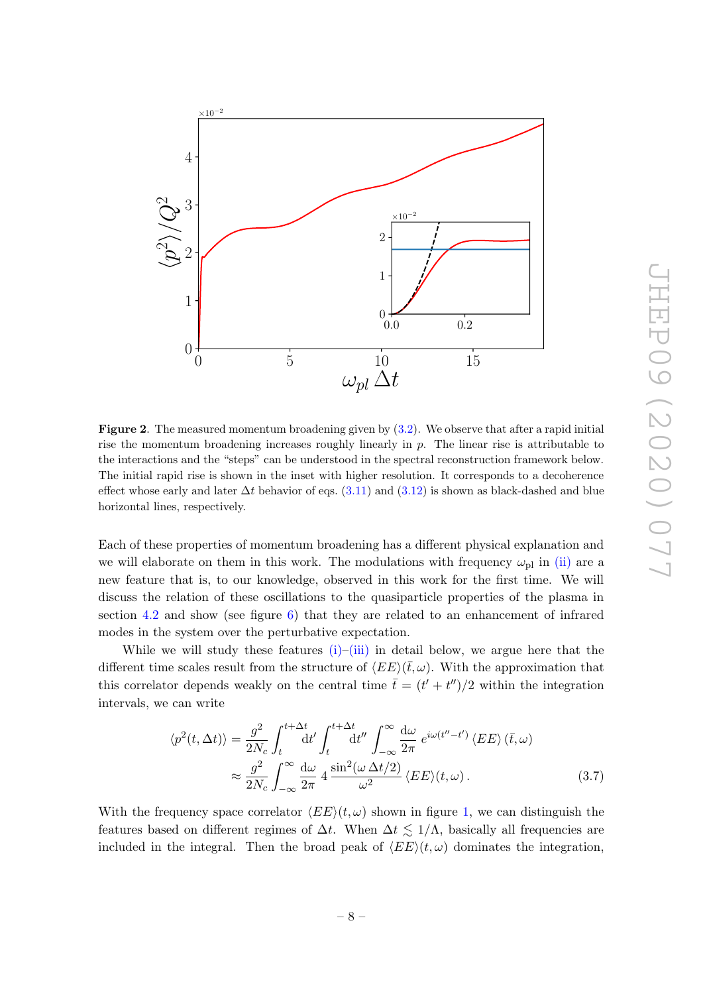

<span id="page-8-0"></span>Figure 2. The measured momentum broadening given by [\(3.2\)](#page-6-1). We observe that after a rapid initial rise the momentum broadening increases roughly linearly in  $p$ . The linear rise is attributable to the interactions and the "steps" can be understood in the spectral reconstruction framework below. The initial rapid rise is shown in the inset with higher resolution. It corresponds to a decoherence effect whose early and later  $\Delta t$  behavior of eqs. [\(3.11\)](#page-9-0) and [\(3.12\)](#page-9-1) is shown as black-dashed and blue horizontal lines, respectively.

Each of these properties of momentum broadening has a different physical explanation and we will elaborate on them in this work. The modulations with frequency  $\omega_{\text{pl}}$  in [\(ii\)](#page-7-2) are a new feature that is, to our knowledge, observed in this work for the first time. We will discuss the relation of these oscillations to the quasiparticle properties of the plasma in section [4.2](#page-16-0) and show (see figure  $6$ ) that they are related to an enhancement of infrared modes in the system over the perturbative expectation.

While we will study these features  $(i)$ – $(i)$  in detail below, we argue here that the different time scales result from the structure of  $\langle EE\rangle(\bar{t}, \omega)$ . With the approximation that this correlator depends weakly on the central time  $\bar{t} = (t' + t'')/2$  within the integration intervals, we can write

<span id="page-8-1"></span>
$$
\langle p^2(t,\Delta t)\rangle = \frac{g^2}{2N_c} \int_t^{t+\Delta t} dt' \int_t^{t+\Delta t} dt'' \int_{-\infty}^{\infty} \frac{d\omega}{2\pi} e^{i\omega(t''-t')} \langle EE\rangle (\bar{t}, \omega)
$$

$$
\approx \frac{g^2}{2N_c} \int_{-\infty}^{\infty} \frac{d\omega}{2\pi} 4 \frac{\sin^2(\omega \Delta t/2)}{\omega^2} \langle EE\rangle(t, \omega). \tag{3.7}
$$

With the frequency space correlator  $\langle EE\rangle(t,\omega)$  shown in figure [1,](#page-6-2) we can distinguish the features based on different regimes of  $\Delta t$ . When  $\Delta t \leq 1/\Lambda$ , basically all frequencies are included in the integral. Then the broad peak of  $\langle EE \rangle(t, \omega)$  dominates the integration,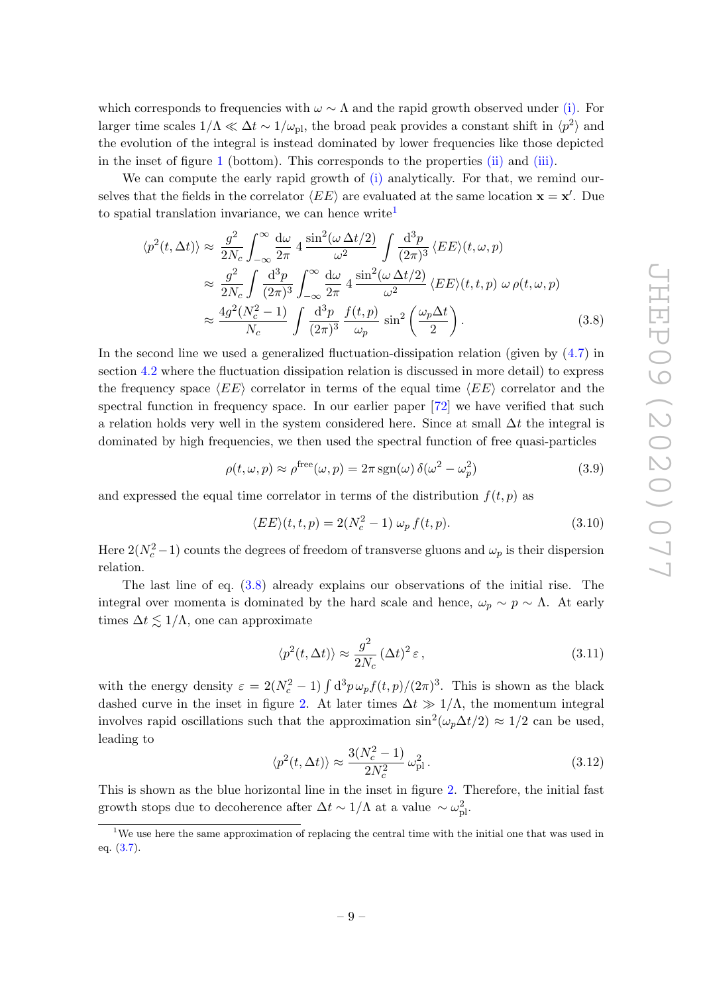which corresponds to frequencies with  $\omega \sim \Lambda$  and the rapid growth observed under [\(i\).](#page-7-3) For larger time scales  $1/\Lambda \ll \Delta t \sim 1/\omega_{\text{pl}}$ , the broad peak provides a constant shift in  $\langle p^2 \rangle$  and the evolution of the integral is instead dominated by lower frequencies like those depicted in the inset of figure [1](#page-6-2) (bottom). This corresponds to the properties [\(ii\)](#page-7-2) and [\(iii\).](#page-7-4)

We can compute the early rapid growth of [\(i\)](#page-7-3) analytically. For that, we remind ourselves that the fields in the correlator  $\langle EE \rangle$  are evaluated at the same location  $\mathbf{x} = \mathbf{x}'$ . Due to spatial translation invariance, we can hence write<sup>[1](#page-9-2)</sup>

$$
\langle p^2(t,\Delta t)\rangle \approx \frac{g^2}{2N_c} \int_{-\infty}^{\infty} \frac{d\omega}{2\pi} 4 \frac{\sin^2(\omega \Delta t/2)}{\omega^2} \int \frac{d^3p}{(2\pi)^3} \langle EE \rangle(t,\omega,p) \approx \frac{g^2}{2N_c} \int \frac{d^3p}{(2\pi)^3} \int_{-\infty}^{\infty} \frac{d\omega}{2\pi} 4 \frac{\sin^2(\omega \Delta t/2)}{\omega^2} \langle EE \rangle(t,t,p) \omega \rho(t,\omega,p) \approx \frac{4g^2(N_c^2-1)}{N_c} \int \frac{d^3p}{(2\pi)^3} \frac{f(t,p)}{\omega_p} \sin^2\left(\frac{\omega_p \Delta t}{2}\right).
$$
\n(3.8)

In the second line we used a generalized fluctuation-dissipation relation (given by [\(4.7\)](#page-17-0) in section [4.2](#page-16-0) where the fluctuation dissipation relation is discussed in more detail) to express the frequency space  $\langle EE \rangle$  correlator in terms of the equal time  $\langle EE \rangle$  correlator and the spectral function in frequency space. In our earlier paper [\[72\]](#page-39-3) we have verified that such a relation holds very well in the system considered here. Since at small  $\Delta t$  the integral is dominated by high frequencies, we then used the spectral function of free quasi-particles

<span id="page-9-3"></span>
$$
\rho(t,\omega,p) \approx \rho^{\text{free}}(\omega,p) = 2\pi \,\text{sgn}(\omega) \,\delta(\omega^2 - \omega_p^2) \tag{3.9}
$$

and expressed the equal time correlator in terms of the distribution  $f(t, p)$  as

$$
\langle EE \rangle(t,t,p) = 2(N_c^2 - 1) \omega_p f(t,p). \tag{3.10}
$$

Here  $2(N_c^2-1)$  counts the degrees of freedom of transverse gluons and  $\omega_p$  is their dispersion relation.

The last line of eq. [\(3.8\)](#page-9-3) already explains our observations of the initial rise. The integral over momenta is dominated by the hard scale and hence,  $\omega_p \sim p \sim \Lambda$ . At early times  $\Delta t \lesssim 1/\Lambda$ , one can approximate

<span id="page-9-0"></span>
$$
\langle p^2(t, \Delta t) \rangle \approx \frac{g^2}{2N_c} (\Delta t)^2 \,\varepsilon \,, \tag{3.11}
$$

with the energy density  $\varepsilon = 2(N_c^2 - 1) \int d^3p \omega_p f(t, p)/(2\pi)^3$ . This is shown as the black dashed curve in the inset in figure [2.](#page-8-0) At later times  $\Delta t \gg 1/\Lambda$ , the momentum integral involves rapid oscillations such that the approximation  $\sin^2(\omega_p \Delta t/2) \approx 1/2$  can be used, leading to

<span id="page-9-1"></span>
$$
\langle p^2(t, \Delta t) \rangle \approx \frac{3(N_c^2 - 1)}{2N_c^2} \omega_{\rm pl}^2. \tag{3.12}
$$

This is shown as the blue horizontal line in the inset in figure [2.](#page-8-0) Therefore, the initial fast growth stops due to decoherence after  $\Delta t \sim 1/\Lambda$  at a value  $\sim \omega_{\rm pl}^2$ .

<span id="page-9-2"></span><sup>&</sup>lt;sup>1</sup>We use here the same approximation of replacing the central time with the initial one that was used in eq. [\(3.7\)](#page-8-1).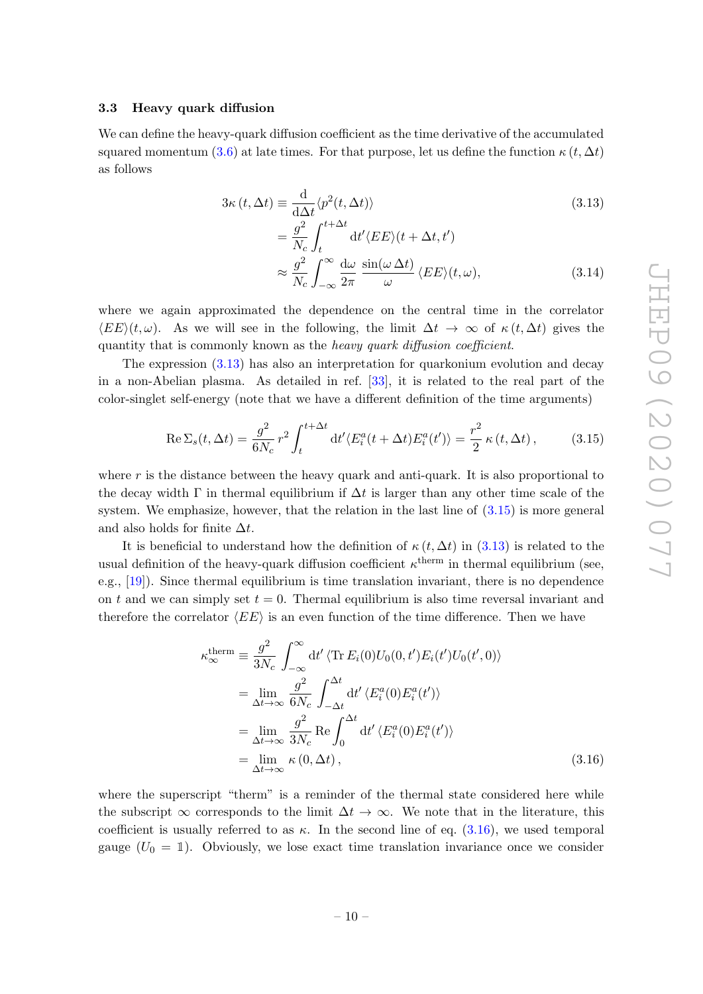#### <span id="page-10-0"></span>3.3 Heavy quark diffusion

We can define the heavy-quark diffusion coefficient as the time derivative of the accumulated squared momentum [\(3.6\)](#page-7-5) at late times. For that purpose, let us define the function  $\kappa(t, \Delta t)$ as follows

$$
3\kappa(t,\Delta t) \equiv \frac{\mathrm{d}}{\mathrm{d}\Delta t} \langle p^2(t,\Delta t) \rangle \tag{3.13}
$$

<span id="page-10-4"></span><span id="page-10-1"></span>
$$
= \frac{g^2}{N_c} \int_{t}^{t+\Delta t} dt' \langle EE \rangle(t + \Delta t, t')\n\n\approx \frac{g^2}{N_c} \int_{-\infty}^{\infty} \frac{d\omega}{2\pi} \frac{\sin(\omega \Delta t)}{\omega} \langle EE \rangle(t, \omega),
$$
\n(3.14)

where we again approximated the dependence on the central time in the correlator  $\langle EE\rangle(t,\omega)$ . As we will see in the following, the limit  $\Delta t \to \infty$  of  $\kappa(t,\Delta t)$  gives the quantity that is commonly known as the heavy quark diffusion coefficient.

The expression [\(3.13\)](#page-10-1) has also an interpretation for quarkonium evolution and decay in a non-Abelian plasma. As detailed in ref. [\[33\]](#page-37-2), it is related to the real part of the color-singlet self-energy (note that we have a different definition of the time arguments)

<span id="page-10-2"></span>
$$
\operatorname{Re}\Sigma_s(t,\Delta t) = \frac{g^2}{6N_c}r^2\int_t^{t+\Delta t} \mathrm{d}t' \langle E_i^a(t+\Delta t)E_i^a(t')\rangle = \frac{r^2}{2}\,\kappa\left(t,\Delta t\right),\tag{3.15}
$$

where  $r$  is the distance between the heavy quark and anti-quark. It is also proportional to the decay width  $\Gamma$  in thermal equilibrium if  $\Delta t$  is larger than any other time scale of the system. We emphasize, however, that the relation in the last line of  $(3.15)$  is more general and also holds for finite  $\Delta t$ .

It is beneficial to understand how the definition of  $\kappa(t, \Delta t)$  in [\(3.13\)](#page-10-1) is related to the usual definition of the heavy-quark diffusion coefficient  $\kappa^{\text{therm}}$  in thermal equilibrium (see, e.g., [\[19\]](#page-36-12)). Since thermal equilibrium is time translation invariant, there is no dependence on t and we can simply set  $t = 0$ . Thermal equilibrium is also time reversal invariant and therefore the correlator  $\langle EE \rangle$  is an even function of the time difference. Then we have

<span id="page-10-3"></span>
$$
\kappa_{\infty}^{\text{therm}} \equiv \frac{g^2}{3N_c} \int_{-\infty}^{\infty} dt' \langle \text{Tr} E_i(0) U_0(0, t') E_i(t') U_0(t', 0) \rangle
$$
  
\n
$$
= \lim_{\Delta t \to \infty} \frac{g^2}{6N_c} \int_{-\Delta t}^{\Delta t} dt' \langle E_i^a(0) E_i^a(t') \rangle
$$
  
\n
$$
= \lim_{\Delta t \to \infty} \frac{g^2}{3N_c} \text{Re} \int_0^{\Delta t} dt' \langle E_i^a(0) E_i^a(t') \rangle
$$
  
\n
$$
= \lim_{\Delta t \to \infty} \kappa (0, \Delta t), \qquad (3.16)
$$

where the superscript "therm" is a reminder of the thermal state considered here while the subscript  $\infty$  corresponds to the limit  $\Delta t \to \infty$ . We note that in the literature, this coefficient is usually referred to as  $\kappa$ . In the second line of eq. [\(3.16\)](#page-10-3), we used temporal gauge  $(U_0 = 1)$ . Obviously, we lose exact time translation invariance once we consider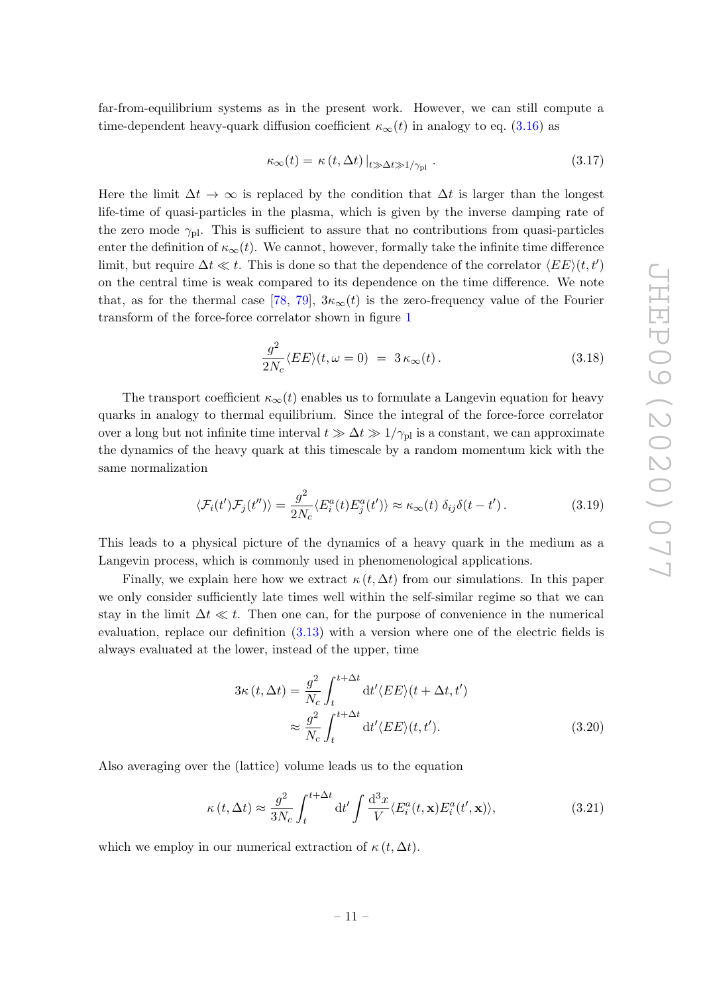far-from-equilibrium systems as in the present work. However, we can still compute a time-dependent heavy-quark diffusion coefficient  $\kappa_{\infty}(t)$  in analogy to eq. [\(3.16\)](#page-10-3) as

<span id="page-11-1"></span>
$$
\kappa_{\infty}(t) = \kappa(t, \Delta t)|_{t \gg \Delta t \gg 1/\gamma_{\rm pl}}.
$$
\n(3.17)

Here the limit  $\Delta t \to \infty$  is replaced by the condition that  $\Delta t$  is larger than the longest life-time of quasi-particles in the plasma, which is given by the inverse damping rate of the zero mode  $\gamma_{\text{pl}}$ . This is sufficient to assure that no contributions from quasi-particles enter the definition of  $\kappa_{\infty}(t)$ . We cannot, however, formally take the infinite time difference limit, but require  $\Delta t \ll t$ . This is done so that the dependence of the correlator  $\langle EE \rangle(t, t')$ on the central time is weak compared to its dependence on the time difference. We note that, as for the thermal case [\[78,](#page-39-9) [79\]](#page-39-10),  $3\kappa_\infty(t)$  is the zero-frequency value of the Fourier transform of the force-force correlator shown in figure [1](#page-6-2)

$$
\frac{g^2}{2N_c} \langle EE \rangle (t, \omega = 0) = 3\,\kappa_\infty(t). \tag{3.18}
$$

The transport coefficient  $\kappa_{\infty}(t)$  enables us to formulate a Langevin equation for heavy quarks in analogy to thermal equilibrium. Since the integral of the force-force correlator over a long but not infinite time interval  $t \gg \Delta t \gg 1/\gamma_{\rm pl}$  is a constant, we can approximate the dynamics of the heavy quark at this timescale by a random momentum kick with the same normalization

$$
\langle \mathcal{F}_i(t') \mathcal{F}_j(t'') \rangle = \frac{g^2}{2N_c} \langle E_i^a(t) E_j^a(t') \rangle \approx \kappa_\infty(t) \, \delta_{ij} \delta(t - t') \,. \tag{3.19}
$$

This leads to a physical picture of the dynamics of a heavy quark in the medium as a Langevin process, which is commonly used in phenomenological applications.

Finally, we explain here how we extract  $\kappa(t, \Delta t)$  from our simulations. In this paper we only consider sufficiently late times well within the self-similar regime so that we can stay in the limit  $\Delta t \ll t$ . Then one can, for the purpose of convenience in the numerical evaluation, replace our definition [\(3.13\)](#page-10-1) with a version where one of the electric fields is always evaluated at the lower, instead of the upper, time

$$
3\kappa(t,\Delta t) = \frac{g^2}{N_c} \int_t^{t+\Delta t} dt' \langle EE \rangle(t+\Delta t, t')
$$
  

$$
\approx \frac{g^2}{N_c} \int_t^{t+\Delta t} dt' \langle EE \rangle(t, t').
$$
 (3.20)

Also averaging over the (lattice) volume leads us to the equation

<span id="page-11-0"></span>
$$
\kappa(t,\Delta t) \approx \frac{g^2}{3N_c} \int_t^{t+\Delta t} dt' \int \frac{d^3x}{V} \langle E_i^a(t,\mathbf{x}) E_i^a(t',\mathbf{x}) \rangle, \tag{3.21}
$$

which we employ in our numerical extraction of  $\kappa(t, \Delta t)$ .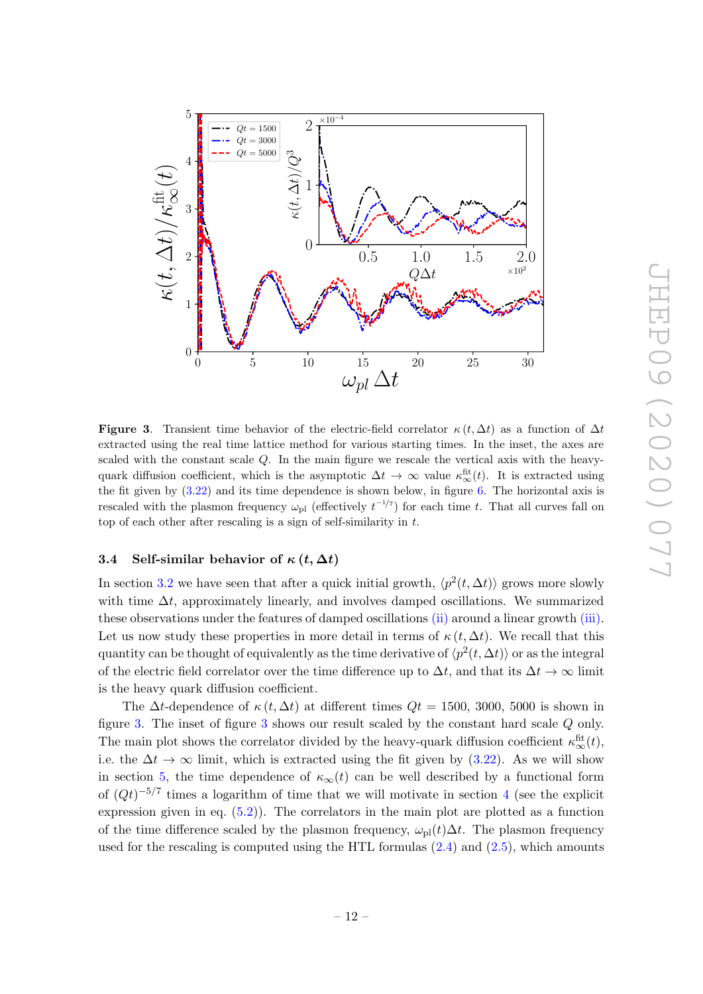

<span id="page-12-1"></span>**Figure 3.** Transient time behavior of the electric-field correlator  $\kappa(t, \Delta t)$  as a function of  $\Delta t$ extracted using the real time lattice method for various starting times. In the inset, the axes are scaled with the constant scale  $Q$ . In the main figure we rescale the vertical axis with the heavyquark diffusion coefficient, which is the asymptotic  $\Delta t \to \infty$  value  $\kappa_{\infty}^{\text{fit}}(t)$ . It is extracted using the fit given by  $(3.22)$  and its time dependence is shown below, in figure [6.](#page-24-0) The horizontal axis is rescaled with the plasmon frequency  $\omega_{\text{pl}}$  (effectively  $t^{-1/7}$ ) for each time t. That all curves fall on top of each other after rescaling is a sign of self-similarity in t.

## <span id="page-12-0"></span>3.4 Self-similar behavior of  $\kappa(t, \Delta t)$

In section [3.2](#page-7-0) we have seen that after a quick initial growth,  $\langle p^2(t, \Delta t) \rangle$  grows more slowly with time  $\Delta t$ , approximately linearly, and involves damped oscillations. We summarized these observations under the features of damped oscillations [\(ii\)](#page-7-2) around a linear growth [\(iii\).](#page-7-4) Let us now study these properties in more detail in terms of  $\kappa(t, \Delta t)$ . We recall that this quantity can be thought of equivalently as the time derivative of  $\langle p^2(t,\Delta t)\rangle$  or as the integral of the electric field correlator over the time difference up to  $\Delta t$ , and that its  $\Delta t \to \infty$  limit is the heavy quark diffusion coefficient.

The  $\Delta t$ -dependence of  $\kappa(t, \Delta t)$  at different times  $Qt = 1500, 3000, 5000$  is shown in figure [3.](#page-12-1) The inset of figure [3](#page-12-1) shows our result scaled by the constant hard scale Q only. The main plot shows the correlator divided by the heavy-quark diffusion coefficient  $\kappa_{\infty}^{\text{fit}}(t)$ , i.e. the  $\Delta t \to \infty$  limit, which is extracted using the fit given by [\(3.22\)](#page-13-0). As we will show in section [5,](#page-23-0) the time dependence of  $\kappa_{\infty}(t)$  can be well described by a functional form of  $(Qt)^{-5/7}$  times a logarithm of time that we will motivate in section [4](#page-14-0) (see the explicit expression given in eq.  $(5.2)$ . The correlators in the main plot are plotted as a function of the time difference scaled by the plasmon frequency,  $\omega_{\text{pl}}(t)\Delta t$ . The plasmon frequency used for the rescaling is computed using the HTL formulas  $(2.4)$  and  $(2.5)$ , which amounts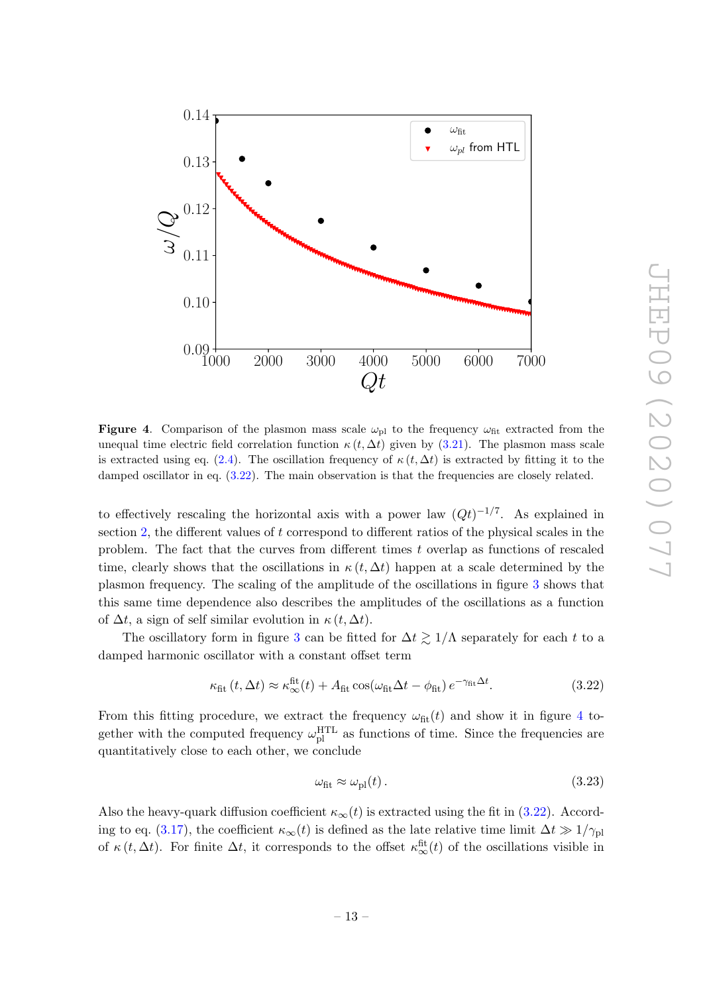

<span id="page-13-1"></span>**Figure 4.** Comparison of the plasmon mass scale  $\omega_{\text{pl}}$  to the frequency  $\omega_{\text{fit}}$  extracted from the unequal time electric field correlation function  $\kappa(t, \Delta t)$  given by [\(3.21\)](#page-11-0). The plasmon mass scale is extracted using eq. [\(2.4\)](#page-4-0). The oscillation frequency of  $\kappa(t, \Delta t)$  is extracted by fitting it to the damped oscillator in eq.  $(3.22)$ . The main observation is that the frequencies are closely related.

to effectively rescaling the horizontal axis with a power law  $(Qt)^{-1/7}$ . As explained in section [2,](#page-3-0) the different values of t correspond to different ratios of the physical scales in the problem. The fact that the curves from different times t overlap as functions of rescaled time, clearly shows that the oscillations in  $\kappa(t, \Delta t)$  happen at a scale determined by the plasmon frequency. The scaling of the amplitude of the oscillations in figure [3](#page-12-1) shows that this same time dependence also describes the amplitudes of the oscillations as a function of  $\Delta t$ , a sign of self similar evolution in  $\kappa (t, \Delta t)$ .

The oscillatory form in figure [3](#page-12-1) can be fitted for  $\Delta t \gtrsim 1/\Lambda$  separately for each t to a damped harmonic oscillator with a constant offset term

<span id="page-13-0"></span>
$$
\kappa_{\text{fit}}(t,\Delta t) \approx \kappa_{\infty}^{\text{fit}}(t) + A_{\text{fit}} \cos(\omega_{\text{fit}} \Delta t - \phi_{\text{fit}}) e^{-\gamma_{\text{fit}} \Delta t}.
$$
\n(3.22)

From this fitting procedure, we extract the frequency  $\omega_{\text{fit}}(t)$  and show it in figure [4](#page-13-1) together with the computed frequency  $\omega_{\text{pl}}^{\text{HTL}}$  as functions of time. Since the frequencies are quantitatively close to each other, we conclude

$$
\omega_{\text{fit}} \approx \omega_{\text{pl}}(t) \,. \tag{3.23}
$$

Also the heavy-quark diffusion coefficient  $\kappa_{\infty}(t)$  is extracted using the fit in [\(3.22\)](#page-13-0). Accord-ing to eq. [\(3.17\)](#page-11-1), the coefficient  $\kappa_{\infty}(t)$  is defined as the late relative time limit  $\Delta t \gg 1/\gamma_{\text{pl}}$ of  $\kappa(t, \Delta t)$ . For finite  $\Delta t$ , it corresponds to the offset  $\kappa_{\infty}^{\text{fit}}(t)$  of the oscillations visible in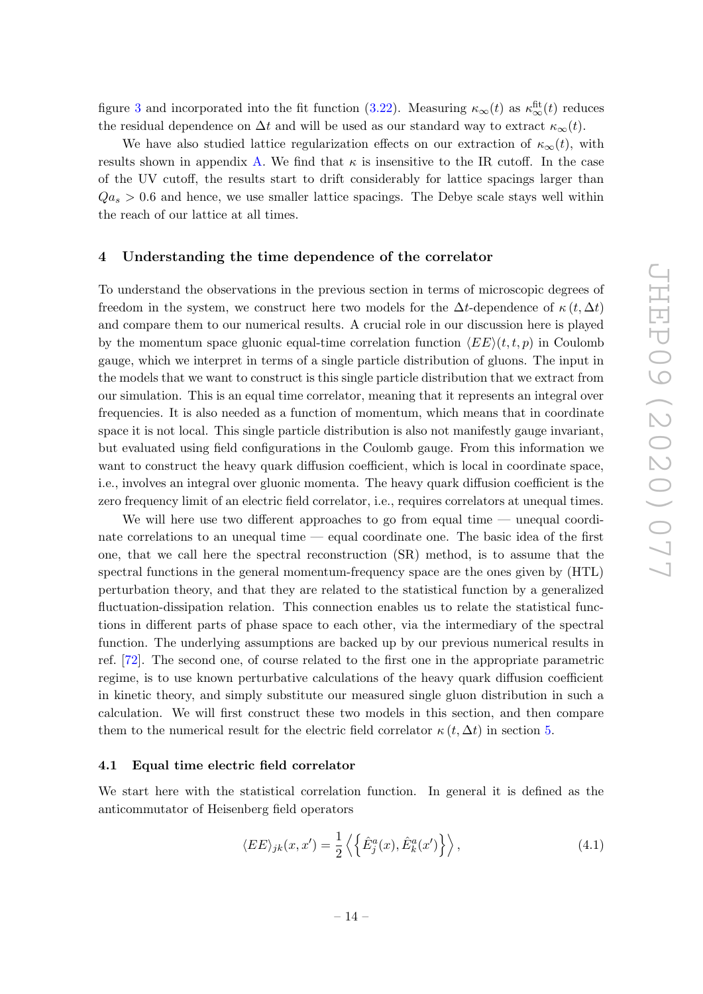figure [3](#page-12-1) and incorporated into the fit function [\(3.22\)](#page-13-0). Measuring  $\kappa_{\infty}(t)$  as  $\kappa_{\infty}^{\text{fit}}(t)$  reduces the residual dependence on  $\Delta t$  and will be used as our standard way to extract  $\kappa_{\infty}(t)$ .

We have also studied lattice regularization effects on our extraction of  $\kappa_{\infty}(t)$ , with results shown in appendix [A.](#page-32-0) We find that  $\kappa$  is insensitive to the IR cutoff. In the case of the UV cutoff, the results start to drift considerably for lattice spacings larger than  $Qa<sub>s</sub> > 0.6$  and hence, we use smaller lattice spacings. The Debye scale stays well within the reach of our lattice at all times.

#### <span id="page-14-0"></span>4 Understanding the time dependence of the correlator

To understand the observations in the previous section in terms of microscopic degrees of freedom in the system, we construct here two models for the  $\Delta t$ -dependence of  $\kappa(t, \Delta t)$ and compare them to our numerical results. A crucial role in our discussion here is played by the momentum space gluonic equal-time correlation function  $\langle EE \rangle(t, t, p)$  in Coulomb gauge, which we interpret in terms of a single particle distribution of gluons. The input in the models that we want to construct is this single particle distribution that we extract from our simulation. This is an equal time correlator, meaning that it represents an integral over frequencies. It is also needed as a function of momentum, which means that in coordinate space it is not local. This single particle distribution is also not manifestly gauge invariant, but evaluated using field configurations in the Coulomb gauge. From this information we want to construct the heavy quark diffusion coefficient, which is local in coordinate space, i.e., involves an integral over gluonic momenta. The heavy quark diffusion coefficient is the zero frequency limit of an electric field correlator, i.e., requires correlators at unequal times.

We will here use two different approaches to go from equal time — unequal coordinate correlations to an unequal time — equal coordinate one. The basic idea of the first one, that we call here the spectral reconstruction (SR) method, is to assume that the spectral functions in the general momentum-frequency space are the ones given by (HTL) perturbation theory, and that they are related to the statistical function by a generalized fluctuation-dissipation relation. This connection enables us to relate the statistical functions in different parts of phase space to each other, via the intermediary of the spectral function. The underlying assumptions are backed up by our previous numerical results in ref. [\[72\]](#page-39-3). The second one, of course related to the first one in the appropriate parametric regime, is to use known perturbative calculations of the heavy quark diffusion coefficient in kinetic theory, and simply substitute our measured single gluon distribution in such a calculation. We will first construct these two models in this section, and then compare them to the numerical result for the electric field correlator  $\kappa(t, \Delta t)$  in section [5.](#page-23-0)

#### <span id="page-14-1"></span>4.1 Equal time electric field correlator

We start here with the statistical correlation function. In general it is defined as the anticommutator of Heisenberg field operators

$$
\langle EE\rangle_{jk}(x,x') = \frac{1}{2} \left\langle \left\{\hat{E}^a_j(x), \hat{E}^a_k(x')\right\}\right\rangle, \tag{4.1}
$$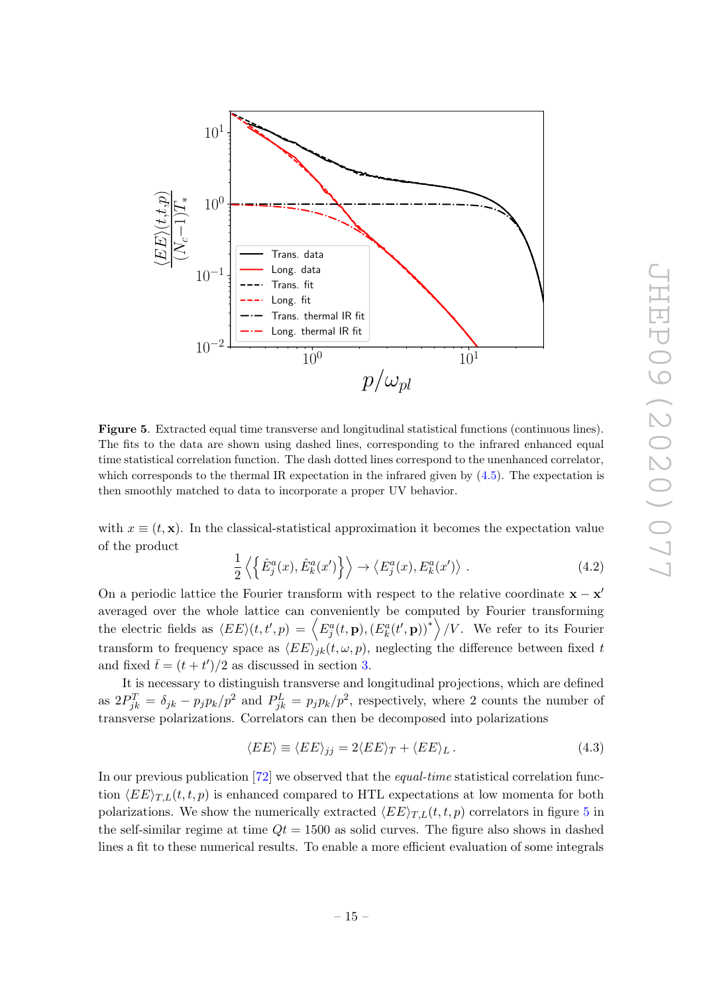

<span id="page-15-0"></span>Figure 5. Extracted equal time transverse and longitudinal statistical functions (continuous lines). The fits to the data are shown using dashed lines, corresponding to the infrared enhanced equal time statistical correlation function. The dash dotted lines correspond to the unenhanced correlator, which corresponds to the thermal IR expectation in the infrared given by  $(4.5)$ . The expectation is then smoothly matched to data to incorporate a proper UV behavior.

with  $x \equiv (t, \mathbf{x})$ . In the classical-statistical approximation it becomes the expectation value of the product

$$
\frac{1}{2}\left\langle \left\{\hat{E}_j^a(x), \hat{E}_k^a(x')\right\}\right\rangle \to \left\langle E_j^a(x), E_k^a(x')\right\rangle. \tag{4.2}
$$

On a periodic lattice the Fourier transform with respect to the relative coordinate  $\mathbf{x} - \mathbf{x}'$ averaged over the whole lattice can conveniently be computed by Fourier transforming the electric fields as  $\langle EE \rangle(t, t', p) = \langle E_j^a(t, \mathbf{p}), (E_k^a(t', \mathbf{p}))^* \rangle/V$ . We refer to its Fourier transform to frequency space as  $\langle EE\rangle_{ik}(t, \omega, p)$ , neglecting the difference between fixed t and fixed  $\bar{t} = (t + t')/2$  as discussed in section [3.](#page-5-0)

It is necessary to distinguish transverse and longitudinal projections, which are defined as  $2P_{jk}^T = \delta_{jk} - p_j p_k/p^2$  and  $P_{jk}^L = p_j p_k/p^2$ , respectively, where 2 counts the number of transverse polarizations. Correlators can then be decomposed into polarizations

<span id="page-15-1"></span>
$$
\langle EE \rangle \equiv \langle EE \rangle_{jj} = 2\langle EE \rangle_T + \langle EE \rangle_L. \tag{4.3}
$$

In our previous publication [\[72\]](#page-39-3) we observed that the *equal-time* statistical correlation function  $\langle EE\rangle_{T,L}(t, t, p)$  is enhanced compared to HTL expectations at low momenta for both polarizations. We show the numerically extracted  $\langle EE\rangle_{T,L}(t, t, p)$  correlators in figure [5](#page-15-0) in the self-similar regime at time  $Qt = 1500$  as solid curves. The figure also shows in dashed lines a fit to these numerical results. To enable a more efficient evaluation of some integrals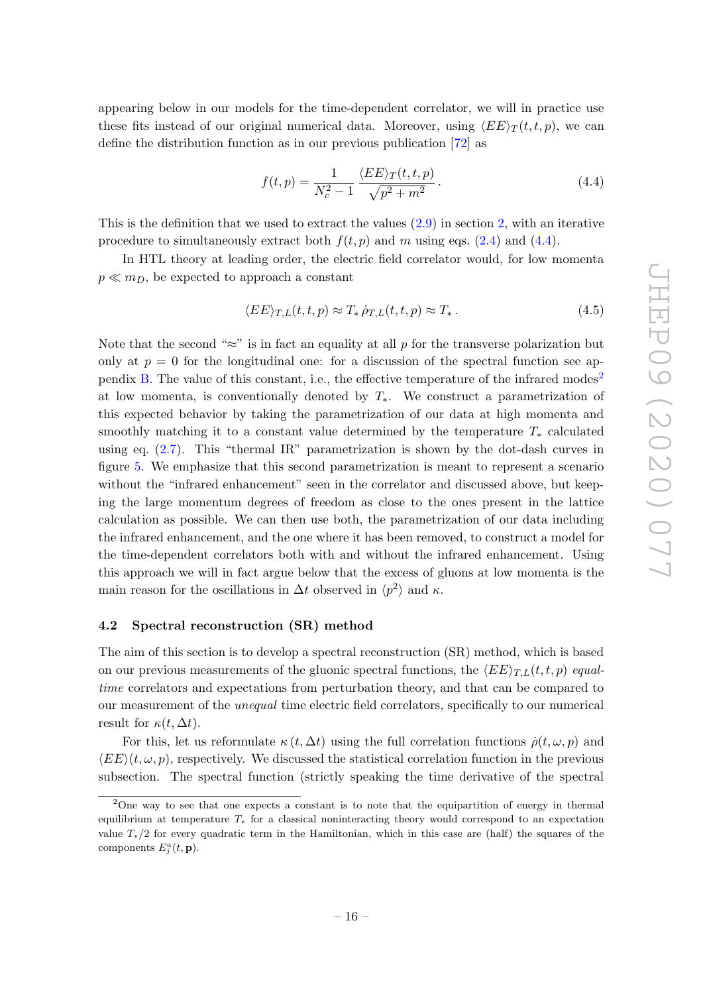appearing below in our models for the time-dependent correlator, we will in practice use these fits instead of our original numerical data. Moreover, using  $\langle EE \rangle_T(t, t, p)$ , we can define the distribution function as in our previous publication [\[72\]](#page-39-3) as

<span id="page-16-2"></span>
$$
f(t,p) = \frac{1}{N_c^2 - 1} \frac{\langle EE \rangle_T(t,t,p)}{\sqrt{p^2 + m^2}}.
$$
\n(4.4)

This is the definition that we used to extract the values [\(2.9\)](#page-5-2) in section [2,](#page-3-0) with an iterative procedure to simultaneously extract both  $f(t, p)$  and m using eqs. [\(2.4\)](#page-4-0) and [\(4.4\)](#page-16-2).

In HTL theory at leading order, the electric field correlator would, for low momenta  $p \ll m_D$ , be expected to approach a constant

<span id="page-16-1"></span>
$$
\langle EE\rangle_{T,L}(t,t,p)\approx T_*\dot{\rho}_{T,L}(t,t,p)\approx T_*.
$$
\n(4.5)

Note that the second "≈" is in fact an equality at all p for the transverse polarization but only at  $p = 0$  for the longitudinal one: for a discussion of the spectral function see ap-pendix [B.](#page-33-0) The value of this constant, i.e., the effective temperature of the infrared modes<sup>[2](#page-16-3)</sup> at low momenta, is conventionally denoted by  $T_*$ . We construct a parametrization of this expected behavior by taking the parametrization of our data at high momenta and smoothly matching it to a constant value determined by the temperature  $T_*$  calculated using eq.  $(2.7)$ . This "thermal IR" parametrization is shown by the dot-dash curves in figure [5.](#page-15-0) We emphasize that this second parametrization is meant to represent a scenario without the "infrared enhancement" seen in the correlator and discussed above, but keeping the large momentum degrees of freedom as close to the ones present in the lattice calculation as possible. We can then use both, the parametrization of our data including the infrared enhancement, and the one where it has been removed, to construct a model for the time-dependent correlators both with and without the infrared enhancement. Using this approach we will in fact argue below that the excess of gluons at low momenta is the main reason for the oscillations in  $\Delta t$  observed in  $\langle p^2 \rangle$  and  $\kappa$ .

## <span id="page-16-0"></span>4.2 Spectral reconstruction (SR) method

The aim of this section is to develop a spectral reconstruction (SR) method, which is based on our previous measurements of the gluonic spectral functions, the  $\langle EE\rangle_{TL}(t, t, p)$  equaltime correlators and expectations from perturbation theory, and that can be compared to our measurement of the unequal time electric field correlators, specifically to our numerical result for  $\kappa(t, \Delta t)$ .

For this, let us reformulate  $\kappa(t, \Delta t)$  using the full correlation functions  $\rho(t, \omega, p)$  and  $\langle EE\rangle(t,\omega,p),$  respectively. We discussed the statistical correlation function in the previous subsection. The spectral function (strictly speaking the time derivative of the spectral

<span id="page-16-3"></span><sup>&</sup>lt;sup>2</sup>One way to see that one expects a constant is to note that the equipartition of energy in thermal equilibrium at temperature T<sup>∗</sup> for a classical noninteracting theory would correspond to an expectation value  $T_*/2$  for every quadratic term in the Hamiltonian, which in this case are (half) the squares of the components  $E_j^a(t, \mathbf{p})$ .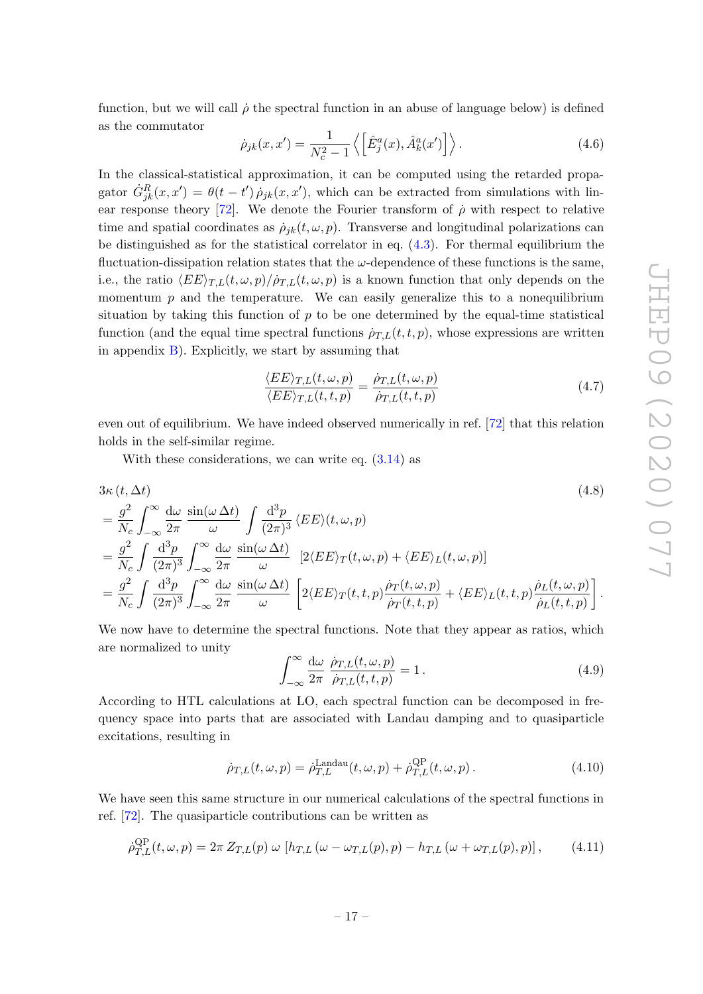function, but we will call  $\rho$  the spectral function in an abuse of language below) is defined as the commutator

$$
\dot{\rho}_{jk}(x,x') = \frac{1}{N_c^2 - 1} \left\langle \left[ \hat{E}_j^a(x), \hat{A}_k^a(x') \right] \right\rangle. \tag{4.6}
$$

In the classical-statistical approximation, it can be computed using the retarded propagator  $\dot{G}_{jk}^R(x,x') = \theta(t-t')\dot{\rho}_{jk}(x,x')$ , which can be extracted from simulations with lin-ear response theory [\[72\]](#page-39-3). We denote the Fourier transform of  $\dot{\rho}$  with respect to relative time and spatial coordinates as  $\dot{\rho}_{ik}(t,\omega,p)$ . Transverse and longitudinal polarizations can be distinguished as for the statistical correlator in eq. [\(4.3\)](#page-15-1). For thermal equilibrium the fluctuation-dissipation relation states that the  $\omega$ -dependence of these functions is the same, i.e., the ratio  $\langle EE\rangle_{TL}(t, \omega, p)/\rho_{TL}(t, \omega, p)$  is a known function that only depends on the momentum  $p$  and the temperature. We can easily generalize this to a nonequilibrium situation by taking this function of  $p$  to be one determined by the equal-time statistical function (and the equal time spectral functions  $\rho_{T,L}(t,t,p)$ , whose expressions are written in appendix  $\bf{B}$ ). Explicitly, we start by assuming that

<span id="page-17-1"></span><span id="page-17-0"></span>
$$
\frac{\langle EE\rangle_{T,L}(t,\omega,p)}{\langle EE\rangle_{T,L}(t,t,p)} = \frac{\dot{\rho}_{T,L}(t,\omega,p)}{\dot{\rho}_{T,L}(t,t,p)}\tag{4.7}
$$

even out of equilibrium. We have indeed observed numerically in ref. [\[72\]](#page-39-3) that this relation holds in the self-similar regime.

With these considerations, we can write eq.  $(3.14)$  as

$$
3\kappa (t, \Delta t) \tag{4.8}
$$
\n
$$
= \frac{g^2}{N_c} \int_{-\infty}^{\infty} \frac{d\omega}{2\pi} \frac{\sin(\omega \Delta t)}{\omega} \int \frac{d^3 p}{(2\pi)^3} \langle EE \rangle(t, \omega, p) \rangle
$$
\n
$$
= \frac{g^2}{N_c} \int \frac{d^3 p}{(2\pi)^3} \int_{-\infty}^{\infty} \frac{d\omega}{2\pi} \frac{\sin(\omega \Delta t)}{\omega} \left[ 2\langle EE \rangle_T(t, \omega, p) + \langle EE \rangle_L(t, \omega, p) \right]
$$
\n
$$
= \frac{g^2}{N_c} \int \frac{d^3 p}{(2\pi)^3} \int_{-\infty}^{\infty} \frac{d\omega}{2\pi} \frac{\sin(\omega \Delta t)}{\omega} \left[ 2\langle EE \rangle_T(t, t, p) \frac{\dot{\rho}_T(t, \omega, p)}{\dot{\rho}_T(t, t, p)} + \langle EE \rangle_L(t, t, p) \frac{\dot{\rho}_L(t, \omega, p)}{\dot{\rho}_L(t, t, p)} \right].
$$
\n(4.8)

We now have to determine the spectral functions. Note that they appear as ratios, which are normalized to unity

$$
\int_{-\infty}^{\infty} \frac{d\omega}{2\pi} \frac{\dot{\rho}_{T,L}(t,\omega,p)}{\dot{\rho}_{T,L}(t,t,p)} = 1.
$$
\n(4.9)

According to HTL calculations at LO, each spectral function can be decomposed in frequency space into parts that are associated with Landau damping and to quasiparticle excitations, resulting in

<span id="page-17-2"></span>
$$
\dot{\rho}_{T,L}(t,\omega,p) = \dot{\rho}_{T,L}^{\text{Landau}}(t,\omega,p) + \dot{\rho}_{T,L}^{\text{QP}}(t,\omega,p) \,. \tag{4.10}
$$

We have seen this same structure in our numerical calculations of the spectral functions in ref. [\[72\]](#page-39-3). The quasiparticle contributions can be written as

<span id="page-17-3"></span>
$$
\dot{\rho}_{T,L}^{\text{QP}}(t,\omega,p) = 2\pi Z_{T,L}(p) \omega \left[ h_{T,L}\left(\omega - \omega_{T,L}(p),p\right) - h_{T,L}\left(\omega + \omega_{T,L}(p),p\right) \right],\tag{4.11}
$$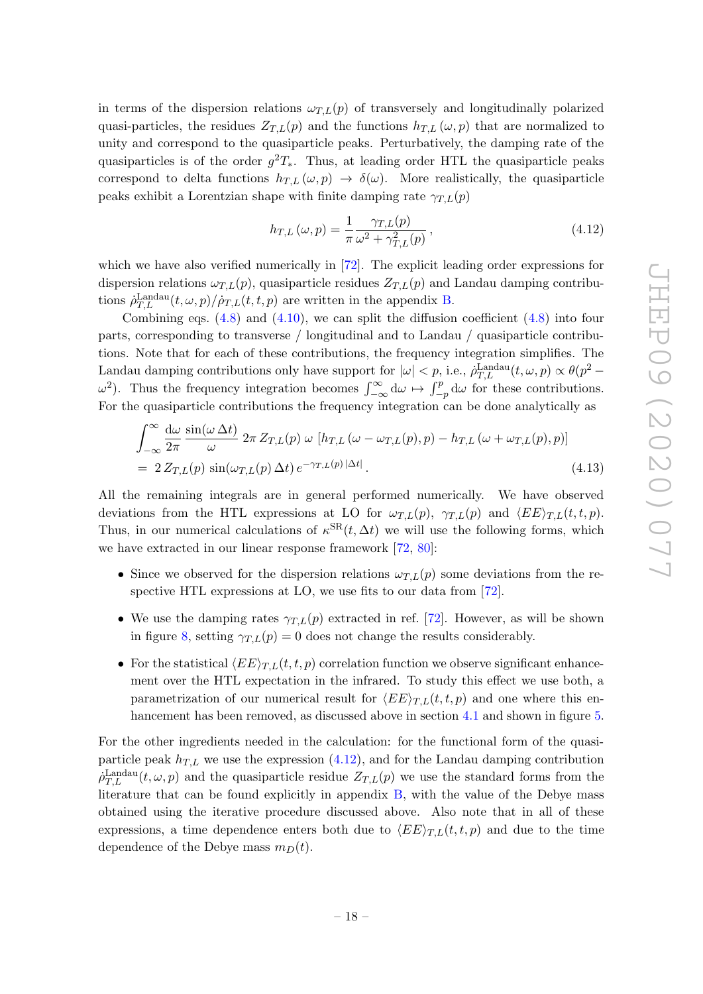in terms of the dispersion relations  $\omega_{T,L}(p)$  of transversely and longitudinally polarized quasi-particles, the residues  $Z_{T,L}(p)$  and the functions  $h_{T,L}(\omega, p)$  that are normalized to unity and correspond to the quasiparticle peaks. Perturbatively, the damping rate of the quasiparticles is of the order  $g^2T_*$ . Thus, at leading order HTL the quasiparticle peaks correspond to delta functions  $h_{T,L}(\omega, p) \to \delta(\omega)$ . More realistically, the quasiparticle peaks exhibit a Lorentzian shape with finite damping rate  $\gamma_{T,L}(p)$ 

<span id="page-18-1"></span><span id="page-18-0"></span>
$$
h_{T,L}(\omega, p) = \frac{1}{\pi} \frac{\gamma_{T,L}(p)}{\omega^2 + \gamma_{T,L}^2(p)},
$$
\n(4.12)

which we have also verified numerically in [\[72\]](#page-39-3). The explicit leading order expressions for dispersion relations  $\omega_{T,L}(p)$ , quasiparticle residues  $Z_{T,L}(p)$  and Landau damping contributions  $\dot{\rho}_{T,L}^{\text{Landau}}(t,\omega,p)/\dot{\rho}_{T,L}(t,t,p)$  are written in the appendix [B.](#page-33-0)

Combining eqs.  $(4.8)$  and  $(4.10)$ , we can split the diffusion coefficient  $(4.8)$  into four parts, corresponding to transverse / longitudinal and to Landau / quasiparticle contributions. Note that for each of these contributions, the frequency integration simplifies. The Landau damping contributions only have support for  $|\omega| < p$ , i.e.,  $\rho_{T,L}^{\text{Landau}}(t,\omega,p) \propto \theta(p^2 - p)$ ω<sup>2</sup>). Thus the frequency integration becomes  $\int_{-\infty}^{\infty} dω$  →  $\int_{-p}^{p} dω$  for these contributions. For the quasiparticle contributions the frequency integration can be done analytically as

$$
\int_{-\infty}^{\infty} \frac{d\omega}{2\pi} \frac{\sin(\omega \Delta t)}{\omega} 2\pi Z_{T,L}(p) \omega [h_{T,L}(\omega - \omega_{T,L}(p), p) - h_{T,L}(\omega + \omega_{T,L}(p), p)]
$$
  
= 2 Z\_{T,L}(p) sin(\omega\_{T,L}(p) \Delta t) e^{-\gamma\_{T,L}(p)|\Delta t|}. (4.13)

All the remaining integrals are in general performed numerically. We have observed deviations from the HTL expressions at LO for  $\omega_{TL}(p)$ ,  $\gamma_{TL}(p)$  and  $\langle EE \rangle_{TL}(t, t, p)$ . Thus, in our numerical calculations of  $\kappa^{SR}(t, \Delta t)$  we will use the following forms, which we have extracted in our linear response framework [\[72,](#page-39-3) [80\]](#page-39-11):

- Since we observed for the dispersion relations  $\omega_{T,L}(p)$  some deviations from the re-spective HTL expressions at LO, we use fits to our data from [\[72\]](#page-39-3).
- We use the damping rates  $\gamma_{T,L}(p)$  extracted in ref. [\[72\]](#page-39-3). However, as will be shown in figure [8,](#page-29-1) setting  $\gamma_{T,L}(p) = 0$  does not change the results considerably.
- For the statistical  $\langle EE\rangle_{T,L}(t, t, p)$  correlation function we observe significant enhancement over the HTL expectation in the infrared. To study this effect we use both, a parametrization of our numerical result for  $\langle EE\rangle_{T,L}(t, t, p)$  and one where this enhancement has been removed, as discussed above in section [4.1](#page-14-1) and shown in figure [5.](#page-15-0)

For the other ingredients needed in the calculation: for the functional form of the quasiparticle peak  $h_{T,L}$  we use the expression  $(4.12)$ , and for the Landau damping contribution  $\dot{\rho}_{T,L}^{\text{Landau}}(t,\omega,p)$  and the quasiparticle residue  $Z_{T,L}(p)$  we use the standard forms from the literature that can be found explicitly in appendix [B,](#page-33-0) with the value of the Debye mass obtained using the iterative procedure discussed above. Also note that in all of these expressions, a time dependence enters both due to  $\langle EE\rangle_{TL}(t, t, p)$  and due to the time dependence of the Debye mass  $m_D(t)$ .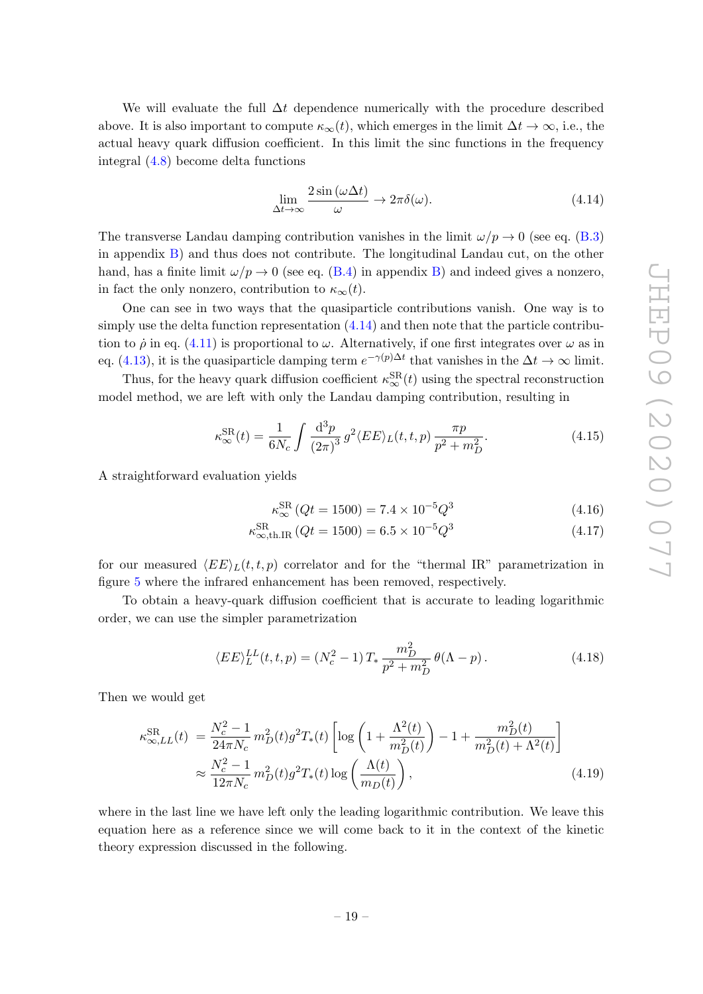We will evaluate the full  $\Delta t$  dependence numerically with the procedure described above. It is also important to compute  $\kappa_{\infty}(t)$ , which emerges in the limit  $\Delta t \to \infty$ , i.e., the actual heavy quark diffusion coefficient. In this limit the sinc functions in the frequency integral [\(4.8\)](#page-17-1) become delta functions

<span id="page-19-0"></span>
$$
\lim_{\Delta t \to \infty} \frac{2 \sin(\omega \Delta t)}{\omega} \to 2\pi \delta(\omega). \tag{4.14}
$$

The transverse Landau damping contribution vanishes in the limit  $\omega/p \to 0$  (see eq. [\(B.3\)](#page-34-0) in appendix [B\)](#page-33-0) and thus does not contribute. The longitudinal Landau cut, on the other hand, has a finite limit  $\omega/p \to 0$  (see eq. [\(B.4\)](#page-34-1) in appendix [B\)](#page-33-0) and indeed gives a nonzero, in fact the only nonzero, contribution to  $\kappa_{\infty}(t)$ .

One can see in two ways that the quasiparticle contributions vanish. One way is to simply use the delta function representation  $(4.14)$  and then note that the particle contribution to  $\dot{\rho}$  in eq. [\(4.11\)](#page-17-3) is proportional to  $\omega$ . Alternatively, if one first integrates over  $\omega$  as in eq. [\(4.13\)](#page-18-1), it is the quasiparticle damping term  $e^{-\gamma(p)\Delta t}$  that vanishes in the  $\Delta t \to \infty$  limit.

Thus, for the heavy quark diffusion coefficient  $\kappa_{\infty}^{SR}(t)$  using the spectral reconstruction model method, we are left with only the Landau damping contribution, resulting in

<span id="page-19-3"></span>
$$
\kappa_{\infty}^{\text{SR}}(t) = \frac{1}{6N_c} \int \frac{\mathrm{d}^3 p}{(2\pi)^3} g^2 \langle EE \rangle_L(t, t, p) \frac{\pi p}{p^2 + m_D^2}.
$$
 (4.15)

A straightforward evaluation yields

<span id="page-19-2"></span><span id="page-19-1"></span>
$$
\kappa_{\infty}^{\rm SR} (Qt = 1500) = 7.4 \times 10^{-5} Q^3 \tag{4.16}
$$

$$
\kappa_{\infty, \text{th.IR}}^{\text{SR}} \left( Qt = 1500 \right) = 6.5 \times 10^{-5} Q^3 \tag{4.17}
$$

for our measured  $\langle EE\rangle_L(t, t, p)$  correlator and for the "thermal IR" parametrization in figure [5](#page-15-0) where the infrared enhancement has been removed, respectively.

To obtain a heavy-quark diffusion coefficient that is accurate to leading logarithmic order, we can use the simpler parametrization

<span id="page-19-5"></span><span id="page-19-4"></span>
$$
\langle EE \rangle_L^{LL}(t, t, p) = (N_c^2 - 1) T_* \frac{m_D^2}{p^2 + m_D^2} \theta(\Lambda - p).
$$
 (4.18)

Then we would get

$$
\kappa_{\infty,LL}^{\text{SR}}(t) = \frac{N_c^2 - 1}{24\pi N_c} m_D^2(t) g^2 T_*(t) \left[ \log \left( 1 + \frac{\Lambda^2(t)}{m_D^2(t)} \right) - 1 + \frac{m_D^2(t)}{m_D^2(t) + \Lambda^2(t)} \right]
$$
  

$$
\approx \frac{N_c^2 - 1}{12\pi N_c} m_D^2(t) g^2 T_*(t) \log \left( \frac{\Lambda(t)}{m_D(t)} \right),
$$
(4.19)

where in the last line we have left only the leading logarithmic contribution. We leave this equation here as a reference since we will come back to it in the context of the kinetic theory expression discussed in the following.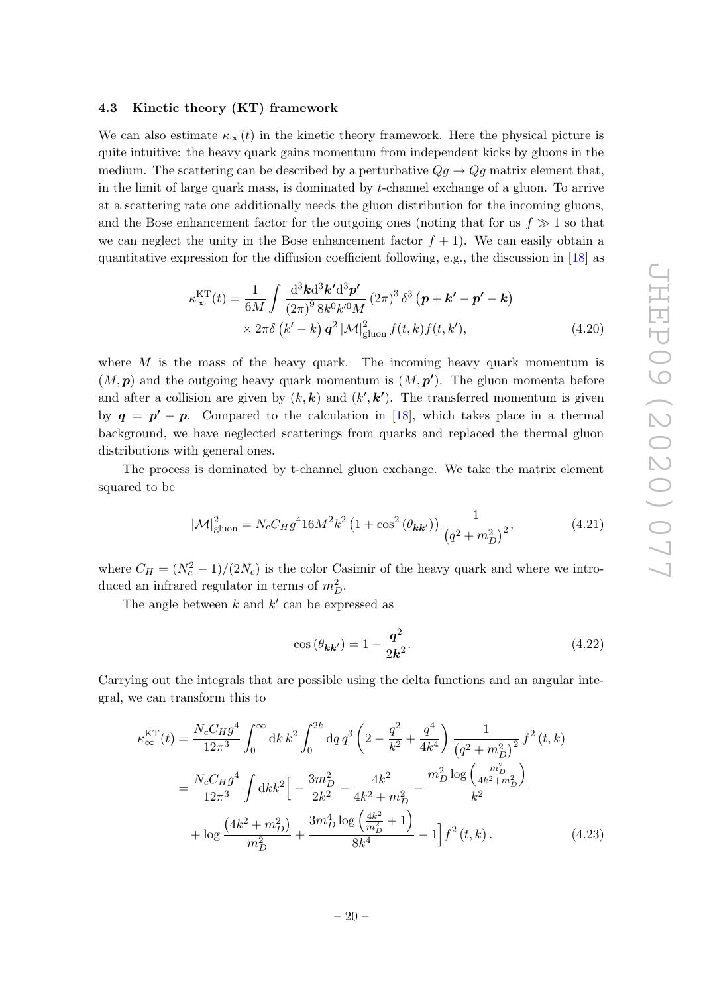## <span id="page-20-0"></span>4.3 Kinetic theory (KT) framework

We can also estimate  $\kappa_{\infty}(t)$  in the kinetic theory framework. Here the physical picture is quite intuitive: the heavy quark gains momentum from independent kicks by gluons in the medium. The scattering can be described by a perturbative  $Qg \to Qg$  matrix element that, in the limit of large quark mass, is dominated by t-channel exchange of a gluon. To arrive at a scattering rate one additionally needs the gluon distribution for the incoming gluons, and the Bose enhancement factor for the outgoing ones (noting that for us  $f \gg 1$  so that we can neglect the unity in the Bose enhancement factor  $f + 1$ ). We can easily obtain a quantitative expression for the diffusion coefficient following, e.g., the discussion in [\[18\]](#page-36-11) as

$$
\kappa_{\infty}^{\rm KT}(t) = \frac{1}{6M} \int \frac{\mathrm{d}^3 \mathbf{k} \mathrm{d}^3 \mathbf{k}' \mathrm{d}^3 \mathbf{p}'}{(2\pi)^9 8k^0 k'^0 M} (2\pi)^3 \delta^3 (\mathbf{p} + \mathbf{k}' - \mathbf{p}' - \mathbf{k})
$$
  
× 2 $\pi \delta (k' - k) \mathbf{q}^2 |\mathcal{M}|_{\text{gluon}}^2 f(t, k) f(t, k'),$  (4.20)

where  $M$  is the mass of the heavy quark. The incoming heavy quark momentum is  $(M, p)$  and the outgoing heavy quark momentum is  $(M, p')$ . The gluon momenta before and after a collision are given by  $(k, k)$  and  $(k', k')$ . The transferred momentum is given by  $q = p' - p$ . Compared to the calculation in [\[18\]](#page-36-11), which takes place in a thermal background, we have neglected scatterings from quarks and replaced the thermal gluon distributions with general ones.

The process is dominated by t-channel gluon exchange. We take the matrix element squared to be

<span id="page-20-2"></span>
$$
|\mathcal{M}|_{\text{gluon}}^2 = N_c C_H g^4 16M^2 k^2 \left(1 + \cos^2 \left(\theta_{\mathbf{k} \mathbf{k}'}\right)\right) \frac{1}{\left(q^2 + m_D^2\right)^2},\tag{4.21}
$$

where  $C_H = (N_c^2 - 1)/(2N_c)$  is the color Casimir of the heavy quark and where we introduced an infrared regulator in terms of  $m_D^2$ .

The angle between  $k$  and  $k'$  can be expressed as

<span id="page-20-1"></span>
$$
\cos\left(\theta_{\mathbf{k}\mathbf{k}'}\right) = 1 - \frac{\mathbf{q}^2}{2\mathbf{k}^2}.\tag{4.22}
$$

Carrying out the integrals that are possible using the delta functions and an angular integral, we can transform this to

$$
\kappa_{\infty}^{\rm KT}(t) = \frac{N_c C_H g^4}{12\pi^3} \int_0^{\infty} dk \, k^2 \int_0^{2k} dq \, q^3 \left(2 - \frac{q^2}{k^2} + \frac{q^4}{4k^4}\right) \frac{1}{\left(q^2 + m_D^2\right)^2} f^2(t, k)
$$

$$
= \frac{N_c C_H g^4}{12\pi^3} \int dk \, k^2 \left[-\frac{3m_D^2}{2k^2} - \frac{4k^2}{4k^2 + m_D^2} - \frac{m_D^2 \log\left(\frac{m_D^2}{4k^2 + m_D^2}\right)}{k^2} + \log\frac{\left(4k^2 + m_D^2\right)}{m_D^2} + \frac{3m_D^4 \log\left(\frac{4k^2}{m_D^2} + 1\right)}{8k^4} - 1\right] f^2(t, k). \tag{4.23}
$$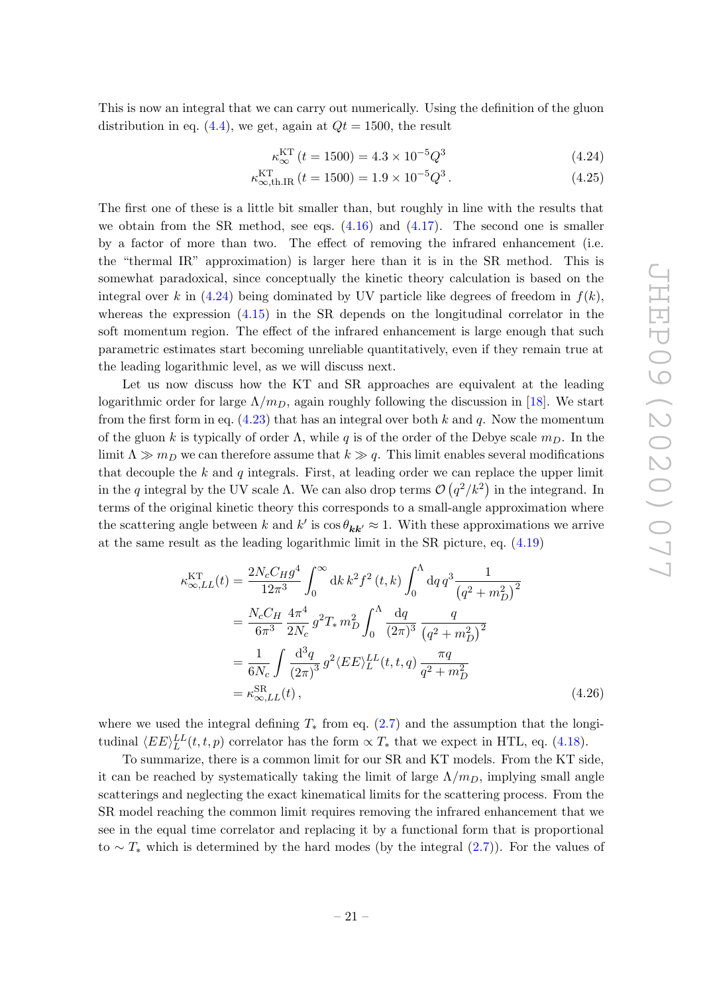This is now an integral that we can carry out numerically. Using the definition of the gluon distribution in eq.  $(4.4)$ , we get, again at  $Qt = 1500$ , the result

<span id="page-21-2"></span><span id="page-21-0"></span>
$$
\kappa_{\infty}^{\rm KT} (t = 1500) = 4.3 \times 10^{-5} Q^3 \tag{4.24}
$$

$$
\kappa_{\infty, \text{th.IR}}^{\text{KT}} (t = 1500) = 1.9 \times 10^{-5} Q^3. \tag{4.25}
$$

The first one of these is a little bit smaller than, but roughly in line with the results that we obtain from the SR method, see eqs. [\(4.16\)](#page-19-1) and [\(4.17\)](#page-19-2). The second one is smaller by a factor of more than two. The effect of removing the infrared enhancement (i.e. the "thermal IR" approximation) is larger here than it is in the SR method. This is somewhat paradoxical, since conceptually the kinetic theory calculation is based on the integral over k in [\(4.24\)](#page-21-0) being dominated by UV particle like degrees of freedom in  $f(k)$ , whereas the expression  $(4.15)$  in the SR depends on the longitudinal correlator in the soft momentum region. The effect of the infrared enhancement is large enough that such parametric estimates start becoming unreliable quantitatively, even if they remain true at the leading logarithmic level, as we will discuss next.

Let us now discuss how the KT and SR approaches are equivalent at the leading logarithmic order for large  $\Lambda/m_D$ , again roughly following the discussion in [\[18\]](#page-36-11). We start from the first form in eq.  $(4.23)$  that has an integral over both k and q. Now the momentum of the gluon k is typically of order  $\Lambda$ , while q is of the order of the Debye scale  $m_D$ . In the limit  $\Lambda \gg m_D$  we can therefore assume that  $k \gg q$ . This limit enables several modifications that decouple the  $k$  and  $q$  integrals. First, at leading order we can replace the upper limit in the q integral by the UV scale  $\Lambda$ . We can also drop terms  $\mathcal{O}(q^2/k^2)$  in the integrand. In terms of the original kinetic theory this corresponds to a small-angle approximation where the scattering angle between k and k' is  $\cos \theta_{kk'} \approx 1$ . With these approximations we arrive at the same result as the leading logarithmic limit in the SR picture, eq. [\(4.19\)](#page-19-4)

<span id="page-21-1"></span>
$$
\kappa_{\infty,LL}^{\text{KT}}(t) = \frac{2N_c C_H g^4}{12\pi^3} \int_0^\infty dk \, k^2 f^2(t, k) \int_0^\Lambda dq \, q^3 \frac{1}{(q^2 + m_D^2)^2}
$$
  
=  $\frac{N_c C_H}{6\pi^3} \frac{4\pi^4}{2N_c} g^2 T_* m_D^2 \int_0^\Lambda \frac{dq}{(2\pi)^3} \frac{q}{(q^2 + m_D^2)^2}$   
=  $\frac{1}{6N_c} \int \frac{d^3q}{(2\pi)^3} g^2 \langle EE \rangle_L^{LL}(t, t, q) \frac{\pi q}{q^2 + m_D^2}$   
=  $\kappa_{\infty,LL}^{\text{SR}}(t)$ , (4.26)

where we used the integral defining  $T_*$  from eq. [\(2.7\)](#page-4-5) and the assumption that the longitudinal  $\langle EE\rangle_L^{LL}(t, t, p)$  correlator has the form  $\propto T_*$  that we expect in HTL, eq. [\(4.18\)](#page-19-5).

To summarize, there is a common limit for our SR and KT models. From the KT side, it can be reached by systematically taking the limit of large  $\Lambda/m_D$ , implying small angle scatterings and neglecting the exact kinematical limits for the scattering process. From the SR model reaching the common limit requires removing the infrared enhancement that we see in the equal time correlator and replacing it by a functional form that is proportional to ∼  $T_*$  which is determined by the hard modes (by the integral [\(2.7\)](#page-4-5)). For the values of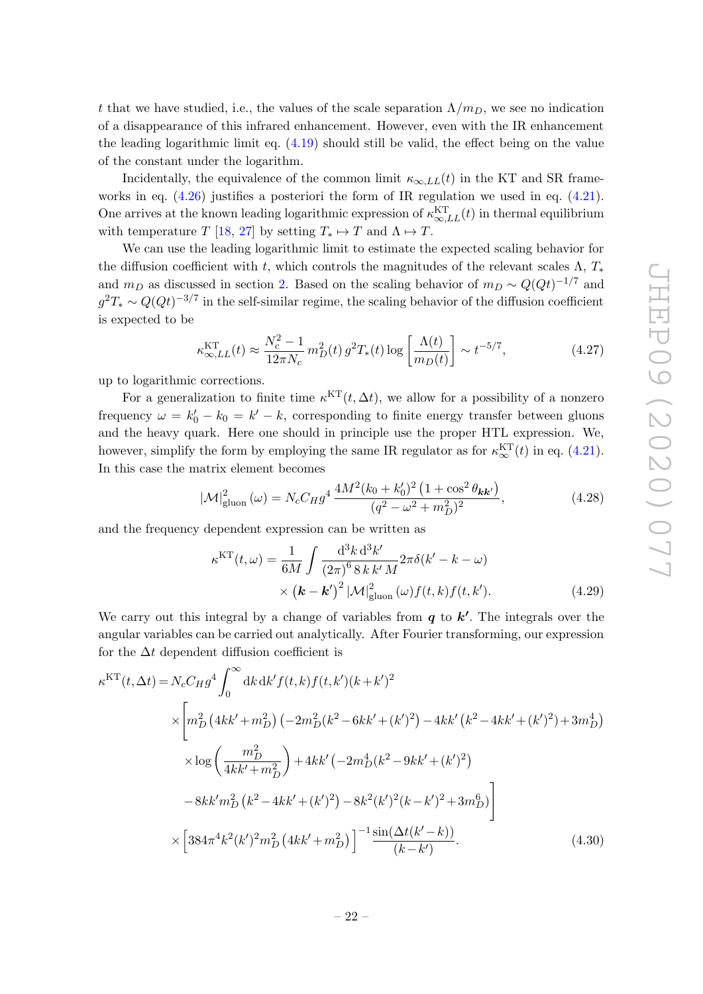t that we have studied, i.e., the values of the scale separation  $\Lambda/m_D$ , we see no indication of a disappearance of this infrared enhancement. However, even with the IR enhancement the leading logarithmic limit eq. [\(4.19\)](#page-19-4) should still be valid, the effect being on the value of the constant under the logarithm.

Incidentally, the equivalence of the common limit  $\kappa_{\infty,LL}(t)$  in the KT and SR frameworks in eq.  $(4.26)$  justifies a posteriori the form of IR regulation we used in eq.  $(4.21)$ . One arrives at the known leading logarithmic expression of  $\kappa_{\infty,LL}^{\text{KT}}(t)$  in thermal equilibrium with temperature T [\[18,](#page-36-11) [27\]](#page-36-9) by setting  $T_* \mapsto T$  and  $\Lambda \mapsto T$ .

We can use the leading logarithmic limit to estimate the expected scaling behavior for the diffusion coefficient with t, which controls the magnitudes of the relevant scales  $\Lambda$ ,  $T_*$ and  $m_D$  as discussed in section [2.](#page-3-0) Based on the scaling behavior of  $m_D \sim Q(Qt)^{-1/7}$  and  $g^2T_* \sim Q(Qt)^{-3/7}$  in the self-similar regime, the scaling behavior of the diffusion coefficient is expected to be

<span id="page-22-2"></span>
$$
\kappa_{\infty,LL}^{\rm KT}(t) \approx \frac{N_c^2 - 1}{12\pi N_c} m_D^2(t) g^2 T_*(t) \log\left[\frac{\Lambda(t)}{m_D(t)}\right] \sim t^{-5/7},\tag{4.27}
$$

up to logarithmic corrections.

For a generalization to finite time  $\kappa^{\text{KT}}(t,\Delta t)$ , we allow for a possibility of a nonzero frequency  $\omega = k'_0 - k_0 = k' - k$ , corresponding to finite energy transfer between gluons and the heavy quark. Here one should in principle use the proper HTL expression. We, however, simplify the form by employing the same IR regulator as for  $\kappa_{\infty}^{KT}(t)$  in eq. [\(4.21\)](#page-20-2). In this case the matrix element becomes

<span id="page-22-1"></span>
$$
|\mathcal{M}|_{\text{gluon}}^2(\omega) = N_c C_H g^4 \frac{4M^2 (k_0 + k_0')^2 (1 + \cos^2 \theta_{\mathbf{k} \mathbf{k}'})}{(q^2 - \omega^2 + m_D^2)^2},\tag{4.28}
$$

and the frequency dependent expression can be written as

<span id="page-22-0"></span>
$$
\kappa^{\text{KT}}(t,\omega) = \frac{1}{6M} \int \frac{\mathrm{d}^3 k \,\mathrm{d}^3 k'}{(2\pi)^6 \, 8 \, k \, k' \, M} 2\pi \delta(k'-k-\omega)
$$

$$
\times \left(\mathbf{k} - \mathbf{k}'\right)^2 |\mathcal{M}|^2_{\text{gluon}}(\omega) f(t,k) f(t,k'). \tag{4.29}
$$

We carry out this integral by a change of variables from  $q$  to  $k'$ . The integrals over the angular variables can be carried out analytically. After Fourier transforming, our expression for the  $\Delta t$  dependent diffusion coefficient is

$$
\kappa^{KT}(t,\Delta t) = N_c C_H g^4 \int_0^\infty dk \, dk' f(t,k) f(t,k') (k+k')^2
$$
  
\n
$$
\times \left[ m_D^2 \left( 4kk' + m_D^2 \right) \left( -2m_D^2 (k^2 - 6kk' + (k')^2) - 4kk' (k^2 - 4kk' + (k')^2) + 3m_D^4 \right) \right]
$$
  
\n
$$
\times \log \left( \frac{m_D^2}{4kk' + m_D^2} \right) + 4kk' \left( -2m_D^4 (k^2 - 9kk' + (k')^2) \right)
$$
  
\n
$$
-8kk'm_D^2 (k^2 - 4kk' + (k')^2) - 8k^2 (k')^2 (k - k')^2 + 3m_D^6 \right)
$$
  
\n
$$
\times \left[ 384\pi^4 k^2 (k')^2 m_D^2 \left( 4kk' + m_D^2 \right) \right]^{-1} \frac{\sin(\Delta t (k' - k))}{(k - k')}.
$$
 (4.30)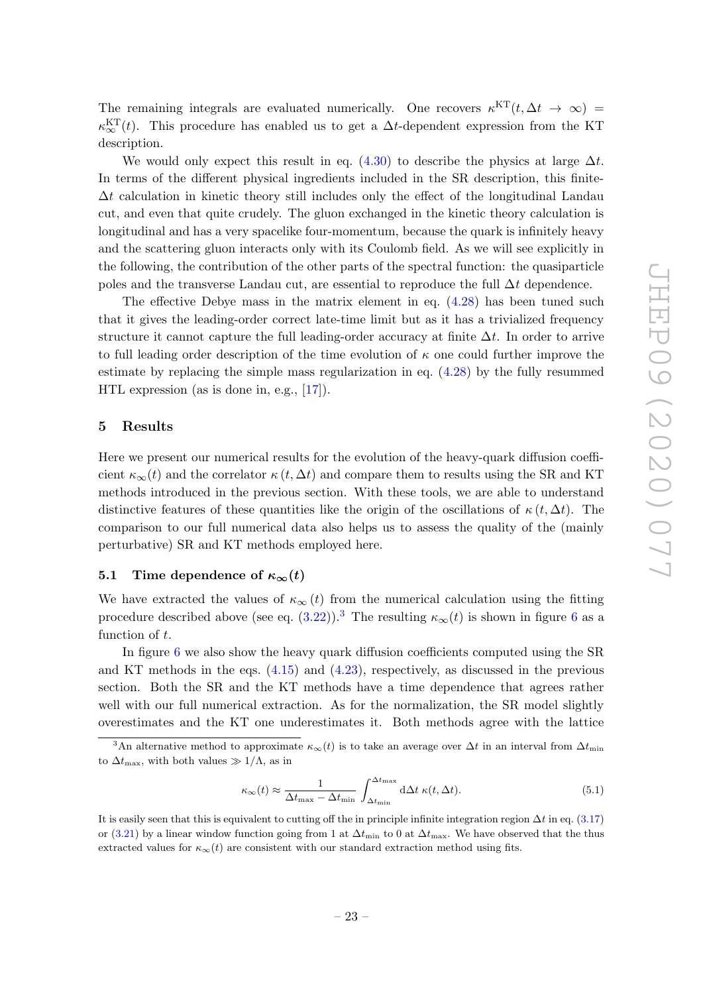The remaining integrals are evaluated numerically. One recovers  $\kappa^{KT}(t,\Delta t \to \infty)$  $\kappa_{\infty}^{\text{KT}}(t)$ . This procedure has enabled us to get a  $\Delta t$ -dependent expression from the KT description.

We would only expect this result in eq. [\(4.30\)](#page-22-0) to describe the physics at large  $\Delta t$ . In terms of the different physical ingredients included in the SR description, this finite-  $\Delta t$  calculation in kinetic theory still includes only the effect of the longitudinal Landau cut, and even that quite crudely. The gluon exchanged in the kinetic theory calculation is longitudinal and has a very spacelike four-momentum, because the quark is infinitely heavy and the scattering gluon interacts only with its Coulomb field. As we will see explicitly in the following, the contribution of the other parts of the spectral function: the quasiparticle poles and the transverse Landau cut, are essential to reproduce the full  $\Delta t$  dependence.

The effective Debye mass in the matrix element in eq. [\(4.28\)](#page-22-1) has been tuned such that it gives the leading-order correct late-time limit but as it has a trivialized frequency structure it cannot capture the full leading-order accuracy at finite  $\Delta t$ . In order to arrive to full leading order description of the time evolution of  $\kappa$  one could further improve the estimate by replacing the simple mass regularization in eq. [\(4.28\)](#page-22-1) by the fully resummed HTL expression (as is done in, e.g., [\[17\]](#page-36-5)).

#### <span id="page-23-0"></span>5 Results

Here we present our numerical results for the evolution of the heavy-quark diffusion coefficient  $\kappa_{\infty}(t)$  and the correlator  $\kappa(t, \Delta t)$  and compare them to results using the SR and KT methods introduced in the previous section. With these tools, we are able to understand distinctive features of these quantities like the origin of the oscillations of  $\kappa(t, \Delta t)$ . The comparison to our full numerical data also helps us to assess the quality of the (mainly perturbative) SR and KT methods employed here.

## <span id="page-23-1"></span>5.1 Time dependence of  $\kappa_{\infty}(t)$

We have extracted the values of  $\kappa_{\infty}(t)$  from the numerical calculation using the fitting procedure described above (see eq. [\(3.22\)](#page-13-0)).<sup>[3](#page-23-2)</sup> The resulting  $\kappa_{\infty}(t)$  is shown in figure [6](#page-24-0) as a function of t.

In figure [6](#page-24-0) we also show the heavy quark diffusion coefficients computed using the SR and KT methods in the eqs. [\(4.15\)](#page-19-3) and [\(4.23\)](#page-20-1), respectively, as discussed in the previous section. Both the SR and the KT methods have a time dependence that agrees rather well with our full numerical extraction. As for the normalization, the SR model slightly overestimates and the KT one underestimates it. Both methods agree with the lattice

<span id="page-23-3"></span>
$$
\kappa_{\infty}(t) \approx \frac{1}{\Delta t_{\max} - \Delta t_{\min}} \int_{\Delta t_{\min}}^{\Delta t_{\max}} d\Delta t \ \kappa(t, \Delta t). \tag{5.1}
$$

<span id="page-23-2"></span><sup>&</sup>lt;sup>3</sup>An alternative method to approximate  $\kappa_{\infty}(t)$  is to take an average over  $\Delta t$  in an interval from  $\Delta t_{\min}$ to  $\Delta t_{\text{max}}$ , with both values  $\gg 1/\Lambda$ , as in

It is easily seen that this is equivalent to cutting off the in principle infinite integration region  $\Delta t$  in eq. [\(3.17\)](#page-11-1) or [\(3.21\)](#page-11-0) by a linear window function going from 1 at  $\Delta t_{\text{min}}$  to 0 at  $\Delta t_{\text{max}}$ . We have observed that the thus extracted values for  $\kappa_{\infty}(t)$  are consistent with our standard extraction method using fits.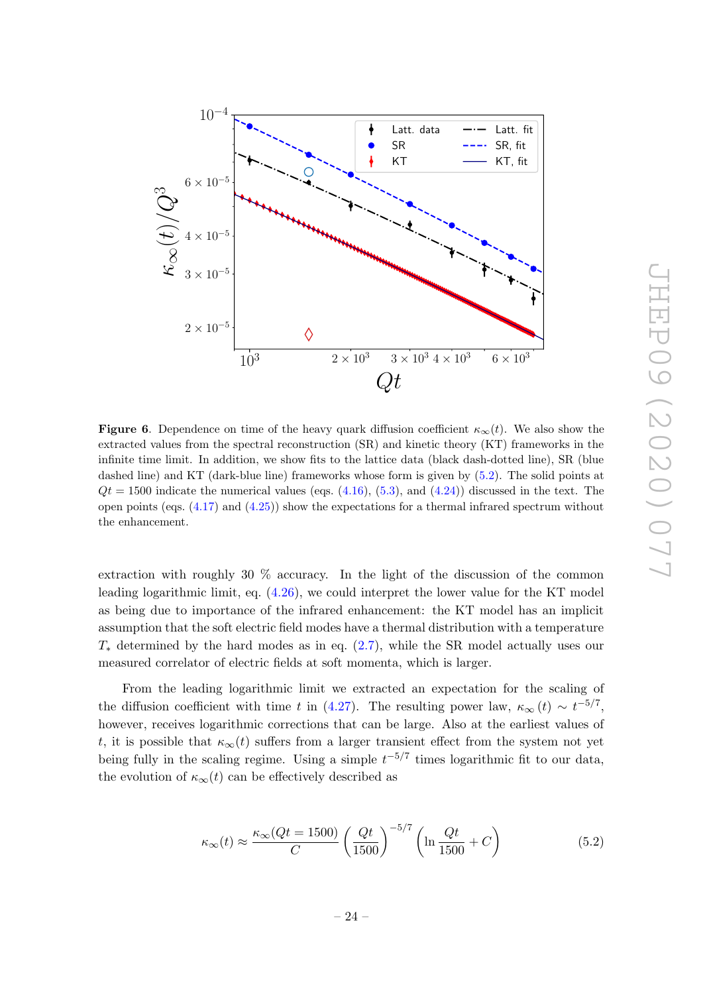

JHEP09 (2020) 077 JHEP09(2020)077

<span id="page-24-0"></span>**Figure 6.** Dependence on time of the heavy quark diffusion coefficient  $\kappa_{\infty}(t)$ . We also show the extracted values from the spectral reconstruction (SR) and kinetic theory (KT) frameworks in the infinite time limit. In addition, we show fits to the lattice data (black dash-dotted line), SR (blue dashed line) and KT (dark-blue line) frameworks whose form is given by [\(5.2\)](#page-24-1). The solid points at  $Qt = 1500$  indicate the numerical values (eqs.  $(4.16), (5.3),$  $(4.16), (5.3),$  $(4.16), (5.3),$  and  $(4.24)$ ) discussed in the text. The open points (eqs.  $(4.17)$  and  $(4.25)$ ) show the expectations for a thermal infrared spectrum without the enhancement.

extraction with roughly 30 % accuracy. In the light of the discussion of the common leading logarithmic limit, eq. [\(4.26\)](#page-21-1), we could interpret the lower value for the KT model as being due to importance of the infrared enhancement: the KT model has an implicit assumption that the soft electric field modes have a thermal distribution with a temperature  $T_*$  determined by the hard modes as in eq. [\(2.7\)](#page-4-5), while the SR model actually uses our measured correlator of electric fields at soft momenta, which is larger.

From the leading logarithmic limit we extracted an expectation for the scaling of the diffusion coefficient with time t in [\(4.27\)](#page-22-2). The resulting power law,  $\kappa_{\infty}(t) \sim t^{-5/7}$ , however, receives logarithmic corrections that can be large. Also at the earliest values of t, it is possible that  $\kappa_{\infty}(t)$  suffers from a larger transient effect from the system not yet being fully in the scaling regime. Using a simple  $t^{-5/7}$  times logarithmic fit to our data, the evolution of  $\kappa_{\infty}(t)$  can be effectively described as

<span id="page-24-1"></span>
$$
\kappa_{\infty}(t) \approx \frac{\kappa_{\infty}(Qt = 1500)}{C} \left(\frac{Qt}{1500}\right)^{-5/7} \left(\ln\frac{Qt}{1500} + C\right)
$$
\n(5.2)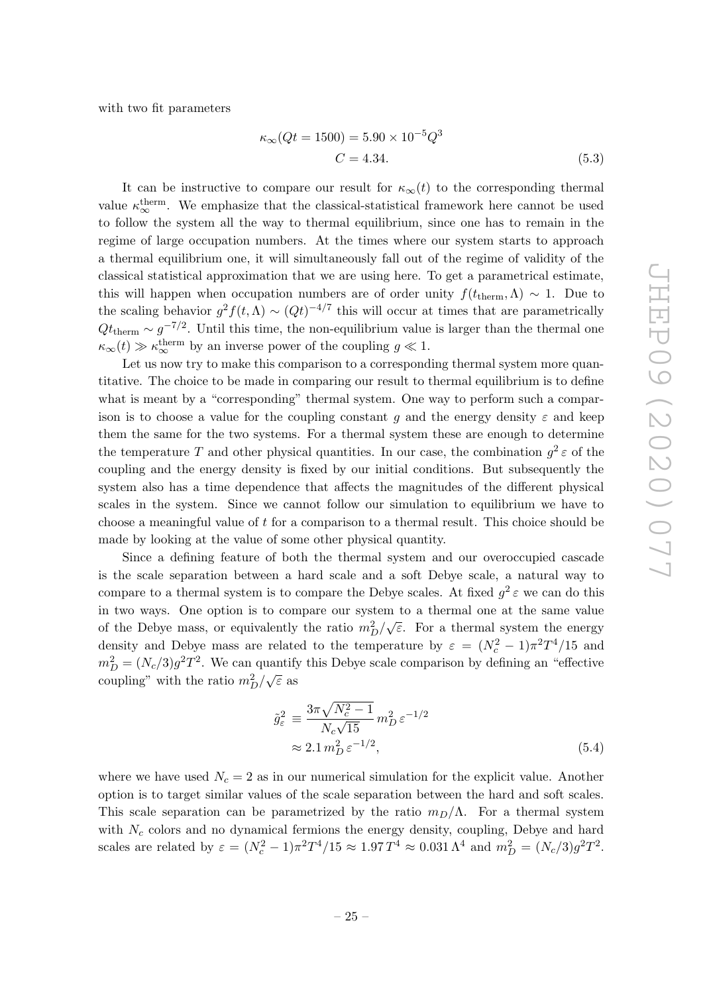with two fit parameters

<span id="page-25-0"></span>
$$
\kappa_{\infty}(Qt = 1500) = 5.90 \times 10^{-5}Q^3
$$
  
\n
$$
C = 4.34.
$$
\n(5.3)

It can be instructive to compare our result for  $\kappa_{\infty}(t)$  to the corresponding thermal value  $\kappa_{\infty}^{\text{therm}}$ . We emphasize that the classical-statistical framework here cannot be used to follow the system all the way to thermal equilibrium, since one has to remain in the regime of large occupation numbers. At the times where our system starts to approach a thermal equilibrium one, it will simultaneously fall out of the regime of validity of the classical statistical approximation that we are using here. To get a parametrical estimate, this will happen when occupation numbers are of order unity  $f(t_{\text{therm}},\Lambda) \sim 1$ . Due to the scaling behavior  $g^2 f(t,\Lambda) \sim (Qt)^{-4/7}$  this will occur at times that are parametrically  $Qt_{\text{therm}} \sim g^{-7/2}$ . Until this time, the non-equilibrium value is larger than the thermal one  $\kappa_{\infty}(t) \gg \kappa_{\infty}^{\text{therm}}$  by an inverse power of the coupling  $g \ll 1$ .

Let us now try to make this comparison to a corresponding thermal system more quantitative. The choice to be made in comparing our result to thermal equilibrium is to define what is meant by a "corresponding" thermal system. One way to perform such a comparison is to choose a value for the coupling constant q and the energy density  $\varepsilon$  and keep them the same for the two systems. For a thermal system these are enough to determine the temperature T and other physical quantities. In our case, the combination  $g^2 \varepsilon$  of the coupling and the energy density is fixed by our initial conditions. But subsequently the system also has a time dependence that affects the magnitudes of the different physical scales in the system. Since we cannot follow our simulation to equilibrium we have to choose a meaningful value of  $t$  for a comparison to a thermal result. This choice should be made by looking at the value of some other physical quantity.

Since a defining feature of both the thermal system and our overoccupied cascade is the scale separation between a hard scale and a soft Debye scale, a natural way to compare to a thermal system is to compare the Debye scales. At fixed  $g^2 \varepsilon$  we can do this in two ways. One option is to compare our system to a thermal one at the same value of the Debye mass, or equivalently the ratio  $m_D^2/\sqrt{\varepsilon}$ . For a thermal system the energy density and Debye mass are related to the temperature by  $\varepsilon = (N_c^2 - 1)\pi^2 T^4/15$  and  $m_D^2 = (N_c/3)g^2T^2$ . We can quantify this Debye scale comparison by defining an "effective coupling" with the ratio  $m_D^2/\sqrt{\varepsilon}$  as

<span id="page-25-1"></span>
$$
\tilde{g}_{\varepsilon}^{2} \equiv \frac{3\pi\sqrt{N_{c}^{2} - 1}}{N_{c}\sqrt{15}} m_{D}^{2} \varepsilon^{-1/2}
$$
\n
$$
\approx 2.1 m_{D}^{2} \varepsilon^{-1/2},
$$
\n(5.4)

where we have used  $N_c = 2$  as in our numerical simulation for the explicit value. Another option is to target similar values of the scale separation between the hard and soft scales. This scale separation can be parametrized by the ratio  $m_D/\Lambda$ . For a thermal system with  $N_c$  colors and no dynamical fermions the energy density, coupling, Debye and hard scales are related by  $\varepsilon = (N_c^2 - 1)\pi^2 T^4 / 15 \approx 1.97 T^4 \approx 0.031 \Lambda^4$  and  $m_D^2 = (N_c/3)g^2 T^2$ .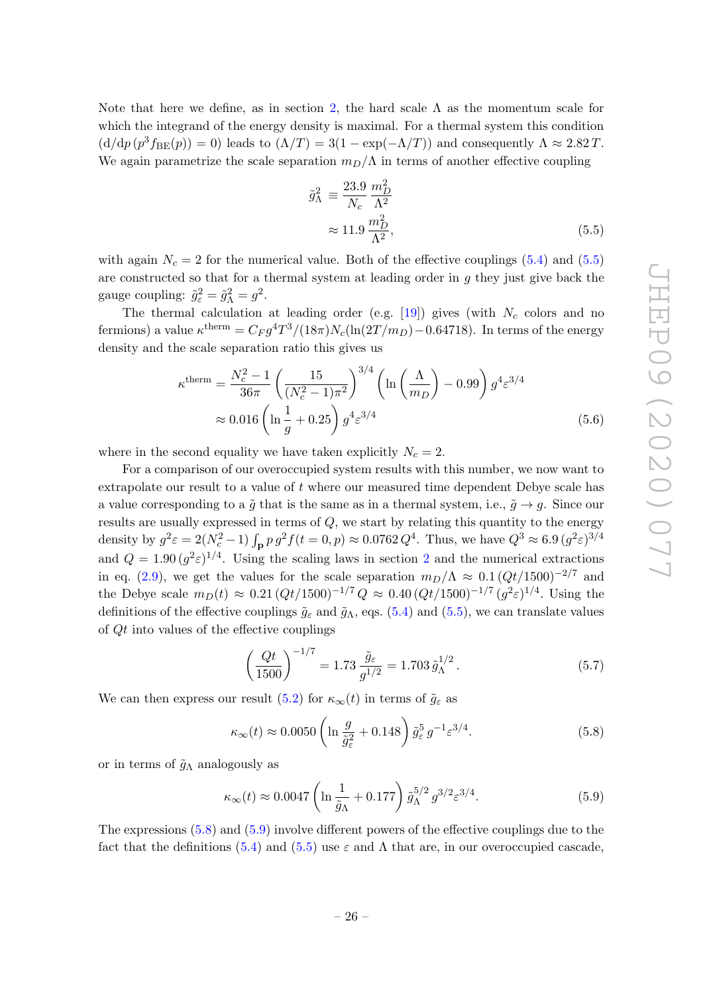Note that here we define, as in section [2,](#page-3-0) the hard scale  $\Lambda$  as the momentum scale for which the integrand of the energy density is maximal. For a thermal system this condition  $(d/dp (p^3 f_{BE}(p)) = 0)$  leads to  $(\Lambda/T) = 3(1 - \exp(-\Lambda/T))$  and consequently  $\Lambda \approx 2.82 T$ . We again parametrize the scale separation  $m_D/\Lambda$  in terms of another effective coupling

<span id="page-26-3"></span><span id="page-26-0"></span>
$$
\tilde{g}_{\Lambda}^2 \equiv \frac{23.9 \text{ } m_D^2}{N_c \text{ } \Lambda^2}
$$

$$
\approx 11.9 \frac{m_D^2}{\Lambda^2},\tag{5.5}
$$

with again  $N_c = 2$  for the numerical value. Both of the effective couplings [\(5.4\)](#page-25-1) and [\(5.5\)](#page-26-0) are constructed so that for a thermal system at leading order in  $g$  they just give back the gauge coupling:  $\tilde{g}_{\varepsilon}^2 = \tilde{g}_{\Lambda}^2 = g^2$ .

The thermal calculation at leading order (e.g.  $[19]$ ) gives (with  $N_c$  colors and no fermions) a value  $\kappa^{\text{therm}} = C_F g^4 T^3 / (18\pi) N_c (\ln(2T/m_D) - 0.64718)$ . In terms of the energy density and the scale separation ratio this gives us

$$
\kappa^{\text{therm}} = \frac{N_c^2 - 1}{36\pi} \left(\frac{15}{(N_c^2 - 1)\pi^2}\right)^{3/4} \left(\ln\left(\frac{\Lambda}{m_D}\right) - 0.99\right) g^4 \varepsilon^{3/4}
$$

$$
\approx 0.016 \left(\ln\frac{1}{g} + 0.25\right) g^4 \varepsilon^{3/4}
$$
(5.6)

where in the second equality we have taken explicitly  $N_c = 2$ .

For a comparison of our overoccupied system results with this number, we now want to extrapolate our result to a value of t where our measured time dependent Debye scale has a value corresponding to a  $\tilde{g}$  that is the same as in a thermal system, i.e.,  $\tilde{g} \rightarrow g$ . Since our results are usually expressed in terms of Q, we start by relating this quantity to the energy density by  $g^2 \varepsilon = 2(N_c^2 - 1) \int_P p g^2 f(t = 0, p) \approx 0.0762 Q^4$ . Thus, we have  $Q^3 \approx 6.9 (g^2 \varepsilon)^{3/4}$ and  $Q = 1.90 (g^2 \varepsilon)^{1/4}$  $Q = 1.90 (g^2 \varepsilon)^{1/4}$  $Q = 1.90 (g^2 \varepsilon)^{1/4}$ . Using the scaling laws in section 2 and the numerical extractions in eq. [\(2.9\)](#page-5-2), we get the values for the scale separation  $m_D/\Lambda \approx 0.1 (Qt/1500)^{-2/7}$  and the Debye scale  $m_D(t) \approx 0.21 (Qt/1500)^{-1/7} Q \approx 0.40 (Qt/1500)^{-1/7} (g^2 \varepsilon)^{1/4}$ . Using the definitions of the effective couplings  $\tilde{g}_{\varepsilon}$  and  $\tilde{g}_{\Lambda}$ , eqs. [\(5.4\)](#page-25-1) and [\(5.5\)](#page-26-0), we can translate values of Qt into values of the effective couplings

$$
\left(\frac{Qt}{1500}\right)^{-1/7} = 1.73 \frac{\tilde{g}_{\varepsilon}}{g^{1/2}} = 1.703 \,\tilde{g}_{\Lambda}^{1/2} \,. \tag{5.7}
$$

We can then express our result [\(5.2\)](#page-24-1) for  $\kappa_{\infty}(t)$  in terms of  $\tilde{g}_{\varepsilon}$  as

<span id="page-26-1"></span>
$$
\kappa_{\infty}(t) \approx 0.0050 \left( \ln \frac{g}{\tilde{g}_{\varepsilon}^2} + 0.148 \right) \tilde{g}_{\varepsilon}^5 g^{-1} \varepsilon^{3/4}.
$$
 (5.8)

or in terms of  $\tilde{g}_{\Lambda}$  analogously as

<span id="page-26-2"></span>
$$
\kappa_{\infty}(t) \approx 0.0047 \left( \ln \frac{1}{\tilde{g}_{\Lambda}} + 0.177 \right) \tilde{g}_{\Lambda}^{5/2} g^{3/2} \varepsilon^{3/4}.
$$
 (5.9)

The expressions [\(5.8\)](#page-26-1) and [\(5.9\)](#page-26-2) involve different powers of the effective couplings due to the fact that the definitions [\(5.4\)](#page-25-1) and [\(5.5\)](#page-26-0) use  $\varepsilon$  and  $\Lambda$  that are, in our overoccupied cascade,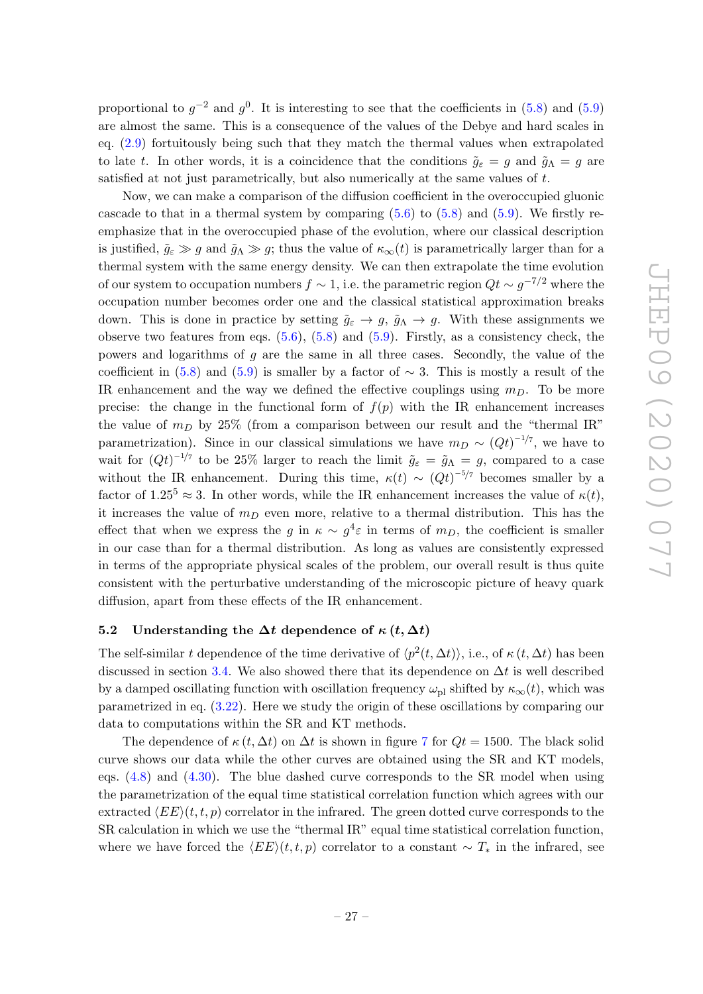proportional to  $g^{-2}$  and  $g^{0}$ . It is interesting to see that the coefficients in [\(5.8\)](#page-26-1) and [\(5.9\)](#page-26-2) are almost the same. This is a consequence of the values of the Debye and hard scales in eq. [\(2.9\)](#page-5-2) fortuitously being such that they match the thermal values when extrapolated to late t. In other words, it is a coincidence that the conditions  $\tilde{g}_{\varepsilon} = g$  and  $\tilde{g}_{\Lambda} = g$  are satisfied at not just parametrically, but also numerically at the same values of t.

Now, we can make a comparison of the diffusion coefficient in the overoccupied gluonic cascade to that in a thermal system by comparing  $(5.6)$  to  $(5.8)$  and  $(5.9)$ . We firstly reemphasize that in the overoccupied phase of the evolution, where our classical description is justified,  $\tilde{g}_{\varepsilon} \gg g$  and  $\tilde{g}_{\Lambda} \gg g$ ; thus the value of  $\kappa_{\infty}(t)$  is parametrically larger than for a thermal system with the same energy density. We can then extrapolate the time evolution of our system to occupation numbers  $f \sim 1$ , i.e. the parametric region  $Qt \sim g^{-7/2}$  where the occupation number becomes order one and the classical statistical approximation breaks down. This is done in practice by setting  $\tilde{g}_{\varepsilon} \to g$ ,  $\tilde{g}_{\Lambda} \to g$ . With these assignments we observe two features from eqs.  $(5.6)$ ,  $(5.8)$  and  $(5.9)$ . Firstly, as a consistency check, the powers and logarithms of  $g$  are the same in all three cases. Secondly, the value of the coefficient in [\(5.8\)](#page-26-1) and [\(5.9\)](#page-26-2) is smaller by a factor of  $\sim$  3. This is mostly a result of the IR enhancement and the way we defined the effective couplings using  $m_D$ . To be more precise: the change in the functional form of  $f(p)$  with the IR enhancement increases the value of  $m_D$  by 25% (from a comparison between our result and the "thermal IR" parametrization). Since in our classical simulations we have  $m_D \sim (Qt)^{-1/7}$ , we have to wait for  $(Qt)^{-1/7}$  to be 25% larger to reach the limit  $\tilde{g}_{\varepsilon} = \tilde{g}_{\Lambda} = g$ , compared to a case without the IR enhancement. During this time,  $\kappa(t) \sim (Qt)^{-5/7}$  becomes smaller by a factor of  $1.25^5 \approx 3$ . In other words, while the IR enhancement increases the value of  $\kappa(t)$ , it increases the value of  $m<sub>D</sub>$  even more, relative to a thermal distribution. This has the effect that when we express the g in  $\kappa \sim g^4 \varepsilon$  in terms of  $m_D$ , the coefficient is smaller in our case than for a thermal distribution. As long as values are consistently expressed in terms of the appropriate physical scales of the problem, our overall result is thus quite consistent with the perturbative understanding of the microscopic picture of heavy quark diffusion, apart from these effects of the IR enhancement.

## <span id="page-27-0"></span>5.2 Understanding the  $\Delta t$  dependence of  $\kappa(t, \Delta t)$

The self-similar t dependence of the time derivative of  $\langle p^2(t, \Delta t) \rangle$ , i.e., of  $\kappa(t, \Delta t)$  has been discussed in section [3.4.](#page-12-0) We also showed there that its dependence on  $\Delta t$  is well described by a damped oscillating function with oscillation frequency  $\omega_{\text{pl}}$  shifted by  $\kappa_{\infty}(t)$ , which was parametrized in eq. [\(3.22\)](#page-13-0). Here we study the origin of these oscillations by comparing our data to computations within the SR and KT methods.

The dependence of  $\kappa(t, \Delta t)$  on  $\Delta t$  is shown in figure [7](#page-28-0) for  $Qt = 1500$ . The black solid curve shows our data while the other curves are obtained using the SR and KT models, eqs.  $(4.8)$  and  $(4.30)$ . The blue dashed curve corresponds to the SR model when using the parametrization of the equal time statistical correlation function which agrees with our extracted  $\langle EE\rangle(t, t, p)$  correlator in the infrared. The green dotted curve corresponds to the SR calculation in which we use the "thermal IR" equal time statistical correlation function, where we have forced the  $\langle EE \rangle(t, t, p)$  correlator to a constant ~  $T_*$  in the infrared, see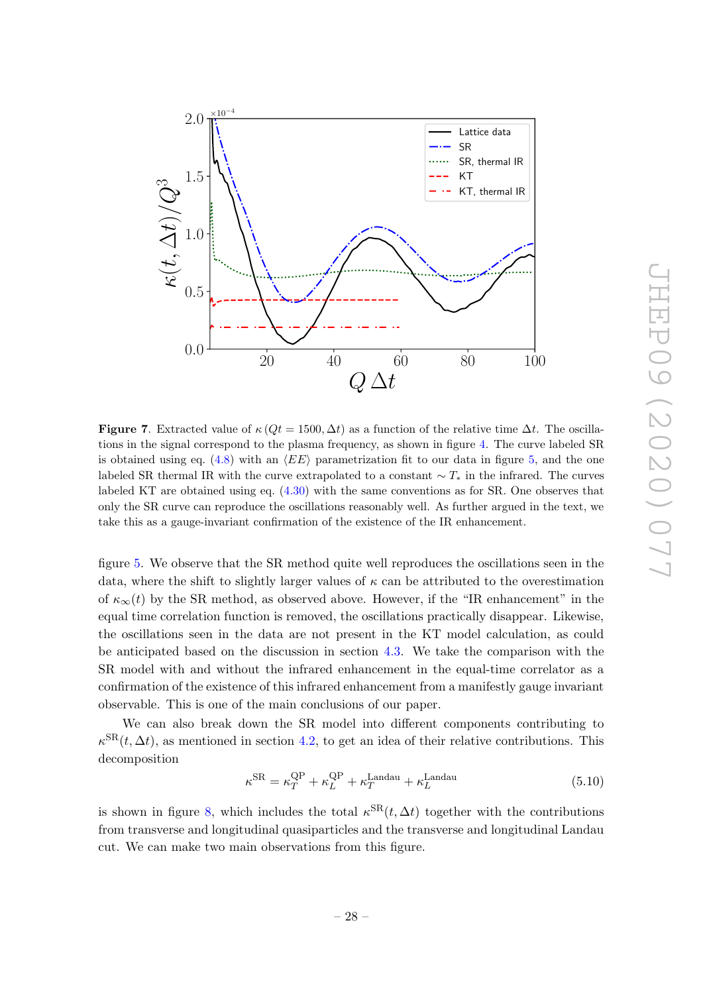

<span id="page-28-0"></span>**Figure 7.** Extracted value of  $\kappa$  ( $Qt = 1500, \Delta t$ ) as a function of the relative time  $\Delta t$ . The oscillations in the signal correspond to the plasma frequency, as shown in figure [4.](#page-13-1) The curve labeled SR is obtained using eq. [\(4.8\)](#page-17-1) with an  $\langle EE \rangle$  parametrization fit to our data in figure [5,](#page-15-0) and the one labeled SR thermal IR with the curve extrapolated to a constant  $\sim T_*$  in the infrared. The curves labeled KT are obtained using eq. [\(4.30\)](#page-22-0) with the same conventions as for SR. One observes that only the SR curve can reproduce the oscillations reasonably well. As further argued in the text, we take this as a gauge-invariant confirmation of the existence of the IR enhancement.

figure [5.](#page-15-0) We observe that the SR method quite well reproduces the oscillations seen in the data, where the shift to slightly larger values of  $\kappa$  can be attributed to the overestimation of  $\kappa_{\infty}(t)$  by the SR method, as observed above. However, if the "IR enhancement" in the equal time correlation function is removed, the oscillations practically disappear. Likewise, the oscillations seen in the data are not present in the KT model calculation, as could be anticipated based on the discussion in section [4.3.](#page-20-0) We take the comparison with the SR model with and without the infrared enhancement in the equal-time correlator as a confirmation of the existence of this infrared enhancement from a manifestly gauge invariant observable. This is one of the main conclusions of our paper.

We can also break down the SR model into different components contributing to  $\kappa^{\text{SR}}(t, \Delta t)$ , as mentioned in section [4.2,](#page-16-0) to get an idea of their relative contributions. This decomposition

$$
\kappa^{\rm SR} = \kappa_T^{\rm QP} + \kappa_L^{\rm QP} + \kappa_T^{\rm Landau} + \kappa_L^{\rm Landau}
$$
\n(5.10)

is shown in figure [8,](#page-29-1) which includes the total  $\kappa^{SR}(t, \Delta t)$  together with the contributions from transverse and longitudinal quasiparticles and the transverse and longitudinal Landau cut. We can make two main observations from this figure.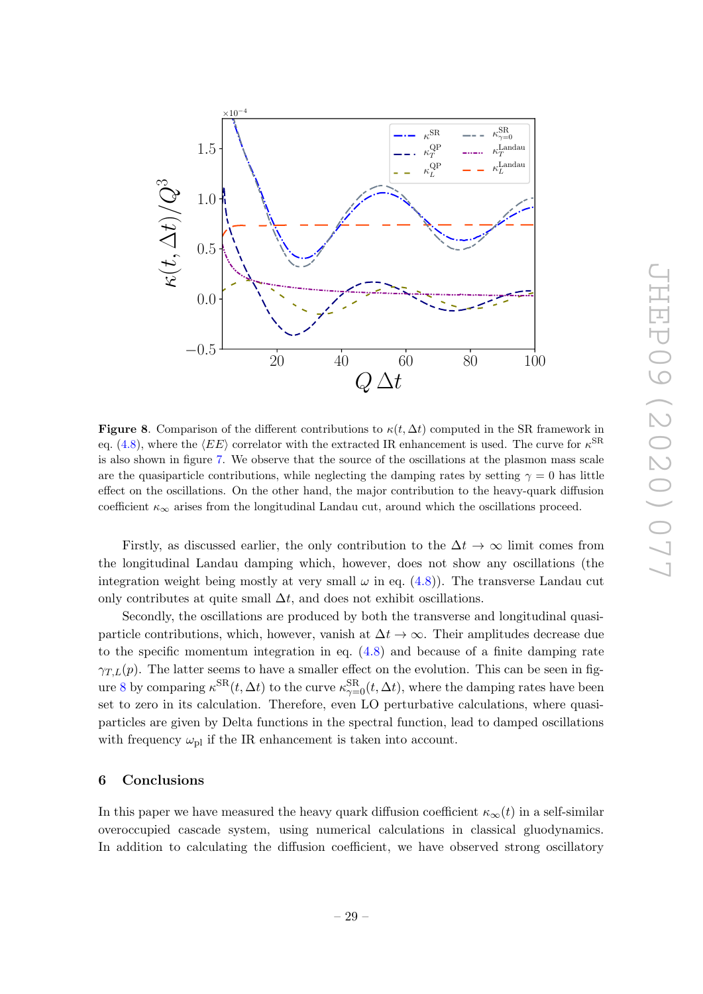

<span id="page-29-1"></span>**Figure 8.** Comparison of the different contributions to  $\kappa(t, \Delta t)$  computed in the SR framework in eq. [\(4.8\)](#page-17-1), where the  $\langle EE \rangle$  correlator with the extracted IR enhancement is used. The curve for  $\kappa^{\rm SR}$ is also shown in figure [7.](#page-28-0) We observe that the source of the oscillations at the plasmon mass scale are the quasiparticle contributions, while neglecting the damping rates by setting  $\gamma = 0$  has little effect on the oscillations. On the other hand, the major contribution to the heavy-quark diffusion coefficient  $\kappa_{\infty}$  arises from the longitudinal Landau cut, around which the oscillations proceed.

Firstly, as discussed earlier, the only contribution to the  $\Delta t \to \infty$  limit comes from the longitudinal Landau damping which, however, does not show any oscillations (the integration weight being mostly at very small  $\omega$  in eq. [\(4.8\)](#page-17-1)). The transverse Landau cut only contributes at quite small  $\Delta t$ , and does not exhibit oscillations.

Secondly, the oscillations are produced by both the transverse and longitudinal quasiparticle contributions, which, however, vanish at  $\Delta t \to \infty$ . Their amplitudes decrease due to the specific momentum integration in eq. [\(4.8\)](#page-17-1) and because of a finite damping rate  $\gamma_{TL}(p)$ . The latter seems to have a smaller effect on the evolution. This can be seen in fig-ure [8](#page-29-1) by comparing  $\kappa^{\text{SR}}(t, \Delta t)$  to the curve  $\kappa^{\text{SR}}_{\gamma=0}(t, \Delta t)$ , where the damping rates have been set to zero in its calculation. Therefore, even LO perturbative calculations, where quasiparticles are given by Delta functions in the spectral function, lead to damped oscillations with frequency  $\omega_{\text{pl}}$  if the IR enhancement is taken into account.

## <span id="page-29-0"></span>6 Conclusions

In this paper we have measured the heavy quark diffusion coefficient  $\kappa_{\infty}(t)$  in a self-similar overoccupied cascade system, using numerical calculations in classical gluodynamics. In addition to calculating the diffusion coefficient, we have observed strong oscillatory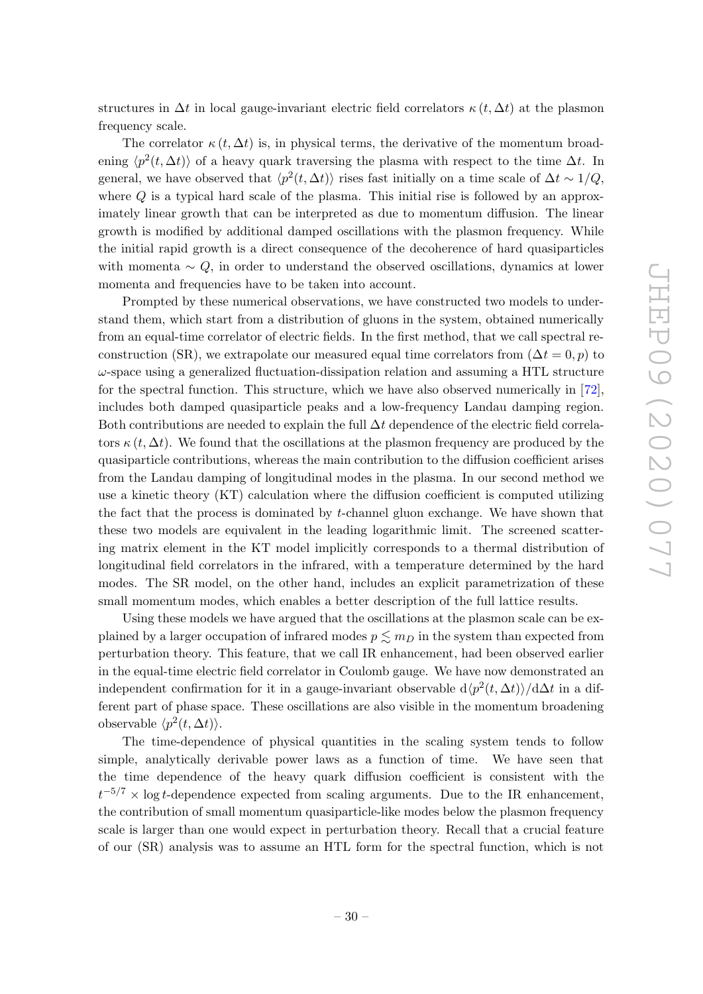structures in  $\Delta t$  in local gauge-invariant electric field correlators  $\kappa(t, \Delta t)$  at the plasmon frequency scale.

The correlator  $\kappa(t, \Delta t)$  is, in physical terms, the derivative of the momentum broadening  $\langle p^2(t, \Delta t) \rangle$  of a heavy quark traversing the plasma with respect to the time  $\Delta t$ . In general, we have observed that  $\langle p^2(t, \Delta t) \rangle$  rises fast initially on a time scale of  $\Delta t \sim 1/Q$ , where  $Q$  is a typical hard scale of the plasma. This initial rise is followed by an approximately linear growth that can be interpreted as due to momentum diffusion. The linear growth is modified by additional damped oscillations with the plasmon frequency. While the initial rapid growth is a direct consequence of the decoherence of hard quasiparticles with momenta  $\sim Q$ , in order to understand the observed oscillations, dynamics at lower momenta and frequencies have to be taken into account.

Prompted by these numerical observations, we have constructed two models to understand them, which start from a distribution of gluons in the system, obtained numerically from an equal-time correlator of electric fields. In the first method, that we call spectral reconstruction (SR), we extrapolate our measured equal time correlators from  $(\Delta t = 0, p)$  to  $\omega$ -space using a generalized fluctuation-dissipation relation and assuming a HTL structure for the spectral function. This structure, which we have also observed numerically in [\[72\]](#page-39-3), includes both damped quasiparticle peaks and a low-frequency Landau damping region. Both contributions are needed to explain the full  $\Delta t$  dependence of the electric field correlators  $\kappa(t, \Delta t)$ . We found that the oscillations at the plasmon frequency are produced by the quasiparticle contributions, whereas the main contribution to the diffusion coefficient arises from the Landau damping of longitudinal modes in the plasma. In our second method we use a kinetic theory (KT) calculation where the diffusion coefficient is computed utilizing the fact that the process is dominated by  $t$ -channel gluon exchange. We have shown that these two models are equivalent in the leading logarithmic limit. The screened scattering matrix element in the KT model implicitly corresponds to a thermal distribution of longitudinal field correlators in the infrared, with a temperature determined by the hard modes. The SR model, on the other hand, includes an explicit parametrization of these small momentum modes, which enables a better description of the full lattice results.

Using these models we have argued that the oscillations at the plasmon scale can be explained by a larger occupation of infrared modes  $p \lesssim m_D$  in the system than expected from perturbation theory. This feature, that we call IR enhancement, had been observed earlier in the equal-time electric field correlator in Coulomb gauge. We have now demonstrated an independent confirmation for it in a gauge-invariant observable  $d\langle p^2(t,\Delta t)\rangle/d\Delta t$  in a different part of phase space. These oscillations are also visible in the momentum broadening observable  $\langle p^2(t,\Delta t)\rangle$ .

The time-dependence of physical quantities in the scaling system tends to follow simple, analytically derivable power laws as a function of time. We have seen that the time dependence of the heavy quark diffusion coefficient is consistent with the  $t^{-5/7}$  × log t-dependence expected from scaling arguments. Due to the IR enhancement, the contribution of small momentum quasiparticle-like modes below the plasmon frequency scale is larger than one would expect in perturbation theory. Recall that a crucial feature of our (SR) analysis was to assume an HTL form for the spectral function, which is not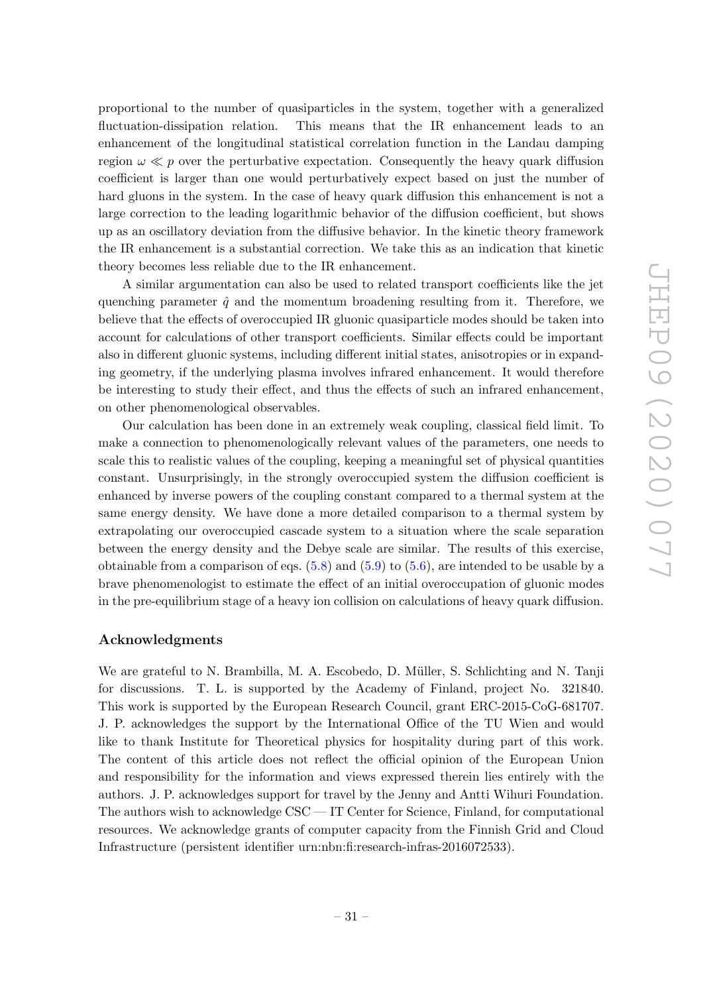proportional to the number of quasiparticles in the system, together with a generalized fluctuation-dissipation relation. This means that the IR enhancement leads to an enhancement of the longitudinal statistical correlation function in the Landau damping region  $\omega \ll p$  over the perturbative expectation. Consequently the heavy quark diffusion coefficient is larger than one would perturbatively expect based on just the number of hard gluons in the system. In the case of heavy quark diffusion this enhancement is not a large correction to the leading logarithmic behavior of the diffusion coefficient, but shows up as an oscillatory deviation from the diffusive behavior. In the kinetic theory framework the IR enhancement is a substantial correction. We take this as an indication that kinetic theory becomes less reliable due to the IR enhancement.

A similar argumentation can also be used to related transport coefficients like the jet quenching parameter  $\hat{q}$  and the momentum broadening resulting from it. Therefore, we believe that the effects of overoccupied IR gluonic quasiparticle modes should be taken into account for calculations of other transport coefficients. Similar effects could be important also in different gluonic systems, including different initial states, anisotropies or in expanding geometry, if the underlying plasma involves infrared enhancement. It would therefore be interesting to study their effect, and thus the effects of such an infrared enhancement, on other phenomenological observables.

Our calculation has been done in an extremely weak coupling, classical field limit. To make a connection to phenomenologically relevant values of the parameters, one needs to scale this to realistic values of the coupling, keeping a meaningful set of physical quantities constant. Unsurprisingly, in the strongly overoccupied system the diffusion coefficient is enhanced by inverse powers of the coupling constant compared to a thermal system at the same energy density. We have done a more detailed comparison to a thermal system by extrapolating our overoccupied cascade system to a situation where the scale separation between the energy density and the Debye scale are similar. The results of this exercise, obtainable from a comparison of eqs.  $(5.8)$  and  $(5.9)$  to  $(5.6)$ , are intended to be usable by a brave phenomenologist to estimate the effect of an initial overoccupation of gluonic modes in the pre-equilibrium stage of a heavy ion collision on calculations of heavy quark diffusion.

## Acknowledgments

We are grateful to N. Brambilla, M. A. Escobedo, D. Müller, S. Schlichting and N. Tanji for discussions. T. L. is supported by the Academy of Finland, project No. 321840. This work is supported by the European Research Council, grant ERC-2015-CoG-681707. J. P. acknowledges the support by the International Office of the TU Wien and would like to thank Institute for Theoretical physics for hospitality during part of this work. The content of this article does not reflect the official opinion of the European Union and responsibility for the information and views expressed therein lies entirely with the authors. J. P. acknowledges support for travel by the Jenny and Antti Wihuri Foundation. The authors wish to acknowledge CSC — IT Center for Science, Finland, for computational resources. We acknowledge grants of computer capacity from the Finnish Grid and Cloud Infrastructure (persistent identifier urn:nbn:fi:research-infras-2016072533).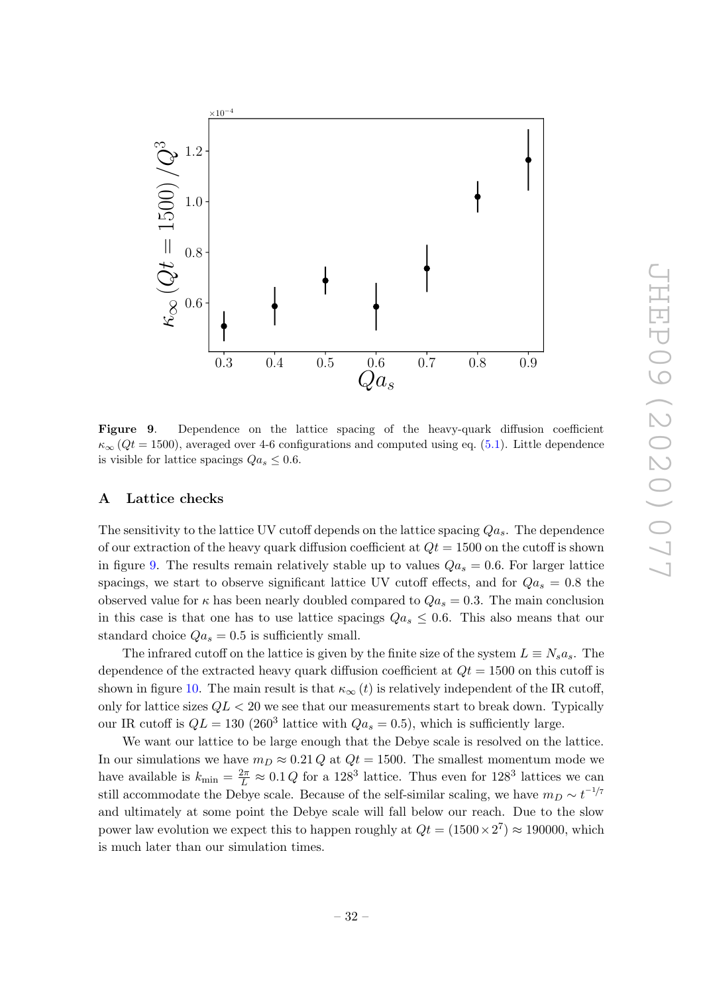

<span id="page-32-1"></span>Figure 9. Dependence on the lattice spacing of the heavy-quark diffusion coefficient  $\kappa_{\infty}$  ( $Qt = 1500$ ), averaged over 4-6 configurations and computed using eq. [\(5.1\)](#page-23-3). Little dependence is visible for lattice spacings  $Qa_s \leq 0.6$ .

# <span id="page-32-0"></span>A Lattice checks

The sensitivity to the lattice UV cutoff depends on the lattice spacing  $Q_{a,s}$ . The dependence of our extraction of the heavy quark diffusion coefficient at  $Qt = 1500$  on the cutoff is shown in figure [9.](#page-32-1) The results remain relatively stable up to values  $Qa_s = 0.6$ . For larger lattice spacings, we start to observe significant lattice UV cutoff effects, and for  $Qa_s = 0.8$  the observed value for  $\kappa$  has been nearly doubled compared to  $Qa_s = 0.3$ . The main conclusion in this case is that one has to use lattice spacings  $Qa_s \leq 0.6$ . This also means that our standard choice  $Qa_s = 0.5$  is sufficiently small.

The infrared cutoff on the lattice is given by the finite size of the system  $L \equiv N_s a_s$ . The dependence of the extracted heavy quark diffusion coefficient at  $Qt = 1500$  on this cutoff is shown in figure [10.](#page-33-1) The main result is that  $\kappa_{\infty}(t)$  is relatively independent of the IR cutoff, only for lattice sizes  $QL < 20$  we see that our measurements start to break down. Typically our IR cutoff is  $QL = 130$  (260<sup>3</sup> lattice with  $Qa_s = 0.5$ ), which is sufficiently large.

We want our lattice to be large enough that the Debye scale is resolved on the lattice. In our simulations we have  $m_D \approx 0.21 Q$  at  $Qt = 1500$ . The smallest momentum mode we have available is  $k_{\text{min}} = \frac{2\pi}{L} \approx 0.1 Q$  for a 128<sup>3</sup> lattice. Thus even for 128<sup>3</sup> lattices we can still accommodate the Debye scale. Because of the self-similar scaling, we have  $m_D \sim t^{-1/7}$ and ultimately at some point the Debye scale will fall below our reach. Due to the slow power law evolution we expect this to happen roughly at  $Qt = (1500 \times 2^7) \approx 190000$ , which is much later than our simulation times.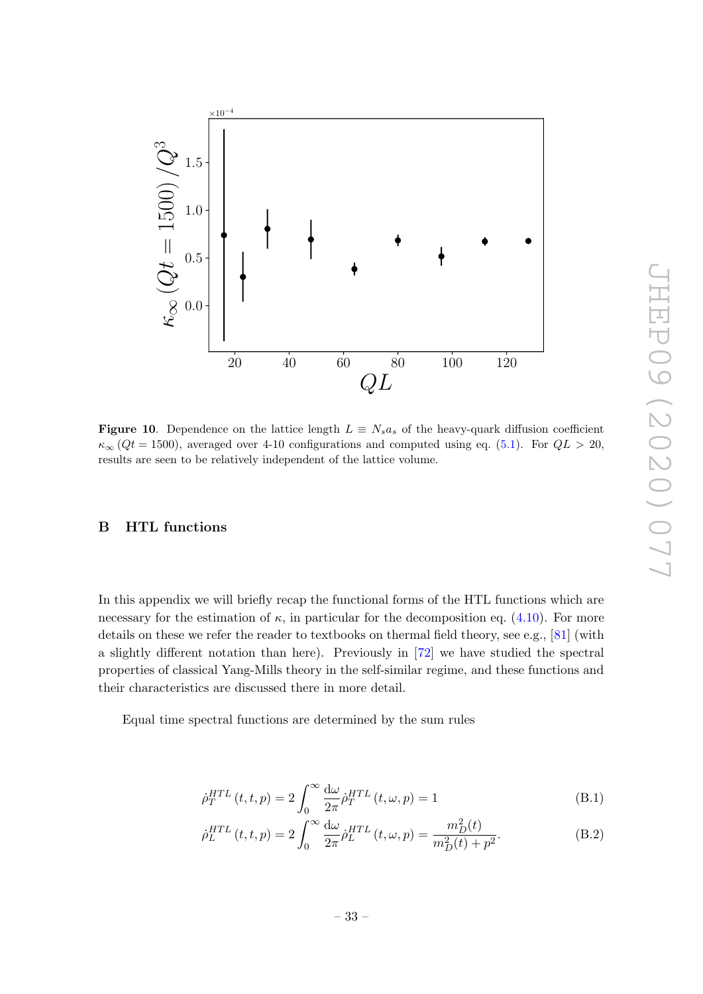

<span id="page-33-1"></span>Figure 10. Dependence on the lattice length  $L \equiv N_s a_s$  of the heavy-quark diffusion coefficient  $\kappa_{\infty}$  ( $Qt = 1500$ ), averaged over 4-10 configurations and computed using eq. [\(5.1\)](#page-23-3). For  $QL > 20$ , results are seen to be relatively independent of the lattice volume.

# <span id="page-33-0"></span>B HTL functions

In this appendix we will briefly recap the functional forms of the HTL functions which are necessary for the estimation of  $\kappa$ , in particular for the decomposition eq. [\(4.10\)](#page-17-2). For more details on these we refer the reader to textbooks on thermal field theory, see e.g., [\[81\]](#page-39-12) (with a slightly different notation than here). Previously in [\[72\]](#page-39-3) we have studied the spectral properties of classical Yang-Mills theory in the self-similar regime, and these functions and their characteristics are discussed there in more detail.

Equal time spectral functions are determined by the sum rules

$$
\dot{\rho}_T^{HTL}(t,t,p) = 2 \int_0^\infty \frac{d\omega}{2\pi} \dot{\rho}_T^{HTL}(t,\omega,p) = 1
$$
\n(B.1)

$$
\dot{\rho}_L^{HTL}(t, t, p) = 2 \int_0^\infty \frac{d\omega}{2\pi} \dot{\rho}_L^{HTL}(t, \omega, p) = \frac{m_D^2(t)}{m_D^2(t) + p^2}.
$$
 (B.2)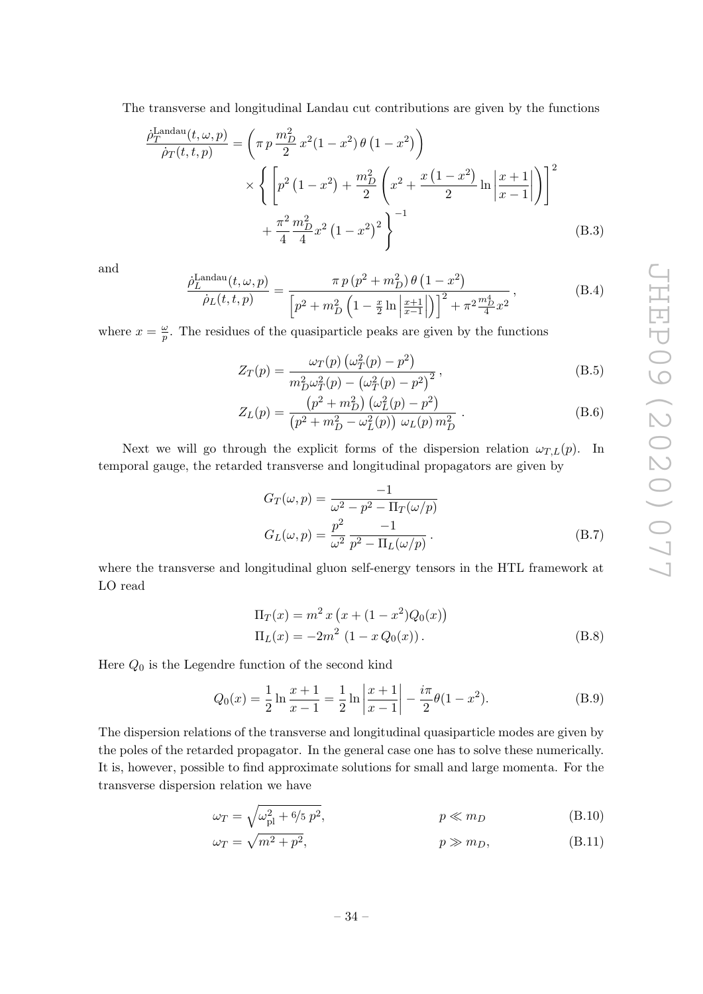The transverse and longitudinal Landau cut contributions are given by the functions

$$
\frac{\dot{\rho}_T^{\text{Landau}}(t,\omega,p)}{\dot{\rho}_T(t,t,p)} = \left(\pi p \frac{m_D^2}{2} x^2 (1-x^2) \theta (1-x^2)\right) \n\times \left\{ \left[ p^2 (1-x^2) + \frac{m_D^2}{2} \left( x^2 + \frac{x (1-x^2)}{2} \ln \left| \frac{x+1}{x-1} \right| \right) \right]^2 \right. \n+ \frac{\pi^2}{4} \frac{m_D^2}{4} x^2 (1-x^2)^2 \right\}^{-1}
$$
\n(B.3)

and

<span id="page-34-1"></span>
$$
\frac{\dot{\rho}_L^{\text{Landau}}(t,\omega,p)}{\dot{\rho}_L(t,t,p)} = \frac{\pi p (p^2 + m_D^2) \theta (1 - x^2)}{\left[ p^2 + m_D^2 \left( 1 - \frac{x}{2} \ln \left| \frac{x+1}{x-1} \right| \right) \right]^2 + \pi^2 \frac{m_D^4}{4} x^2},
$$
\n(B.4)

where  $x = \frac{\omega}{n}$  $\frac{\omega}{p}$ . The residues of the quasiparticle peaks are given by the functions

<span id="page-34-0"></span>
$$
Z_T(p) = \frac{\omega_T(p) (\omega_T^2(p) - p^2)}{m_D^2 \omega_T^2(p) - (\omega_T^2(p) - p^2)^2},
$$
\n(B.5)

$$
Z_L(p) = \frac{(p^2 + m_D^2) (\omega_L^2(p) - p^2)}{(p^2 + m_D^2 - \omega_L^2(p)) \omega_L(p) m_D^2}.
$$
 (B.6)

Next we will go through the explicit forms of the dispersion relation  $\omega_{T,L}(p)$ . In temporal gauge, the retarded transverse and longitudinal propagators are given by

$$
G_T(\omega, p) = \frac{-1}{\omega^2 - p^2 - \Pi_T(\omega/p)}
$$
  
\n
$$
G_L(\omega, p) = \frac{p^2}{\omega^2} \frac{-1}{p^2 - \Pi_L(\omega/p)}.
$$
\n(B.7)

where the transverse and longitudinal gluon self-energy tensors in the HTL framework at LO read

$$
\Pi_T(x) = m^2 x (x + (1 - x^2) Q_0(x))
$$
  
\n
$$
\Pi_L(x) = -2m^2 (1 - x Q_0(x)).
$$
\n(B.8)

Here  $Q_0$  is the Legendre function of the second kind

$$
Q_0(x) = \frac{1}{2} \ln \frac{x+1}{x-1} = \frac{1}{2} \ln \left| \frac{x+1}{x-1} \right| - \frac{i\pi}{2} \theta (1 - x^2).
$$
 (B.9)

The dispersion relations of the transverse and longitudinal quasiparticle modes are given by the poles of the retarded propagator. In the general case one has to solve these numerically. It is, however, possible to find approximate solutions for small and large momenta. For the transverse dispersion relation we have

$$
\omega_T = \sqrt{\omega_{\text{pl}}^2 + 6/5 \ p^2}, \qquad p \ll m_D \tag{B.10}
$$

$$
\omega_T = \sqrt{m^2 + p^2}, \qquad p \gg m_D, \qquad (B.11)
$$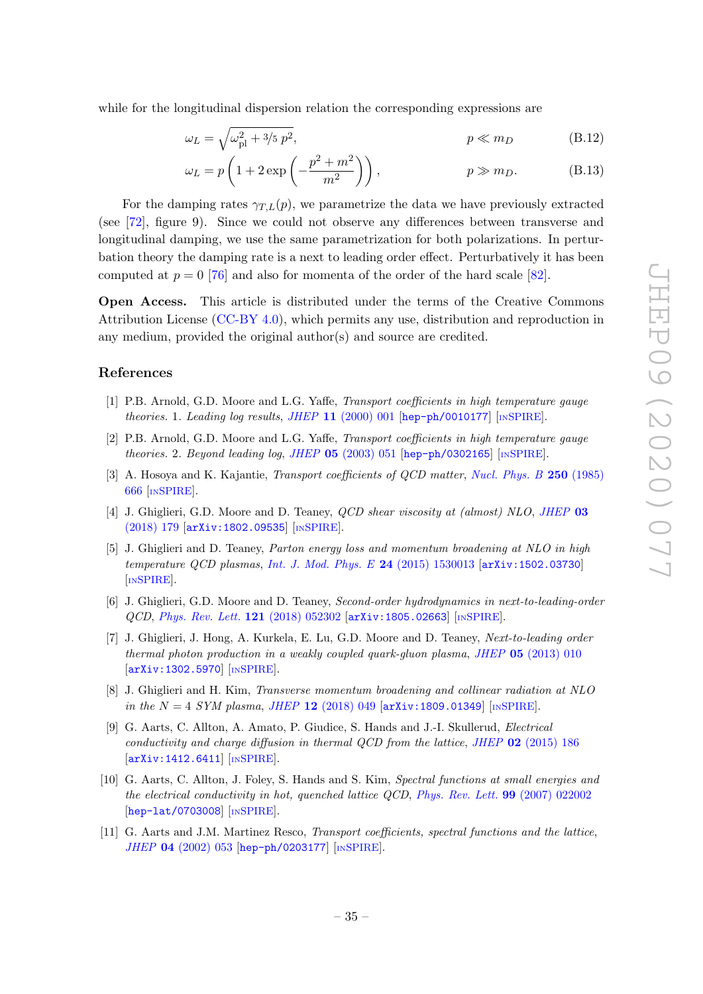while for the longitudinal dispersion relation the corresponding expressions are

$$
\omega_L = \sqrt{\omega_{\rm pl}^2 + \frac{3}{5}p^2}, \qquad p \ll m_D \tag{B.12}
$$

$$
\omega_L = p \left( 1 + 2 \exp \left( -\frac{p^2 + m^2}{m^2} \right) \right), \qquad p \gg m_D. \qquad (B.13)
$$

For the damping rates  $\gamma_{T,L}(p)$ , we parametrize the data we have previously extracted (see [\[72\]](#page-39-3), figure 9). Since we could not observe any differences between transverse and longitudinal damping, we use the same parametrization for both polarizations. In perturbation theory the damping rate is a next to leading order effect. Perturbatively it has been computed at  $p = 0$  [\[76\]](#page-39-7) and also for momenta of the order of the hard scale [\[82\]](#page-39-13).

Open Access. This article is distributed under the terms of the Creative Commons Attribution License [\(CC-BY 4.0\)](https://creativecommons.org/licenses/by/4.0/), which permits any use, distribution and reproduction in any medium, provided the original author(s) and source are credited.

## References

- <span id="page-35-0"></span>[1] P.B. Arnold, G.D. Moore and L.G. Yaffe, Transport coefficients in high temperature gauge theories. 1. Leading log results, JHEP  $11$  [\(2000\) 001](https://doi.org/10.1088/1126-6708/2000/11/001) [[hep-ph/0010177](https://arxiv.org/abs/hep-ph/0010177)] [IN[SPIRE](https://inspirehep.net/search?p=find+EPRINT%2Bhep-ph%2F0010177)].
- <span id="page-35-6"></span>[2] P.B. Arnold, G.D. Moore and L.G. Yaffe, Transport coefficients in high temperature gauge theories. 2. Beyond leading log, JHEP  $05$  [\(2003\) 051](https://doi.org/10.1088/1126-6708/2003/05/051) [[hep-ph/0302165](https://arxiv.org/abs/hep-ph/0302165)] [IN[SPIRE](https://inspirehep.net/search?p=find+EPRINT%2Bhep-ph%2F0302165)].
- <span id="page-35-1"></span>[3] A. Hosoya and K. Kajantie, *Transport coefficients of QCD matter, [Nucl. Phys. B](https://doi.org/10.1016/0550-3213(85)90499-7)* 250 (1985) [666](https://doi.org/10.1016/0550-3213(85)90499-7) [IN[SPIRE](https://inspirehep.net/search?p=find+J%20%22Nucl.Phys.%2CB250%2C666%22)].
- <span id="page-35-2"></span>[4] J. Ghiglieri, G.D. Moore and D. Teaney, *QCD shear viscosity at (almost) NLO*, *[JHEP](https://doi.org/10.1007/JHEP03(2018)179)* 03 [\(2018\) 179](https://doi.org/10.1007/JHEP03(2018)179) [[arXiv:1802.09535](https://arxiv.org/abs/1802.09535)] [IN[SPIRE](https://inspirehep.net/search?p=find+EPRINT%2BarXiv%3A1802.09535)].
- [5] J. Ghiglieri and D. Teaney, Parton energy loss and momentum broadening at NLO in high temperature QCD plasmas, [Int. J. Mod. Phys. E](https://doi.org/10.1142/S0218301315300131) 24 (2015) 1530013 [[arXiv:1502.03730](https://arxiv.org/abs/1502.03730)] [IN[SPIRE](https://inspirehep.net/search?p=find+EPRINT%2BarXiv%3A1502.03730)].
- [6] J. Ghiglieri, G.D. Moore and D. Teaney, Second-order hydrodynamics in next-to-leading-order QCD, [Phys. Rev. Lett.](https://doi.org/10.1103/PhysRevLett.121.052302) 121 (2018) 052302 [[arXiv:1805.02663](https://arxiv.org/abs/1805.02663)] [IN[SPIRE](https://inspirehep.net/search?p=find+EPRINT%2BarXiv%3A1805.02663)].
- [7] J. Ghiglieri, J. Hong, A. Kurkela, E. Lu, G.D. Moore and D. Teaney, Next-to-leading order thermal photon production in a weakly coupled quark-gluon plasma, JHEP  $05$  [\(2013\) 010](https://doi.org/10.1007/JHEP05(2013)010) [[arXiv:1302.5970](https://arxiv.org/abs/1302.5970)] [IN[SPIRE](https://inspirehep.net/search?p=find+EPRINT%2BarXiv%3A1302.5970)].
- <span id="page-35-3"></span>[8] J. Ghiglieri and H. Kim, Transverse momentum broadening and collinear radiation at NLO in the  $N = 4$  SYM plasma, JHEP 12 [\(2018\) 049](https://doi.org/10.1007/JHEP12(2018)049) [[arXiv:1809.01349](https://arxiv.org/abs/1809.01349)] [IN[SPIRE](https://inspirehep.net/search?p=find+EPRINT%2BarXiv%3A1809.01349)].
- <span id="page-35-4"></span>[9] G. Aarts, C. Allton, A. Amato, P. Giudice, S. Hands and J.-I. Skullerud, Electrical conductivity and charge diffusion in thermal QCD from the lattice, JHEP 02 [\(2015\) 186](https://doi.org/10.1007/JHEP02(2015)186) [[arXiv:1412.6411](https://arxiv.org/abs/1412.6411)] [IN[SPIRE](https://inspirehep.net/search?p=find+EPRINT%2BarXiv%3A1412.6411)].
- [10] G. Aarts, C. Allton, J. Foley, S. Hands and S. Kim, Spectral functions at small energies and the electrical conductivity in hot, quenched lattice QCD, [Phys. Rev. Lett.](https://doi.org/10.1103/PhysRevLett.99.022002) 99 (2007) 022002 [[hep-lat/0703008](https://arxiv.org/abs/hep-lat/0703008)] [IN[SPIRE](https://inspirehep.net/search?p=find+EPRINT%2Bhep-lat%2F0703008)].
- <span id="page-35-5"></span>[11] G. Aarts and J.M. Martinez Resco, *Transport coefficients, spectral functions and the lattice*, JHEP 04 [\(2002\) 053](https://doi.org/10.1088/1126-6708/2002/04/053) [[hep-ph/0203177](https://arxiv.org/abs/hep-ph/0203177)] [IN[SPIRE](https://inspirehep.net/search?p=find+EPRINT%2Bhep-ph%2F0203177)].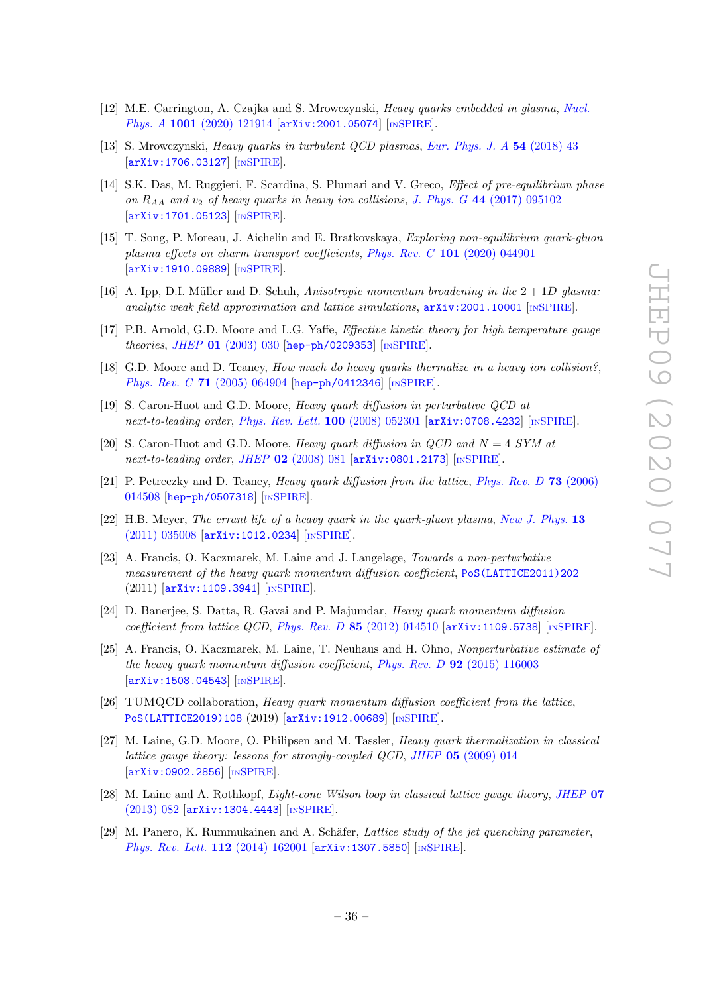- <span id="page-36-0"></span>[12] M.E. Carrington, A. Czajka and S. Mrowczynski, Heavy quarks embedded in glasma, [Nucl.](https://doi.org/10.1016/j.nuclphysa.2020.121914) Phys. A 1001 [\(2020\) 121914](https://doi.org/10.1016/j.nuclphysa.2020.121914) [[arXiv:2001.05074](https://arxiv.org/abs/2001.05074)] [IN[SPIRE](https://inspirehep.net/search?p=find+EPRINT%2BarXiv%3A2001.05074)].
- <span id="page-36-1"></span>[13] S. Mrowczynski, Heavy quarks in turbulent QCD plasmas, [Eur. Phys. J. A](https://doi.org/10.1140/epja/i2018-12478-5) 54 (2018) 43 [[arXiv:1706.03127](https://arxiv.org/abs/1706.03127)] [IN[SPIRE](https://inspirehep.net/search?p=find+EPRINT%2BarXiv%3A1706.03127)].
- <span id="page-36-2"></span>[14] S.K. Das, M. Ruggieri, F. Scardina, S. Plumari and V. Greco, Effect of pre-equilibrium phase on  $R_{AA}$  and  $v_2$  of heavy quarks in heavy ion collisions, J. Phys. G 44 [\(2017\) 095102](https://doi.org/10.1088/1361-6471/aa815a) [[arXiv:1701.05123](https://arxiv.org/abs/1701.05123)] [IN[SPIRE](https://inspirehep.net/search?p=find+EPRINT%2BarXiv%3A1701.05123)].
- <span id="page-36-3"></span>[15] T. Song, P. Moreau, J. Aichelin and E. Bratkovskaya, Exploring non-equilibrium quark-gluon plasma effects on charm transport coefficients, Phys. Rev. C 101 [\(2020\) 044901](https://doi.org/10.1103/PhysRevC.101.044901) [[arXiv:1910.09889](https://arxiv.org/abs/1910.09889)] [IN[SPIRE](https://inspirehep.net/search?p=find+EPRINT%2BarXiv%3A1910.09889)].
- <span id="page-36-4"></span>[16] A. Ipp, D.I. Müller and D. Schuh, Anisotropic momentum broadening in the  $2+1D$  glasma: analytic weak field approximation and lattice simulations, [arXiv:2001.10001](https://arxiv.org/abs/2001.10001) [IN[SPIRE](https://inspirehep.net/search?p=find+EPRINT%2BarXiv%3A2001.10001)].
- <span id="page-36-5"></span>[17] P.B. Arnold, G.D. Moore and L.G. Yaffe, Effective kinetic theory for high temperature gauge theories, JHEP 01 [\(2003\) 030](https://doi.org/10.1088/1126-6708/2003/01/030) [[hep-ph/0209353](https://arxiv.org/abs/hep-ph/0209353)] [IN[SPIRE](https://inspirehep.net/search?p=find+EPRINT%2Bhep-ph%2F0209353)].
- <span id="page-36-11"></span>[18] G.D. Moore and D. Teaney, *How much do heavy quarks thermalize in a heavy ion collision?*, Phys. Rev. C 71 [\(2005\) 064904](https://doi.org/10.1103/PhysRevC.71.064904) [[hep-ph/0412346](https://arxiv.org/abs/hep-ph/0412346)] [IN[SPIRE](https://inspirehep.net/search?p=find+EPRINT%2Bhep-ph%2F0412346)].
- <span id="page-36-12"></span>[19] S. Caron-Huot and G.D. Moore, Heavy quark diffusion in perturbative QCD at next-to-leading order, [Phys. Rev. Lett.](https://doi.org/10.1103/PhysRevLett.100.052301) 100 (2008) 052301 [[arXiv:0708.4232](https://arxiv.org/abs/0708.4232)] [IN[SPIRE](https://inspirehep.net/search?p=find+EPRINT%2BarXiv%3A0708.4232)].
- <span id="page-36-6"></span>[20] S. Caron-Huot and G.D. Moore, *Heavy quark diffusion in QCD and*  $N = 4$  *SYM at* next-to-leading order, JHEP 02 [\(2008\) 081](https://doi.org/10.1088/1126-6708/2008/02/081) [[arXiv:0801.2173](https://arxiv.org/abs/0801.2173)] [IN[SPIRE](https://inspirehep.net/search?p=find+EPRINT%2BarXiv%3A0801.2173)].
- <span id="page-36-7"></span>[21] P. Petreczky and D. Teaney, Heavy quark diffusion from the lattice, [Phys. Rev. D](https://doi.org/10.1103/PhysRevD.73.014508) 73 (2006) [014508](https://doi.org/10.1103/PhysRevD.73.014508) [[hep-ph/0507318](https://arxiv.org/abs/hep-ph/0507318)] [IN[SPIRE](https://inspirehep.net/search?p=find+EPRINT%2Bhep-ph%2F0507318)].
- [22] H.B. Meyer, The errant life of a heavy quark in the quark-gluon plasma, [New J. Phys.](https://doi.org/10.1088/1367-2630/13/3/035008) 13 [\(2011\) 035008](https://doi.org/10.1088/1367-2630/13/3/035008) [[arXiv:1012.0234](https://arxiv.org/abs/1012.0234)] [IN[SPIRE](https://inspirehep.net/search?p=find+EPRINT%2BarXiv%3A1012.0234)].
- [23] A. Francis, O. Kaczmarek, M. Laine and J. Langelage, Towards a non-perturbative measurement of the heavy quark momentum diffusion coefficient, [PoS\(LATTICE2011\)202](https://doi.org/10.22323/1.139.0202) (2011) [[arXiv:1109.3941](https://arxiv.org/abs/1109.3941)] [IN[SPIRE](https://inspirehep.net/search?p=find+EPRINT%2BarXiv%3A1109.3941)].
- [24] D. Banerjee, S. Datta, R. Gavai and P. Majumdar, Heavy quark momentum diffusion coefficient from lattice QCD, Phys. Rev. D  $85$  [\(2012\) 014510](https://doi.org/10.1103/PhysRevD.85.014510) [[arXiv:1109.5738](https://arxiv.org/abs/1109.5738)] [IN[SPIRE](https://inspirehep.net/search?p=find+EPRINT%2BarXiv%3A1109.5738)].
- [25] A. Francis, O. Kaczmarek, M. Laine, T. Neuhaus and H. Ohno, Nonperturbative estimate of the heavy quark momentum diffusion coefficient, Phys. Rev. D  $92$  [\(2015\) 116003](https://doi.org/10.1103/PhysRevD.92.116003) [[arXiv:1508.04543](https://arxiv.org/abs/1508.04543)] [IN[SPIRE](https://inspirehep.net/search?p=find+EPRINT%2BarXiv%3A1508.04543)].
- <span id="page-36-8"></span>[26] TUMQCD collaboration, Heavy quark momentum diffusion coefficient from the lattice, [PoS\(LATTICE2019\)108](https://doi.org/10.22323/1.363.0108) (2019) [[arXiv:1912.00689](https://arxiv.org/abs/1912.00689)] [IN[SPIRE](https://inspirehep.net/search?p=find+EPRINT%2BarXiv%3A1912.00689)].
- <span id="page-36-9"></span>[27] M. Laine, G.D. Moore, O. Philipsen and M. Tassler, Heavy quark thermalization in classical lattice gauge theory: lessons for strongly-coupled QCD, JHEP 05 [\(2009\) 014](https://doi.org/10.1088/1126-6708/2009/05/014) [[arXiv:0902.2856](https://arxiv.org/abs/0902.2856)] [IN[SPIRE](https://inspirehep.net/search?p=find+EPRINT%2BarXiv%3A0902.2856)].
- [28] M. Laine and A. Rothkopf, Light-cone Wilson loop in classical lattice gauge theory, [JHEP](https://doi.org/10.1007/JHEP07(2013)082) 07 [\(2013\) 082](https://doi.org/10.1007/JHEP07(2013)082) [[arXiv:1304.4443](https://arxiv.org/abs/1304.4443)] [IN[SPIRE](https://inspirehep.net/search?p=find+EPRINT%2BarXiv%3A1304.4443)].
- <span id="page-36-10"></span>[29] M. Panero, K. Rummukainen and A. Schäfer, *Lattice study of the jet quenching parameter*, [Phys. Rev. Lett.](https://doi.org/10.1103/PhysRevLett.112.162001) 112 (2014) 162001 [[arXiv:1307.5850](https://arxiv.org/abs/1307.5850)] [IN[SPIRE](https://inspirehep.net/search?p=find+EPRINT%2BarXiv%3A1307.5850)].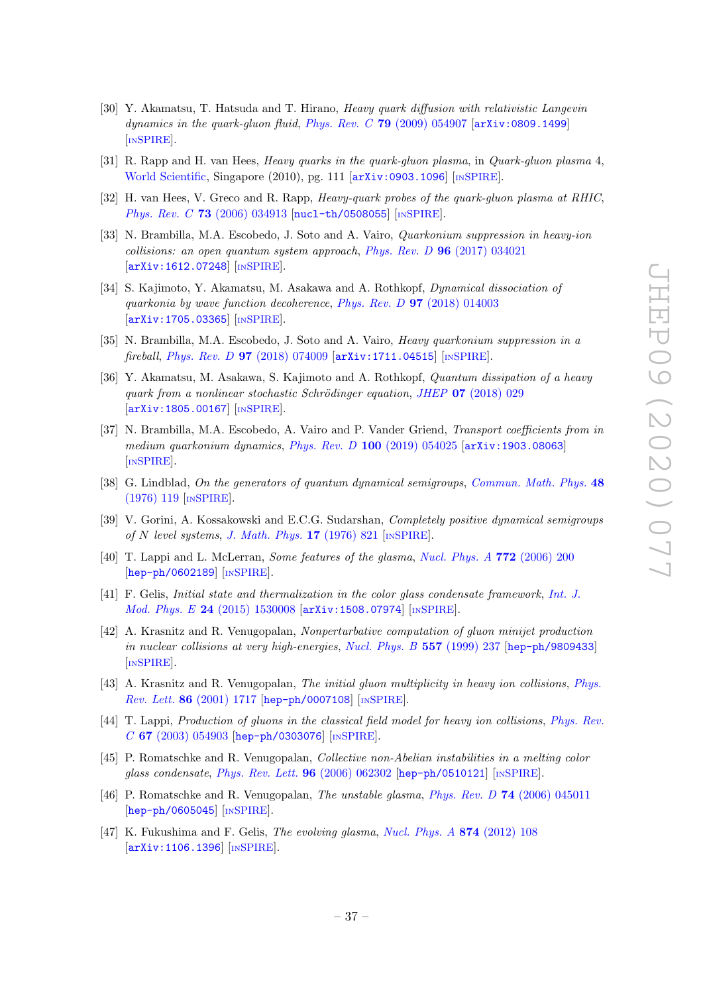- <span id="page-37-0"></span>[30] Y. Akamatsu, T. Hatsuda and T. Hirano, Heavy quark diffusion with relativistic Langevin dynamics in the quark-gluon fluid, Phys. Rev.  $C$  79 [\(2009\) 054907](https://doi.org/10.1103/PhysRevC.79.054907) [[arXiv:0809.1499](https://arxiv.org/abs/0809.1499)] [IN[SPIRE](https://inspirehep.net/search?p=find+EPRINT%2BarXiv%3A0809.1499)].
- [31] R. Rapp and H. van Hees, Heavy quarks in the quark-gluon plasma, in Quark-gluon plasma 4, [World Scientific,](https://doi.org/10.1142/9789814293297_0003) Singapore (2010), pg. 111 [[arXiv:0903.1096](https://arxiv.org/abs/0903.1096)] [IN[SPIRE](https://inspirehep.net/search?p=find+EPRINT%2BarXiv%3A0903.1096)].
- <span id="page-37-1"></span>[32] H. van Hees, V. Greco and R. Rapp, Heavy-quark probes of the quark-gluon plasma at RHIC, Phys. Rev. C 73 [\(2006\) 034913](https://doi.org/10.1103/PhysRevC.73.034913) [[nucl-th/0508055](https://arxiv.org/abs/nucl-th/0508055)] [IN[SPIRE](https://inspirehep.net/search?p=find+EPRINT%2Bnucl-th%2F0508055)].
- <span id="page-37-2"></span>[33] N. Brambilla, M.A. Escobedo, J. Soto and A. Vairo, Quarkonium suppression in heavy-ion collisions: an open quantum system approach, Phys. Rev. D 96 [\(2017\) 034021](https://doi.org/10.1103/PhysRevD.96.034021) [[arXiv:1612.07248](https://arxiv.org/abs/1612.07248)] [IN[SPIRE](https://inspirehep.net/search?p=find+EPRINT%2BarXiv%3A1612.07248)].
- [34] S. Kajimoto, Y. Akamatsu, M. Asakawa and A. Rothkopf, Dynamical dissociation of quarkonia by wave function decoherence, Phys. Rev. D 97 [\(2018\) 014003](https://doi.org/10.1103/PhysRevD.97.014003) [[arXiv:1705.03365](https://arxiv.org/abs/1705.03365)] [IN[SPIRE](https://inspirehep.net/search?p=find+EPRINT%2BarXiv%3A1705.03365)].
- [35] N. Brambilla, M.A. Escobedo, J. Soto and A. Vairo, Heavy quarkonium suppression in a fireball, Phys. Rev. D 97 [\(2018\) 074009](https://doi.org/10.1103/PhysRevD.97.074009) [[arXiv:1711.04515](https://arxiv.org/abs/1711.04515)] [IN[SPIRE](https://inspirehep.net/search?p=find+EPRINT%2BarXiv%3A1711.04515)].
- [36] Y. Akamatsu, M. Asakawa, S. Kajimoto and A. Rothkopf, Quantum dissipation of a heavy quark from a nonlinear stochastic Schrödinger equation, JHEP  $07$  [\(2018\) 029](https://doi.org/10.1007/JHEP07(2018)029) [[arXiv:1805.00167](https://arxiv.org/abs/1805.00167)] [IN[SPIRE](https://inspirehep.net/search?p=find+EPRINT%2BarXiv%3A1805.00167)].
- <span id="page-37-3"></span>[37] N. Brambilla, M.A. Escobedo, A. Vairo and P. Vander Griend, Transport coefficients from in medium quarkonium dynamics, Phys. Rev. D 100 [\(2019\) 054025](https://doi.org/10.1103/PhysRevD.100.054025) [[arXiv:1903.08063](https://arxiv.org/abs/1903.08063)] [IN[SPIRE](https://inspirehep.net/search?p=find+EPRINT%2BarXiv%3A1903.08063)].
- <span id="page-37-4"></span>[38] G. Lindblad, On the generators of quantum dynamical semigroups, [Commun. Math. Phys.](https://doi.org/10.1007/BF01608499) 48 [\(1976\) 119](https://doi.org/10.1007/BF01608499) [IN[SPIRE](https://inspirehep.net/search?p=find+J%20%22Commun.Math.Phys.%2C48%2C119%22)].
- <span id="page-37-5"></span>[39] V. Gorini, A. Kossakowski and E.C.G. Sudarshan, Completely positive dynamical semigroups of N level systems, [J. Math. Phys.](https://doi.org/10.1063/1.522979)  $17$  (1976) 821 [IN[SPIRE](https://inspirehep.net/search?p=find+J%20%22J.Math.Phys.%2C17%2C821%22)].
- <span id="page-37-6"></span>[40] T. Lappi and L. McLerran, Some features of the glasma, [Nucl. Phys. A](https://doi.org/10.1016/j.nuclphysa.2006.04.001) 772 (2006) 200 [[hep-ph/0602189](https://arxiv.org/abs/hep-ph/0602189)] [IN[SPIRE](https://inspirehep.net/search?p=find+EPRINT%2Bhep-ph%2F0602189)].
- <span id="page-37-7"></span>[41] F. Gelis, Initial state and thermalization in the color glass condensate framework, [Int. J.](https://doi.org/10.1142/S0218301315300088) Mod. Phys. E 24 [\(2015\) 1530008](https://doi.org/10.1142/S0218301315300088) [[arXiv:1508.07974](https://arxiv.org/abs/1508.07974)] [IN[SPIRE](https://inspirehep.net/search?p=find+EPRINT%2BarXiv%3A1508.07974)].
- <span id="page-37-8"></span>[42] A. Krasnitz and R. Venugopalan, Nonperturbative computation of gluon minijet production in nuclear collisions at very high-energies, [Nucl. Phys. B](https://doi.org/10.1016/S0550-3213(99)00366-1) 557 (1999) 237 [[hep-ph/9809433](https://arxiv.org/abs/hep-ph/9809433)] [IN[SPIRE](https://inspirehep.net/search?p=find+EPRINT%2Bhep-ph%2F9809433)].
- [43] A. Krasnitz and R. Venugopalan, The initial gluon multiplicity in heavy ion collisions, [Phys.](https://doi.org/10.1103/PhysRevLett.86.1717) Rev. Lett. 86 [\(2001\) 1717](https://doi.org/10.1103/PhysRevLett.86.1717) [[hep-ph/0007108](https://arxiv.org/abs/hep-ph/0007108)] [IN[SPIRE](https://inspirehep.net/search?p=find+EPRINT%2Bhep-ph%2F0007108)].
- [44] T. Lappi, Production of gluons in the classical field model for heavy ion collisions, [Phys. Rev.](https://doi.org/10.1103/PhysRevC.67.054903)  $C$  67 [\(2003\) 054903](https://doi.org/10.1103/PhysRevC.67.054903) [[hep-ph/0303076](https://arxiv.org/abs/hep-ph/0303076)] [IN[SPIRE](https://inspirehep.net/search?p=find+EPRINT%2Bhep-ph%2F0303076)].
- [45] P. Romatschke and R. Venugopalan, Collective non-Abelian instabilities in a melting color glass condensate, [Phys. Rev. Lett.](https://doi.org/10.1103/PhysRevLett.96.062302) 96 (2006) 062302 [[hep-ph/0510121](https://arxiv.org/abs/hep-ph/0510121)] [IN[SPIRE](https://inspirehep.net/search?p=find+EPRINT%2Bhep-ph%2F0510121)].
- [46] P. Romatschke and R. Venugopalan, The unstable glasma, Phys. Rev. D 74 [\(2006\) 045011](https://doi.org/10.1103/PhysRevD.74.045011) [[hep-ph/0605045](https://arxiv.org/abs/hep-ph/0605045)] [IN[SPIRE](https://inspirehep.net/search?p=find+EPRINT%2Bhep-ph%2F0605045)].
- [47] K. Fukushima and F. Gelis, *The evolving glasma*, *[Nucl. Phys. A](https://doi.org/10.1016/j.nuclphysa.2011.11.003)* 874 (2012) 108 [[arXiv:1106.1396](https://arxiv.org/abs/1106.1396)] [IN[SPIRE](https://inspirehep.net/search?p=find+EPRINT%2BarXiv%3A1106.1396)].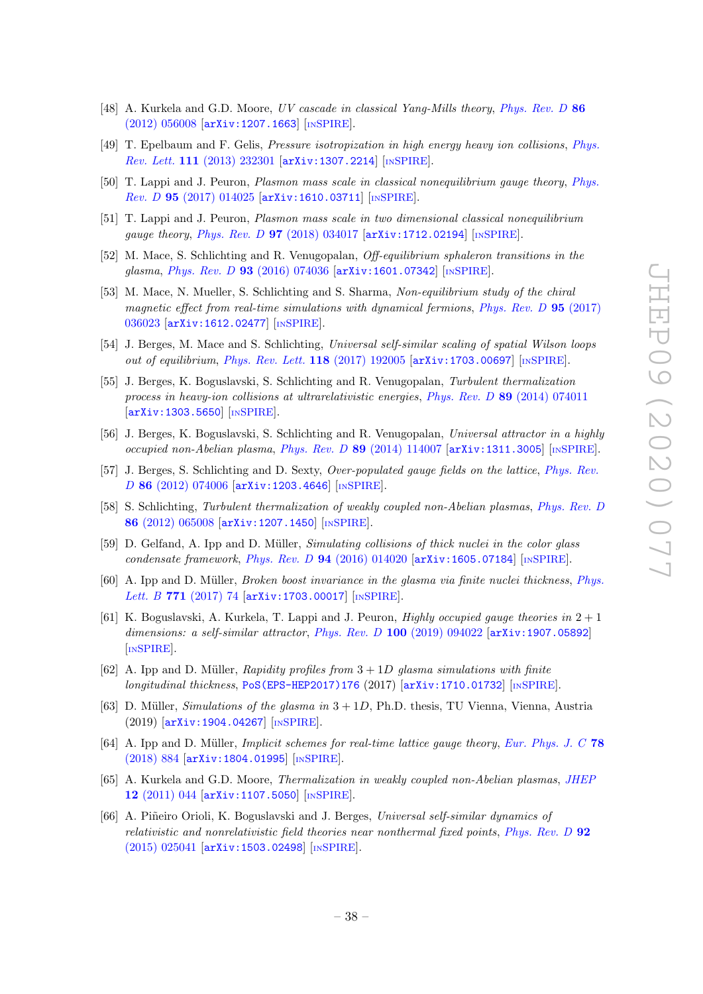- <span id="page-38-1"></span>[48] A. Kurkela and G.D. Moore, UV cascade in classical Yang-Mills theory, [Phys. Rev. D](https://doi.org/10.1103/PhysRevD.86.056008) 86 [\(2012\) 056008](https://doi.org/10.1103/PhysRevD.86.056008) [[arXiv:1207.1663](https://arxiv.org/abs/1207.1663)] [IN[SPIRE](https://inspirehep.net/search?p=find+EPRINT%2BarXiv%3A1207.1663)].
- [49] T. Epelbaum and F. Gelis, Pressure isotropization in high energy heavy ion collisions, [Phys.](https://doi.org/10.1103/PhysRevLett.111.232301) Rev. Lett. 111 [\(2013\) 232301](https://doi.org/10.1103/PhysRevLett.111.232301) [[arXiv:1307.2214](https://arxiv.org/abs/1307.2214)] [IN[SPIRE](https://inspirehep.net/search?p=find+EPRINT%2BarXiv%3A1307.2214)].
- [50] T. Lappi and J. Peuron, Plasmon mass scale in classical nonequilibrium gauge theory, [Phys.](https://doi.org/10.1103/PhysRevD.95.014025) Rev. D 95 [\(2017\) 014025](https://doi.org/10.1103/PhysRevD.95.014025) [[arXiv:1610.03711](https://arxiv.org/abs/1610.03711)] [IN[SPIRE](https://inspirehep.net/search?p=find+EPRINT%2BarXiv%3A1610.03711)].
- [51] T. Lappi and J. Peuron, Plasmon mass scale in two dimensional classical nonequilibrium *gauge theory, Phys. Rev. D* **97** [\(2018\) 034017](https://doi.org/10.1103/PhysRevD.97.034017)  $\left[$ [arXiv:1712.02194](https://arxiv.org/abs/1712.02194) $\right]$  [IN[SPIRE](https://inspirehep.net/search?p=find+EPRINT%2BarXiv%3A1712.02194)].
- [52] M. Mace, S. Schlichting and R. Venugopalan, Off-equilibrium sphaleron transitions in the glasma, Phys. Rev. D 93 [\(2016\) 074036](https://doi.org/10.1103/PhysRevD.93.074036) [[arXiv:1601.07342](https://arxiv.org/abs/1601.07342)] [IN[SPIRE](https://inspirehep.net/search?p=find+EPRINT%2BarXiv%3A1601.07342)].
- [53] M. Mace, N. Mueller, S. Schlichting and S. Sharma, Non-equilibrium study of the chiral magnetic effect from real-time simulations with dynamical fermions, [Phys. Rev. D](https://doi.org/10.1103/PhysRevD.95.036023) 95 (2017) [036023](https://doi.org/10.1103/PhysRevD.95.036023) [[arXiv:1612.02477](https://arxiv.org/abs/1612.02477)] [IN[SPIRE](https://inspirehep.net/search?p=find+EPRINT%2BarXiv%3A1612.02477)].
- [54] J. Berges, M. Mace and S. Schlichting, Universal self-similar scaling of spatial Wilson loops out of equilibrium, [Phys. Rev. Lett.](https://doi.org/10.1103/PhysRevLett.118.192005) 118 (2017) 192005 [[arXiv:1703.00697](https://arxiv.org/abs/1703.00697)] [IN[SPIRE](https://inspirehep.net/search?p=find+EPRINT%2BarXiv%3A1703.00697)].
- [55] J. Berges, K. Boguslavski, S. Schlichting and R. Venugopalan, Turbulent thermalization process in heavy-ion collisions at ultrarelativistic energies, Phys. Rev. D 89 [\(2014\) 074011](https://doi.org/10.1103/PhysRevD.89.074011) [[arXiv:1303.5650](https://arxiv.org/abs/1303.5650)] [IN[SPIRE](https://inspirehep.net/search?p=find+EPRINT%2BarXiv%3A1303.5650)].
- <span id="page-38-2"></span>[56] J. Berges, K. Boguslavski, S. Schlichting and R. Venugopalan, Universal attractor in a highly occupied non-Abelian plasma, Phys. Rev. D  $89$  [\(2014\) 114007](https://doi.org/10.1103/PhysRevD.89.114007)  $\left[$ [arXiv:1311.3005](https://arxiv.org/abs/1311.3005) $\right]$  [IN[SPIRE](https://inspirehep.net/search?p=find+EPRINT%2BarXiv%3A1311.3005)].
- <span id="page-38-5"></span>[57] J. Berges, S. Schlichting and D. Sexty, Over-populated gauge fields on the lattice, [Phys. Rev.](https://doi.org/10.1103/PhysRevD.86.074006) D 86 [\(2012\) 074006](https://doi.org/10.1103/PhysRevD.86.074006) [[arXiv:1203.4646](https://arxiv.org/abs/1203.4646)] [IN[SPIRE](https://inspirehep.net/search?p=find+EPRINT%2BarXiv%3A1203.4646)].
- <span id="page-38-4"></span>[58] S. Schlichting, Turbulent thermalization of weakly coupled non-Abelian plasmas, [Phys. Rev. D](https://doi.org/10.1103/PhysRevD.86.065008) 86 [\(2012\) 065008](https://doi.org/10.1103/PhysRevD.86.065008) [[arXiv:1207.1450](https://arxiv.org/abs/1207.1450)] [IN[SPIRE](https://inspirehep.net/search?p=find+EPRINT%2BarXiv%3A1207.1450)].
- [59] D. Gelfand, A. Ipp and D. Müller, Simulating collisions of thick nuclei in the color glass condensate framework, Phys. Rev. D  $94$  [\(2016\) 014020](https://doi.org/10.1103/PhysRevD.94.014020)  $\text{arXiv:1605.07184}$  $\text{arXiv:1605.07184}$  $\text{arXiv:1605.07184}$  [IN[SPIRE](https://inspirehep.net/search?p=find+EPRINT%2BarXiv%3A1605.07184)].
- [60] A. Ipp and D. Müller, *Broken boost invariance in the glasma via finite nuclei thickness*, *[Phys.](https://doi.org/10.1016/j.physletb.2017.05.032)* Lett. B 771 [\(2017\) 74](https://doi.org/10.1016/j.physletb.2017.05.032) [[arXiv:1703.00017](https://arxiv.org/abs/1703.00017)] [IN[SPIRE](https://inspirehep.net/search?p=find+EPRINT%2BarXiv%3A1703.00017)].
- [61] K. Boguslavski, A. Kurkela, T. Lappi and J. Peuron, *Highly occupied gauge theories in*  $2 + 1$ dimensions: a self-similar attractor, *Phys. Rev. D* 100 [\(2019\) 094022](https://doi.org/10.1103/PhysRevD.100.094022) [[arXiv:1907.05892](https://arxiv.org/abs/1907.05892)] [IN[SPIRE](https://inspirehep.net/search?p=find+EPRINT%2BarXiv%3A1907.05892)].
- [62] A. Ipp and D. Müller, Rapidity profiles from  $3 + 1D$  glasma simulations with finite longitudinal thickness,  $PoS(EPS-HEP2017)176 (2017)$  $PoS(EPS-HEP2017)176 (2017)$  [[arXiv:1710.01732](https://arxiv.org/abs/1710.01732)] [IN[SPIRE](https://inspirehep.net/search?p=find+EPRINT%2BarXiv%3A1710.01732)].
- [63] D. Müller, Simulations of the glasma in  $3 + 1D$ , Ph.D. thesis, TU Vienna, Vienna, Austria (2019) [[arXiv:1904.04267](https://arxiv.org/abs/1904.04267)] [IN[SPIRE](https://inspirehep.net/search?p=find+EPRINT%2BarXiv%3A1904.04267)].
- <span id="page-38-0"></span>[64] A. Ipp and D. Müller, *Implicit schemes for real-time lattice gauge theory, [Eur. Phys. J. C](https://doi.org/10.1140/epjc/s10052-018-6323-x)* 78 [\(2018\) 884](https://doi.org/10.1140/epjc/s10052-018-6323-x) [[arXiv:1804.01995](https://arxiv.org/abs/1804.01995)] [IN[SPIRE](https://inspirehep.net/search?p=find+EPRINT%2BarXiv%3A1804.01995)].
- <span id="page-38-3"></span>[65] A. Kurkela and G.D. Moore, *Thermalization in weakly coupled non-Abelian plasmas*, *[JHEP](https://doi.org/10.1007/JHEP12(2011)044)* 12 [\(2011\) 044](https://doi.org/10.1007/JHEP12(2011)044) [[arXiv:1107.5050](https://arxiv.org/abs/1107.5050)] [IN[SPIRE](https://inspirehep.net/search?p=find+EPRINT%2BarXiv%3A1107.5050)].
- [66] A. Piñeiro Orioli, K. Boguslavski and J. Berges, Universal self-similar dynamics of relativistic and nonrelativistic field theories near nonthermal fixed points, [Phys. Rev. D](https://doi.org/10.1103/PhysRevD.92.025041) 92 [\(2015\) 025041](https://doi.org/10.1103/PhysRevD.92.025041) [[arXiv:1503.02498](https://arxiv.org/abs/1503.02498)] [IN[SPIRE](https://inspirehep.net/search?p=find+EPRINT%2BarXiv%3A1503.02498)].